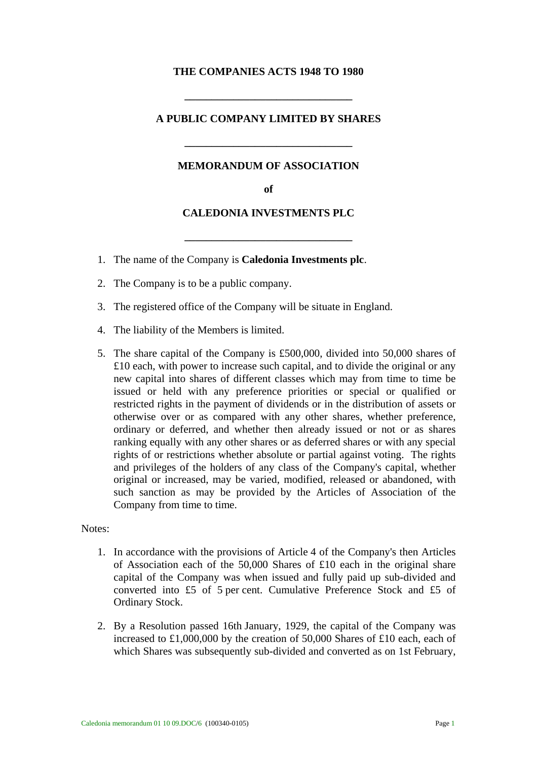## **THE COMPANIES ACTS 1948 TO 1980**

## **A PUBLIC COMPANY LIMITED BY SHARES**

**\_\_\_\_\_\_\_\_\_\_\_\_\_\_\_\_\_\_\_\_\_\_\_\_\_\_\_\_\_\_\_** 

#### **MEMORANDUM OF ASSOCIATION**

**\_\_\_\_\_\_\_\_\_\_\_\_\_\_\_\_\_\_\_\_\_\_\_\_\_\_\_\_\_\_\_** 

**of** 

#### **CALEDONIA INVESTMENTS PLC**

**\_\_\_\_\_\_\_\_\_\_\_\_\_\_\_\_\_\_\_\_\_\_\_\_\_\_\_\_\_\_\_** 

- 1. The name of the Company is **Caledonia Investments plc**.
- 2. The Company is to be a public company.
- 3. The registered office of the Company will be situate in England.
- 4. The liability of the Members is limited.
- 5. The share capital of the Company is £500,000, divided into 50,000 shares of £10 each, with power to increase such capital, and to divide the original or any new capital into shares of different classes which may from time to time be issued or held with any preference priorities or special or qualified or restricted rights in the payment of dividends or in the distribution of assets or otherwise over or as compared with any other shares, whether preference, ordinary or deferred, and whether then already issued or not or as shares ranking equally with any other shares or as deferred shares or with any special rights of or restrictions whether absolute or partial against voting. The rights and privileges of the holders of any class of the Company's capital, whether original or increased, may be varied, modified, released or abandoned, with such sanction as may be provided by the Articles of Association of the Company from time to time.

## Notes:

- 1. In accordance with the provisions of Article 4 of the Company's then Articles of Association each of the 50,000 Shares of £10 each in the original share capital of the Company was when issued and fully paid up sub-divided and converted into £5 of 5 per cent. Cumulative Preference Stock and £5 of Ordinary Stock.
- 2. By a Resolution passed 16th January, 1929, the capital of the Company was increased to £1,000,000 by the creation of 50,000 Shares of £10 each, each of which Shares was subsequently sub-divided and converted as on 1st February,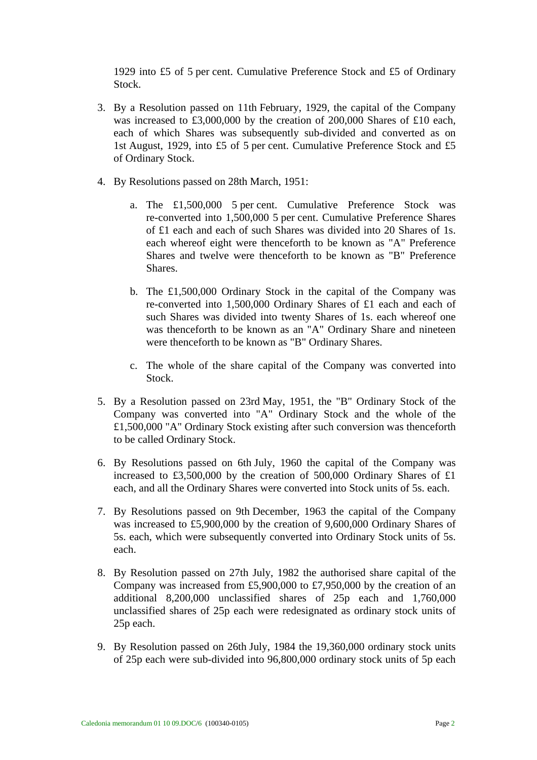1929 into £5 of 5 per cent. Cumulative Preference Stock and £5 of Ordinary Stock.

- 3. By a Resolution passed on 11th February, 1929, the capital of the Company was increased to £3,000,000 by the creation of 200,000 Shares of £10 each, each of which Shares was subsequently sub-divided and converted as on 1st August, 1929, into £5 of 5 per cent. Cumulative Preference Stock and £5 of Ordinary Stock.
- 4. By Resolutions passed on 28th March, 1951:
	- a. The £1,500,000 5 per cent. Cumulative Preference Stock was re-converted into 1,500,000 5 per cent. Cumulative Preference Shares of £1 each and each of such Shares was divided into 20 Shares of 1s. each whereof eight were thenceforth to be known as "A" Preference Shares and twelve were thenceforth to be known as "B" Preference Shares.
	- b. The £1,500,000 Ordinary Stock in the capital of the Company was re-converted into 1,500,000 Ordinary Shares of £1 each and each of such Shares was divided into twenty Shares of 1s. each whereof one was thenceforth to be known as an "A" Ordinary Share and nineteen were thenceforth to be known as "B" Ordinary Shares.
	- c. The whole of the share capital of the Company was converted into Stock.
- 5. By a Resolution passed on 23rd May, 1951, the "B" Ordinary Stock of the Company was converted into "A" Ordinary Stock and the whole of the £1,500,000 "A" Ordinary Stock existing after such conversion was thenceforth to be called Ordinary Stock.
- 6. By Resolutions passed on 6th July, 1960 the capital of the Company was increased to £3,500,000 by the creation of 500,000 Ordinary Shares of £1 each, and all the Ordinary Shares were converted into Stock units of 5s. each.
- 7. By Resolutions passed on 9th December, 1963 the capital of the Company was increased to £5,900,000 by the creation of 9,600,000 Ordinary Shares of 5s. each, which were subsequently converted into Ordinary Stock units of 5s. each.
- 8. By Resolution passed on 27th July, 1982 the authorised share capital of the Company was increased from £5,900,000 to £7,950,000 by the creation of an additional 8,200,000 unclassified shares of 25p each and 1,760,000 unclassified shares of 25p each were redesignated as ordinary stock units of 25p each.
- 9. By Resolution passed on 26th July, 1984 the 19,360,000 ordinary stock units of 25p each were sub-divided into 96,800,000 ordinary stock units of 5p each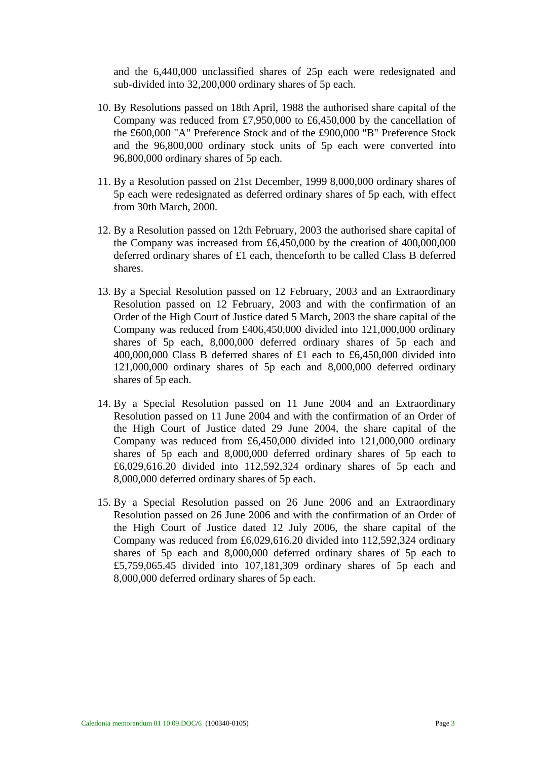and the 6,440,000 unclassified shares of 25p each were redesignated and sub-divided into 32,200,000 ordinary shares of 5p each.

- 10. By Resolutions passed on 18th April, 1988 the authorised share capital of the Company was reduced from £7,950,000 to £6,450,000 by the cancellation of the £600,000 "A" Preference Stock and of the £900,000 "B" Preference Stock and the 96,800,000 ordinary stock units of 5p each were converted into 96,800,000 ordinary shares of 5p each.
- 11. By a Resolution passed on 21st December, 1999 8,000,000 ordinary shares of 5p each were redesignated as deferred ordinary shares of 5p each, with effect from 30th March, 2000.
- 12. By a Resolution passed on 12th February, 2003 the authorised share capital of the Company was increased from £6,450,000 by the creation of 400,000,000 deferred ordinary shares of £1 each, thenceforth to be called Class B deferred shares.
- 13. By a Special Resolution passed on 12 February, 2003 and an Extraordinary Resolution passed on 12 February, 2003 and with the confirmation of an Order of the High Court of Justice dated 5 March, 2003 the share capital of the Company was reduced from £406,450,000 divided into 121,000,000 ordinary shares of 5p each, 8,000,000 deferred ordinary shares of 5p each and 400,000,000 Class B deferred shares of £1 each to £6,450,000 divided into 121,000,000 ordinary shares of 5p each and 8,000,000 deferred ordinary shares of 5p each.
- 14. By a Special Resolution passed on 11 June 2004 and an Extraordinary Resolution passed on 11 June 2004 and with the confirmation of an Order of the High Court of Justice dated 29 June 2004, the share capital of the Company was reduced from £6,450,000 divided into 121,000,000 ordinary shares of 5p each and 8,000,000 deferred ordinary shares of 5p each to £6,029,616.20 divided into 112,592,324 ordinary shares of 5p each and 8,000,000 deferred ordinary shares of 5p each.
- 15. By a Special Resolution passed on 26 June 2006 and an Extraordinary Resolution passed on 26 June 2006 and with the confirmation of an Order of the High Court of Justice dated 12 July 2006, the share capital of the Company was reduced from £6,029,616.20 divided into 112,592,324 ordinary shares of 5p each and 8,000,000 deferred ordinary shares of 5p each to £5,759,065.45 divided into 107,181,309 ordinary shares of 5p each and 8,000,000 deferred ordinary shares of 5p each.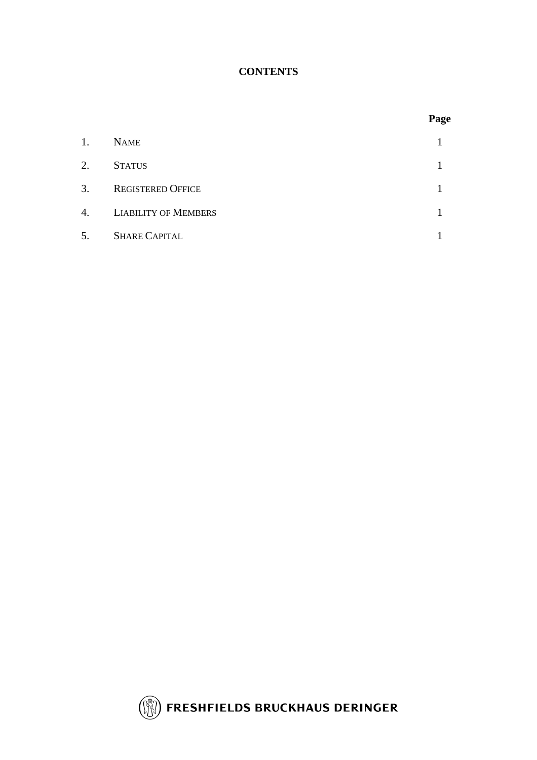# **CONTENTS**

|                             | Page |
|-----------------------------|------|
| <b>NAME</b>                 |      |
| <b>STATUS</b>               |      |
| <b>REGISTERED OFFICE</b>    |      |
| <b>LIABILITY OF MEMBERS</b> |      |
| <b>SHARE CAPITAL</b>        |      |
|                             |      |

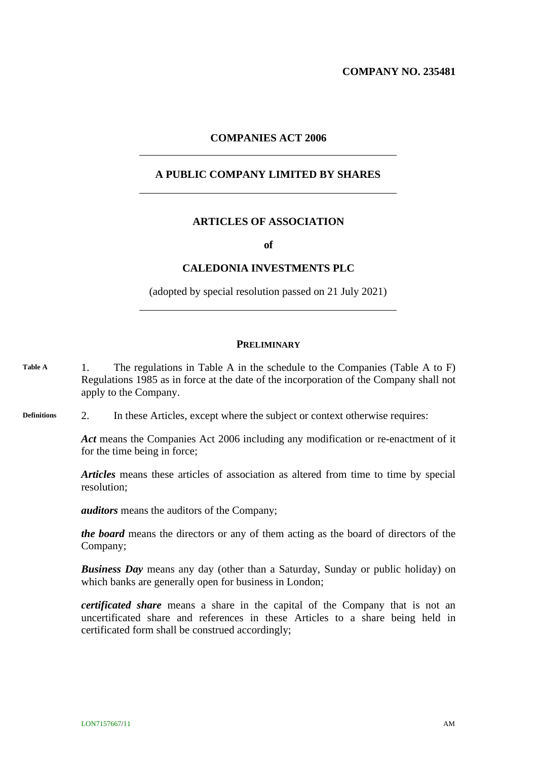**COMPANY NO. 235481**

#### **COMPANIES ACT 2006**

## **A PUBLIC COMPANY LIMITED BY SHARES**

#### **ARTICLES OF ASSOCIATION**

**of**

#### **CALEDONIA INVESTMENTS PLC**

(adopted by special resolution passed on 21 July 2021)

#### **PRELIMINARY**

- 1. The regulations in Table A in the schedule to the Companies (Table A to F) Regulations 1985 as in force at the date of the incorporation of the Company shall not apply to the Company. **Table A**
- 2. In these Articles, except where the subject or context otherwise requires: **Definitions**

<span id="page-5-0"></span>*Act* means the Companies Act 2006 including any modification or re-enactment of it for the time being in force;

*Articles* means these articles of association as altered from time to time by special resolution;

*auditors* means the auditors of the Company;

*the board* means the directors or any of them acting as the board of directors of the Company;

*Business Day* means any day (other than a Saturday, Sunday or public holiday) on which banks are generally open for business in London;

*certificated share* means a share in the capital of the Company that is not an uncertificated share and references in these Articles to a share being held in certificated form shall be construed accordingly;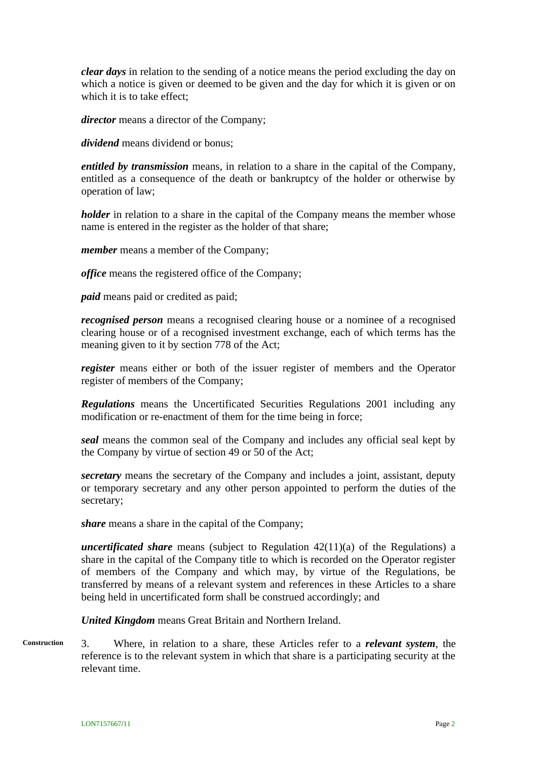*clear days* in relation to the sending of a notice means the period excluding the day on which a notice is given or deemed to be given and the day for which it is given or on which it is to take effect;

*director* means a director of the Company;

*dividend* means dividend or bonus;

*entitled by transmission* means, in relation to a share in the capital of the Company, entitled as a consequence of the death or bankruptcy of the holder or otherwise by operation of law;

*holder* in relation to a share in the capital of the Company means the member whose name is entered in the register as the holder of that share;

*member* means a member of the Company;

*office* means the registered office of the Company;

*paid* means paid or credited as paid;

*recognised person* means a recognised clearing house or a nominee of a recognised clearing house or of a recognised investment exchange, each of which terms has the meaning given to it by section 778 of the Act;

*register* means either or both of the issuer register of members and the Operator register of members of the Company;

*Regulations* means the Uncertificated Securities Regulations 2001 including any modification or re-enactment of them for the time being in force;

*seal* means the common seal of the Company and includes any official seal kept by the Company by virtue of section 49 or 50 of the Act;

*secretary* means the secretary of the Company and includes a joint, assistant, deputy or temporary secretary and any other person appointed to perform the duties of the secretary;

*share* means a share in the capital of the Company;

*uncertificated share* means (subject to Regulation 42(11)(a) of the Regulations) a share in the capital of the Company title to which is recorded on the Operator register of members of the Company and which may, by virtue of the Regulations, be transferred by means of a relevant system and references in these Articles to a share being held in uncertificated form shall be construed accordingly; and

*United Kingdom* means Great Britain and Northern Ireland.

3. Where, in relation to a share, these Articles refer to a *relevant system*, the reference is to the relevant system in which that share is a participating security at the relevant time. **Construction**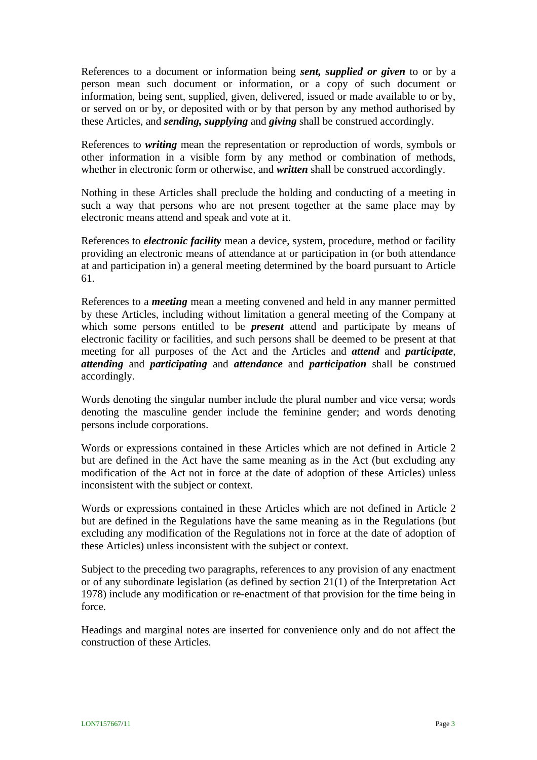References to a document or information being *sent, supplied or given* to or by a person mean such document or information, or a copy of such document or information, being sent, supplied, given, delivered, issued or made available to or by, or served on or by, or deposited with or by that person by any method authorised by these Articles, and *sending, supplying* and *giving* shall be construed accordingly.

References to *writing* mean the representation or reproduction of words, symbols or other information in a visible form by any method or combination of methods, whether in electronic form or otherwise, and *written* shall be construed accordingly.

Nothing in these Articles shall preclude the holding and conducting of a meeting in such a way that persons who are not present together at the same place may by electronic means attend and speak and vote at it.

References to *electronic facility* mean a device, system, procedure, method or facility providing an electronic means of attendance at or participation in (or both attendance at and participation in) a general meeting determined by the board pursuant to Article [61.](#page-19-0)

References to a *meeting* mean a meeting convened and held in any manner permitted by these Articles, including without limitation a general meeting of the Company at which some persons entitled to be *present* attend and participate by means of electronic facility or facilities, and such persons shall be deemed to be present at that meeting for all purposes of the Act and the Articles and *attend* and *participate*, *attending* and *participating* and *attendance* and *participation* shall be construed accordingly.

Words denoting the singular number include the plural number and vice versa; words denoting the masculine gender include the feminine gender; and words denoting persons include corporations.

Words or expressions contained in these Articles which are not defined in Article [2](#page-5-0) but are defined in the Act have the same meaning as in the Act (but excluding any modification of the Act not in force at the date of adoption of these Articles) unless inconsistent with the subject or context.

Words or expressions contained in these Articles which are not defined in Article [2](#page-5-0) but are defined in the Regulations have the same meaning as in the Regulations (but excluding any modification of the Regulations not in force at the date of adoption of these Articles) unless inconsistent with the subject or context.

Subject to the preceding two paragraphs, references to any provision of any enactment or of any subordinate legislation (as defined by section 21(1) of the Interpretation Act 1978) include any modification or re-enactment of that provision for the time being in force.

Headings and marginal notes are inserted for convenience only and do not affect the construction of these Articles.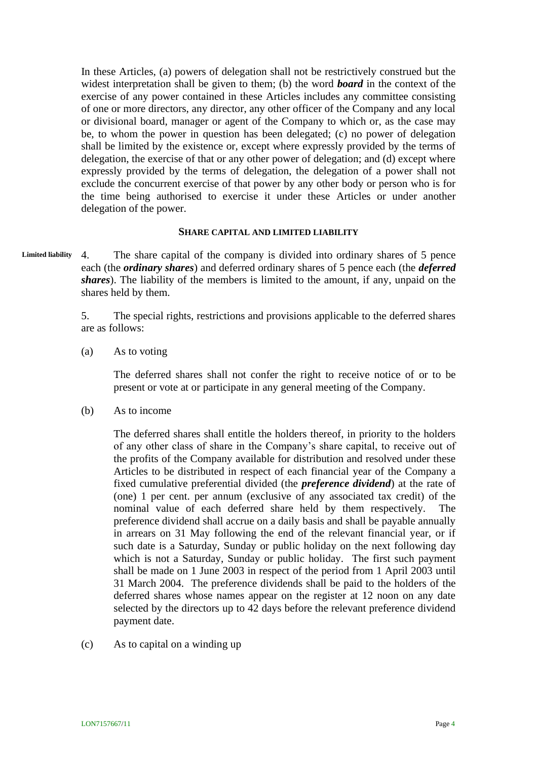In these Articles, (a) powers of delegation shall not be restrictively construed but the widest interpretation shall be given to them; (b) the word *board* in the context of the exercise of any power contained in these Articles includes any committee consisting of one or more directors, any director, any other officer of the Company and any local or divisional board, manager or agent of the Company to which or, as the case may be, to whom the power in question has been delegated; (c) no power of delegation shall be limited by the existence or, except where expressly provided by the terms of delegation, the exercise of that or any other power of delegation; and (d) except where expressly provided by the terms of delegation, the delegation of a power shall not exclude the concurrent exercise of that power by any other body or person who is for the time being authorised to exercise it under these Articles or under another delegation of the power.

#### **SHARE CAPITAL AND LIMITED LIABILITY**

4. The share capital of the company is divided into ordinary shares of 5 pence each (the *ordinary shares*) and deferred ordinary shares of 5 pence each (the *deferred shares*). The liability of the members is limited to the amount, if any, unpaid on the shares held by them. **Limited liability**

> 5. The special rights, restrictions and provisions applicable to the deferred shares are as follows:

(a) As to voting

The deferred shares shall not confer the right to receive notice of or to be present or vote at or participate in any general meeting of the Company.

(b) As to income

The deferred shares shall entitle the holders thereof, in priority to the holders of any other class of share in the Company's share capital, to receive out of the profits of the Company available for distribution and resolved under these Articles to be distributed in respect of each financial year of the Company a fixed cumulative preferential divided (the *preference dividend*) at the rate of (one) 1 per cent. per annum (exclusive of any associated tax credit) of the nominal value of each deferred share held by them respectively. The preference dividend shall accrue on a daily basis and shall be payable annually in arrears on 31 May following the end of the relevant financial year, or if such date is a Saturday, Sunday or public holiday on the next following day which is not a Saturday, Sunday or public holiday. The first such payment shall be made on 1 June 2003 in respect of the period from 1 April 2003 until 31 March 2004. The preference dividends shall be paid to the holders of the deferred shares whose names appear on the register at 12 noon on any date selected by the directors up to 42 days before the relevant preference dividend payment date.

(c) As to capital on a winding up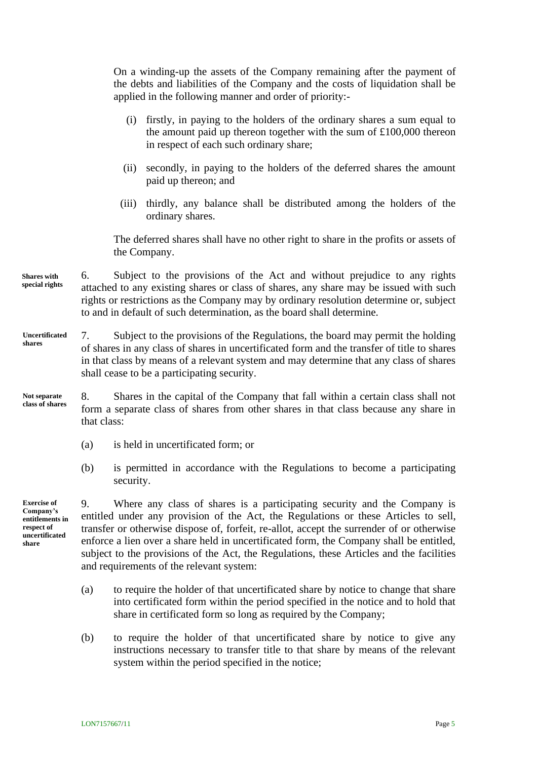On a winding-up the assets of the Company remaining after the payment of the debts and liabilities of the Company and the costs of liquidation shall be applied in the following manner and order of priority:-

- (i) firstly, in paying to the holders of the ordinary shares a sum equal to the amount paid up thereon together with the sum of £100,000 thereon in respect of each such ordinary share;
- (ii) secondly, in paying to the holders of the deferred shares the amount paid up thereon; and
- (iii) thirdly, any balance shall be distributed among the holders of the ordinary shares.

The deferred shares shall have no other right to share in the profits or assets of the Company.

- 6. Subject to the provisions of the Act and without prejudice to any rights attached to any existing shares or class of shares, any share may be issued with such rights or restrictions as the Company may by ordinary resolution determine or, subject to and in default of such determination, as the board shall determine. **Shares with special rights**
- 7. Subject to the provisions of the Regulations, the board may permit the holding of shares in any class of shares in uncertificated form and the transfer of title to shares in that class by means of a relevant system and may determine that any class of shares shall cease to be a participating security. **Uncertificated shares**
- 8. Shares in the capital of the Company that fall within a certain class shall not form a separate class of shares from other shares in that class because any share in that class: **Not separate class of shares**
	- (a) is held in uncertificated form; or
	- (b) is permitted in accordance with the Regulations to become a participating security.

**Exercise of Company's entitlements in respect of uncertificated share**

<span id="page-9-0"></span>9. Where any class of shares is a participating security and the Company is entitled under any provision of the Act, the Regulations or these Articles to sell, transfer or otherwise dispose of, forfeit, re-allot, accept the surrender of or otherwise enforce a lien over a share held in uncertificated form, the Company shall be entitled, subject to the provisions of the Act, the Regulations, these Articles and the facilities and requirements of the relevant system:

- (a) to require the holder of that uncertificated share by notice to change that share into certificated form within the period specified in the notice and to hold that share in certificated form so long as required by the Company;
- (b) to require the holder of that uncertificated share by notice to give any instructions necessary to transfer title to that share by means of the relevant system within the period specified in the notice;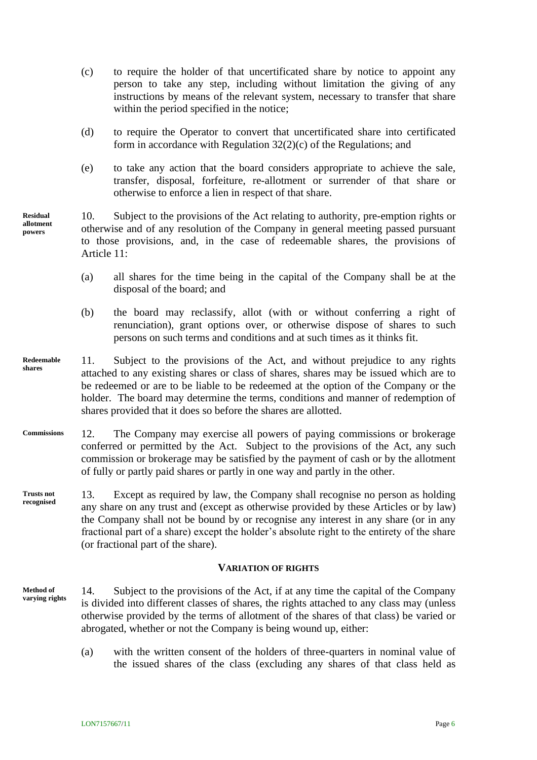- (c) to require the holder of that uncertificated share by notice to appoint any person to take any step, including without limitation the giving of any instructions by means of the relevant system, necessary to transfer that share within the period specified in the notice;
- (d) to require the Operator to convert that uncertificated share into certificated form in accordance with Regulation 32(2)(c) of the Regulations; and
- (e) to take any action that the board considers appropriate to achieve the sale, transfer, disposal, forfeiture, re-allotment or surrender of that share or otherwise to enforce a lien in respect of that share.
- 10. Subject to the provisions of the Act relating to authority, pre-emption rights or otherwise and of any resolution of the Company in general meeting passed pursuant to those provisions, and, in the case of redeemable shares, the provisions of Article [11:](#page-10-0)
	- (a) all shares for the time being in the capital of the Company shall be at the disposal of the board; and
	- (b) the board may reclassify, allot (with or without conferring a right of renunciation), grant options over, or otherwise dispose of shares to such persons on such terms and conditions and at such times as it thinks fit.
- <span id="page-10-0"></span>11. Subject to the provisions of the Act, and without prejudice to any rights attached to any existing shares or class of shares, shares may be issued which are to be redeemed or are to be liable to be redeemed at the option of the Company or the holder. The board may determine the terms, conditions and manner of redemption of shares provided that it does so before the shares are allotted. **Redeemable shares**
- 12. The Company may exercise all powers of paying commissions or brokerage conferred or permitted by the Act. Subject to the provisions of the Act, any such commission or brokerage may be satisfied by the payment of cash or by the allotment of fully or partly paid shares or partly in one way and partly in the other. **Commissions**
- 13. Except as required by law, the Company shall recognise no person as holding any share on any trust and (except as otherwise provided by these Articles or by law) the Company shall not be bound by or recognise any interest in any share (or in any fractional part of a share) except the holder's absolute right to the entirety of the share (or fractional part of the share). **Trusts not recognised**

#### **VARIATION OF RIGHTS**

- <span id="page-10-1"></span>14. Subject to the provisions of the Act, if at any time the capital of the Company is divided into different classes of shares, the rights attached to any class may (unless otherwise provided by the terms of allotment of the shares of that class) be varied or abrogated, whether or not the Company is being wound up, either: **Method of varying rights**
	- (a) with the written consent of the holders of three-quarters in nominal value of the issued shares of the class (excluding any shares of that class held as

**Residual allotment powers**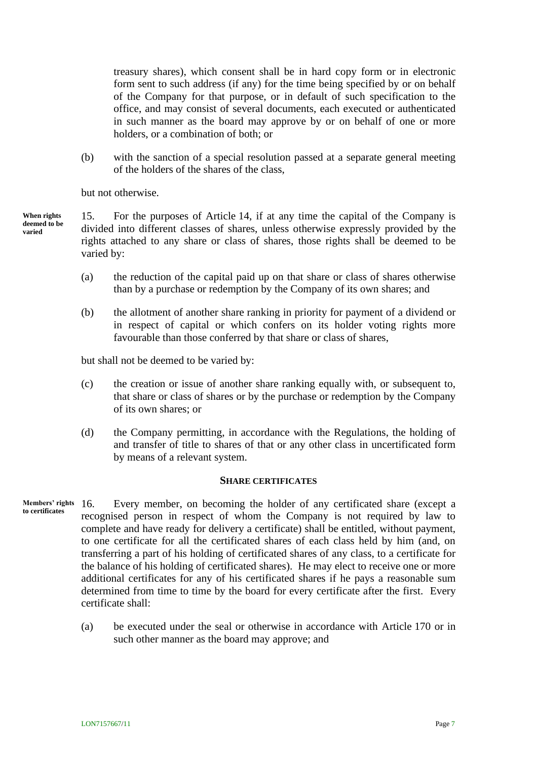treasury shares), which consent shall be in hard copy form or in electronic form sent to such address (if any) for the time being specified by or on behalf of the Company for that purpose, or in default of such specification to the office, and may consist of several documents, each executed or authenticated in such manner as the board may approve by or on behalf of one or more holders, or a combination of both; or

(b) with the sanction of a special resolution passed at a separate general meeting of the holders of the shares of the class,

but not otherwise.

15. For the purposes of Article [14,](#page-10-1) if at any time the capital of the Company is divided into different classes of shares, unless otherwise expressly provided by the rights attached to any share or class of shares, those rights shall be deemed to be varied by: **When rights deemed to be varied**

- (a) the reduction of the capital paid up on that share or class of shares otherwise than by a purchase or redemption by the Company of its own shares; and
- (b) the allotment of another share ranking in priority for payment of a dividend or in respect of capital or which confers on its holder voting rights more favourable than those conferred by that share or class of shares,

but shall not be deemed to be varied by:

- (c) the creation or issue of another share ranking equally with, or subsequent to, that share or class of shares or by the purchase or redemption by the Company of its own shares; or
- (d) the Company permitting, in accordance with the Regulations, the holding of and transfer of title to shares of that or any other class in uncertificated form by means of a relevant system.

#### **SHARE CERTIFICATES**

- Every member, on becoming the holder of any certificated share (except a recognised person in respect of whom the Company is not required by law to complete and have ready for delivery a certificate) shall be entitled, without payment, to one certificate for all the certificated shares of each class held by him (and, on transferring a part of his holding of certificated shares of any class, to a certificate for the balance of his holding of certificated shares). He may elect to receive one or more additional certificates for any of his certificated shares if he pays a reasonable sum determined from time to time by the board for every certificate after the first. Every certificate shall: **Members' rights to certificates**
	- (a) be executed under the seal or otherwise in accordance with Article [170](#page-50-0) or in such other manner as the board may approve; and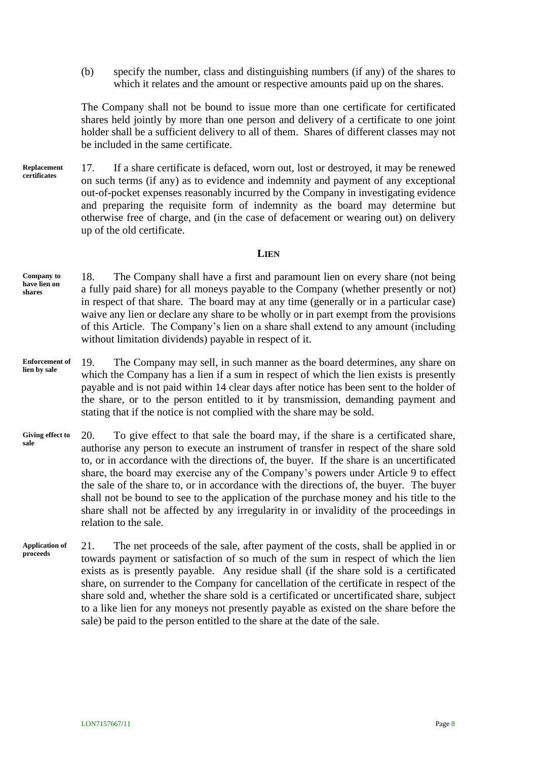(b) specify the number, class and distinguishing numbers (if any) of the shares to which it relates and the amount or respective amounts paid up on the shares.

The Company shall not be bound to issue more than one certificate for certificated shares held jointly by more than one person and delivery of a certificate to one joint holder shall be a sufficient delivery to all of them. Shares of different classes may not be included in the same certificate.

17. If a share certificate is defaced, worn out, lost or destroyed, it may be renewed on such terms (if any) as to evidence and indemnity and payment of any exceptional out-of-pocket expenses reasonably incurred by the Company in investigating evidence and preparing the requisite form of indemnity as the board may determine but otherwise free of charge, and (in the case of defacement or wearing out) on delivery up of the old certificate. **Replacement certificates**

#### **LIEN**

18. The Company shall have a first and paramount lien on every share (not being a fully paid share) for all moneys payable to the Company (whether presently or not) in respect of that share. The board may at any time (generally or in a particular case) waive any lien or declare any share to be wholly or in part exempt from the provisions of this Article. The Company's lien on a share shall extend to any amount (including without limitation dividends) payable in respect of it. **Company to have lien on shares**

- 19. The Company may sell, in such manner as the board determines, any share on which the Company has a lien if a sum in respect of which the lien exists is presently payable and is not paid within 14 clear days after notice has been sent to the holder of the share, or to the person entitled to it by transmission, demanding payment and stating that if the notice is not complied with the share may be sold. **Enforcement of lien by sale**
- 20. To give effect to that sale the board may, if the share is a certificated share, authorise any person to execute an instrument of transfer in respect of the share sold to, or in accordance with the directions of, the buyer. If the share is an uncertificated share, the board may exercise any of the Company's powers under Article [9](#page-9-0) to effect the sale of the share to, or in accordance with the directions of, the buyer. The buyer shall not be bound to see to the application of the purchase money and his title to the share shall not be affected by any irregularity in or invalidity of the proceedings in relation to the sale. **Giving effect to sale**
- 21. The net proceeds of the sale, after payment of the costs, shall be applied in or towards payment or satisfaction of so much of the sum in respect of which the lien exists as is presently payable. Any residue shall (if the share sold is a certificated share, on surrender to the Company for cancellation of the certificate in respect of the share sold and, whether the share sold is a certificated or uncertificated share, subject to a like lien for any moneys not presently payable as existed on the share before the sale) be paid to the person entitled to the share at the date of the sale. **Application of proceeds**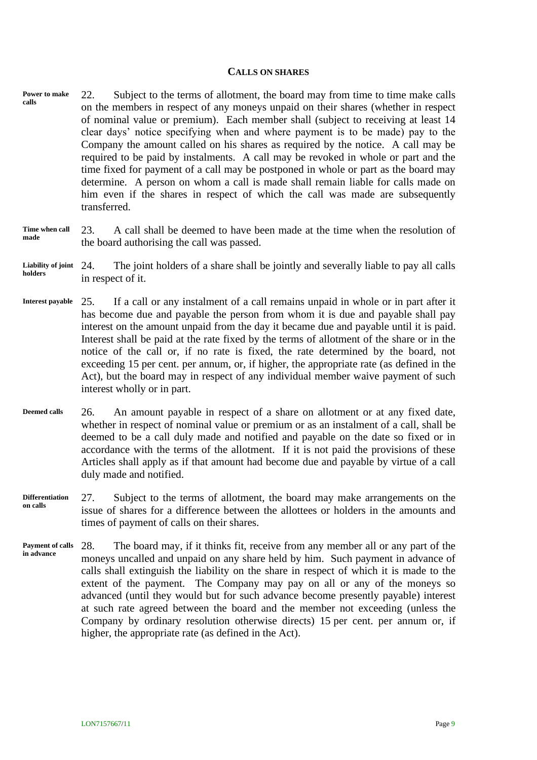#### **CALLS ON SHARES**

22. Subject to the terms of allotment, the board may from time to time make calls on the members in respect of any moneys unpaid on their shares (whether in respect of nominal value or premium). Each member shall (subject to receiving at least 14 clear days' notice specifying when and where payment is to be made) pay to the Company the amount called on his shares as required by the notice. A call may be required to be paid by instalments. A call may be revoked in whole or part and the time fixed for payment of a call may be postponed in whole or part as the board may determine. A person on whom a call is made shall remain liable for calls made on him even if the shares in respect of which the call was made are subsequently transferred. **Power to make calls**

#### 23. A call shall be deemed to have been made at the time when the resolution of the board authorising the call was passed. **Time when call made**

#### 24. The joint holders of a share shall be jointly and severally liable to pay all calls in respect of it. **Liability of joint holders**

- 25. If a call or any instalment of a call remains unpaid in whole or in part after it has become due and payable the person from whom it is due and payable shall pay interest on the amount unpaid from the day it became due and payable until it is paid. Interest shall be paid at the rate fixed by the terms of allotment of the share or in the notice of the call or, if no rate is fixed, the rate determined by the board, not exceeding 15 per cent. per annum, or, if higher, the appropriate rate (as defined in the Act), but the board may in respect of any individual member waive payment of such interest wholly or in part. **Interest payable**
- 26. An amount payable in respect of a share on allotment or at any fixed date, whether in respect of nominal value or premium or as an instalment of a call, shall be deemed to be a call duly made and notified and payable on the date so fixed or in accordance with the terms of the allotment. If it is not paid the provisions of these Articles shall apply as if that amount had become due and payable by virtue of a call duly made and notified. **Deemed calls**
- 27. Subject to the terms of allotment, the board may make arrangements on the issue of shares for a difference between the allottees or holders in the amounts and times of payment of calls on their shares. **Differentiation on calls**
- 28. The board may, if it thinks fit, receive from any member all or any part of the moneys uncalled and unpaid on any share held by him. Such payment in advance of calls shall extinguish the liability on the share in respect of which it is made to the extent of the payment. The Company may pay on all or any of the moneys so advanced (until they would but for such advance become presently payable) interest at such rate agreed between the board and the member not exceeding (unless the Company by ordinary resolution otherwise directs) 15 per cent. per annum or, if higher, the appropriate rate (as defined in the Act). **Payment of calls in advance**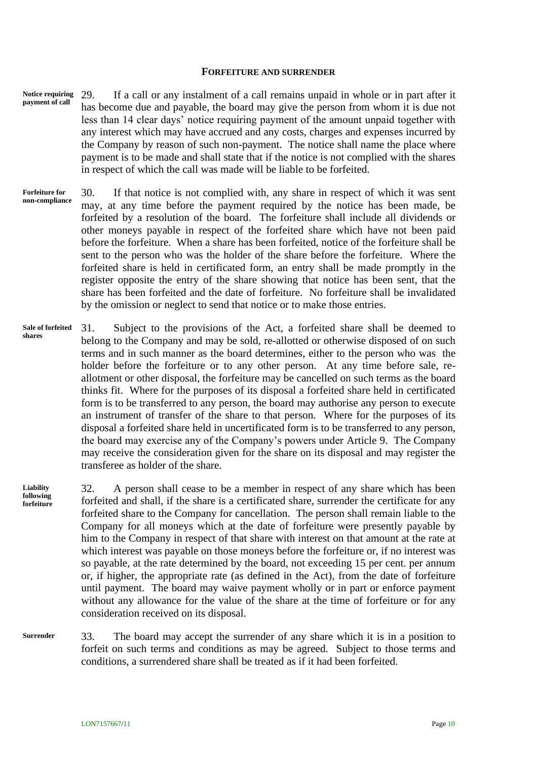#### **FORFEITURE AND SURRENDER**

- 29. If a call or any instalment of a call remains unpaid in whole or in part after it has become due and payable, the board may give the person from whom it is due not less than 14 clear days' notice requiring payment of the amount unpaid together with any interest which may have accrued and any costs, charges and expenses incurred by the Company by reason of such non-payment. The notice shall name the place where payment is to be made and shall state that if the notice is not complied with the shares in respect of which the call was made will be liable to be forfeited. **Notice requiring payment of call**
- 30. If that notice is not complied with, any share in respect of which it was sent may, at any time before the payment required by the notice has been made, be forfeited by a resolution of the board. The forfeiture shall include all dividends or other moneys payable in respect of the forfeited share which have not been paid before the forfeiture. When a share has been forfeited, notice of the forfeiture shall be sent to the person who was the holder of the share before the forfeiture. Where the forfeited share is held in certificated form, an entry shall be made promptly in the register opposite the entry of the share showing that notice has been sent, that the share has been forfeited and the date of forfeiture. No forfeiture shall be invalidated by the omission or neglect to send that notice or to make those entries. **Forfeiture for non-compliance**
- 31. Subject to the provisions of the Act, a forfeited share shall be deemed to belong to the Company and may be sold, re-allotted or otherwise disposed of on such terms and in such manner as the board determines, either to the person who was the holder before the forfeiture or to any other person. At any time before sale, reallotment or other disposal, the forfeiture may be cancelled on such terms as the board thinks fit. Where for the purposes of its disposal a forfeited share held in certificated form is to be transferred to any person, the board may authorise any person to execute an instrument of transfer of the share to that person. Where for the purposes of its disposal a forfeited share held in uncertificated form is to be transferred to any person, the board may exercise any of the Company's powers under Article [9.](#page-9-0) The Company may receive the consideration given for the share on its disposal and may register the transferee as holder of the share. **Sale of forfeited shares**

32. A person shall cease to be a member in respect of any share which has been forfeited and shall, if the share is a certificated share, surrender the certificate for any forfeited share to the Company for cancellation. The person shall remain liable to the Company for all moneys which at the date of forfeiture were presently payable by him to the Company in respect of that share with interest on that amount at the rate at which interest was payable on those moneys before the forfeiture or, if no interest was so payable, at the rate determined by the board, not exceeding 15 per cent. per annum or, if higher, the appropriate rate (as defined in the Act), from the date of forfeiture until payment. The board may waive payment wholly or in part or enforce payment without any allowance for the value of the share at the time of forfeiture or for any consideration received on its disposal. **Liability following forfeiture**

33. The board may accept the surrender of any share which it is in a position to forfeit on such terms and conditions as may be agreed. Subject to those terms and conditions, a surrendered share shall be treated as if it had been forfeited. **Surrender**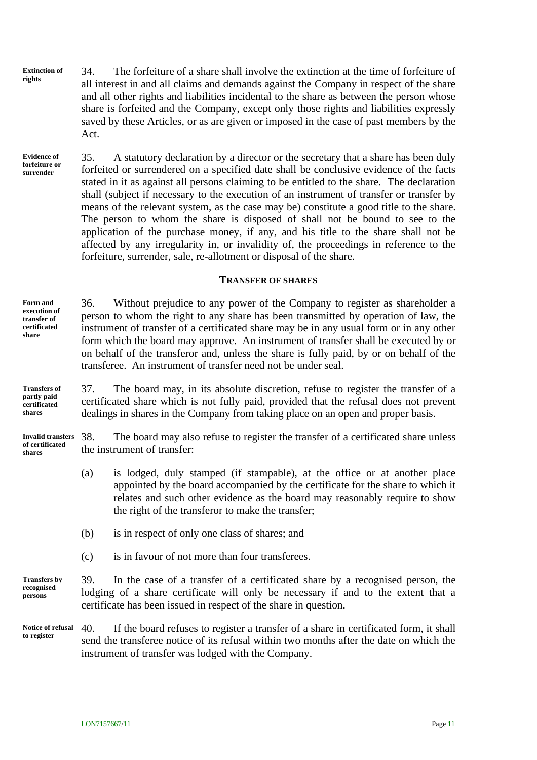34. The forfeiture of a share shall involve the extinction at the time of forfeiture of all interest in and all claims and demands against the Company in respect of the share and all other rights and liabilities incidental to the share as between the person whose share is forfeited and the Company, except only those rights and liabilities expressly saved by these Articles, or as are given or imposed in the case of past members by the Act. **Extinction of rights**

35. A statutory declaration by a director or the secretary that a share has been duly forfeited or surrendered on a specified date shall be conclusive evidence of the facts stated in it as against all persons claiming to be entitled to the share. The declaration shall (subject if necessary to the execution of an instrument of transfer or transfer by means of the relevant system, as the case may be) constitute a good title to the share. The person to whom the share is disposed of shall not be bound to see to the application of the purchase money, if any, and his title to the share shall not be affected by any irregularity in, or invalidity of, the proceedings in reference to the forfeiture, surrender, sale, re-allotment or disposal of the share. **Evidence of forfeiture or surrender**

#### **TRANSFER OF SHARES**

**Form and execution of transfer of certificated share**

36. Without prejudice to any power of the Company to register as shareholder a person to whom the right to any share has been transmitted by operation of law, the instrument of transfer of a certificated share may be in any usual form or in any other form which the board may approve. An instrument of transfer shall be executed by or on behalf of the transferor and, unless the share is fully paid, by or on behalf of the transferee. An instrument of transfer need not be under seal.

**Transfers of partly paid certificated shares**

**of certificated shares**

37. The board may, in its absolute discretion, refuse to register the transfer of a certificated share which is not fully paid, provided that the refusal does not prevent dealings in shares in the Company from taking place on an open and proper basis.

38. The board may also refuse to register the transfer of a certificated share unless the instrument of transfer: **Invalid transfers** 

- (a) is lodged, duly stamped (if stampable), at the office or at another place appointed by the board accompanied by the certificate for the share to which it relates and such other evidence as the board may reasonably require to show the right of the transferor to make the transfer;
- (b) is in respect of only one class of shares; and
- (c) is in favour of not more than four transferees.

39. In the case of a transfer of a certificated share by a recognised person, the lodging of a share certificate will only be necessary if and to the extent that a certificate has been issued in respect of the share in question. **Transfers by recognised persons**

40. If the board refuses to register a transfer of a share in certificated form, it shall send the transferee notice of its refusal within two months after the date on which the instrument of transfer was lodged with the Company. **Notice of refusal to register**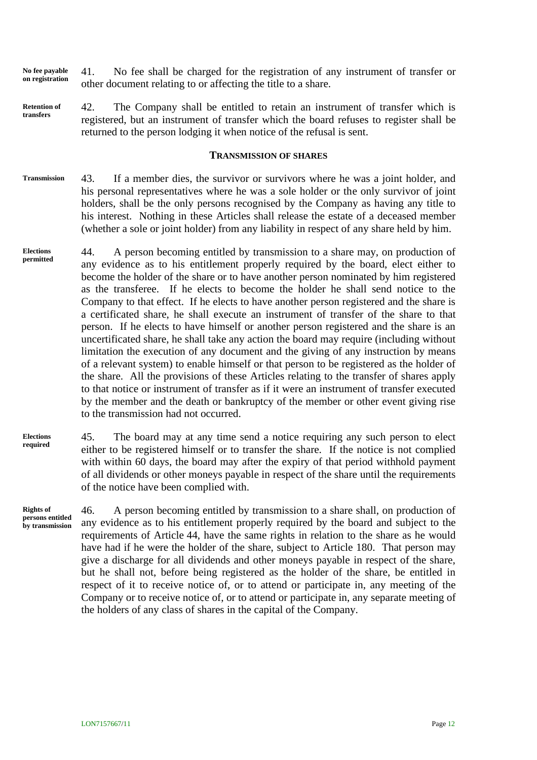- 41. No fee shall be charged for the registration of any instrument of transfer or other document relating to or affecting the title to a share. **No fee payable on registration**
- 42. The Company shall be entitled to retain an instrument of transfer which is registered, but an instrument of transfer which the board refuses to register shall be returned to the person lodging it when notice of the refusal is sent. **Retention of transfers**

#### **TRANSMISSION OF SHARES**

- 43. If a member dies, the survivor or survivors where he was a joint holder, and his personal representatives where he was a sole holder or the only survivor of joint holders, shall be the only persons recognised by the Company as having any title to his interest. Nothing in these Articles shall release the estate of a deceased member (whether a sole or joint holder) from any liability in respect of any share held by him. **Transmission**
- <span id="page-16-0"></span>44. A person becoming entitled by transmission to a share may, on production of any evidence as to his entitlement properly required by the board, elect either to become the holder of the share or to have another person nominated by him registered as the transferee. If he elects to become the holder he shall send notice to the Company to that effect. If he elects to have another person registered and the share is a certificated share, he shall execute an instrument of transfer of the share to that person. If he elects to have himself or another person registered and the share is an uncertificated share, he shall take any action the board may require (including without limitation the execution of any document and the giving of any instruction by means of a relevant system) to enable himself or that person to be registered as the holder of the share. All the provisions of these Articles relating to the transfer of shares apply to that notice or instrument of transfer as if it were an instrument of transfer executed by the member and the death or bankruptcy of the member or other event giving rise to the transmission had not occurred. **Elections permitted**
- 45. The board may at any time send a notice requiring any such person to elect either to be registered himself or to transfer the share. If the notice is not complied with within 60 days, the board may after the expiry of that period withhold payment of all dividends or other moneys payable in respect of the share until the requirements of the notice have been complied with. **Elections required**

**Rights of persons entitled by transmission**

46. A person becoming entitled by transmission to a share shall, on production of any evidence as to his entitlement properly required by the board and subject to the requirements of Article [44,](#page-16-0) have the same rights in relation to the share as he would have had if he were the holder of the share, subject to Article [180.](#page-53-0) That person may give a discharge for all dividends and other moneys payable in respect of the share, but he shall not, before being registered as the holder of the share, be entitled in respect of it to receive notice of, or to attend or participate in, any meeting of the Company or to receive notice of, or to attend or participate in, any separate meeting of the holders of any class of shares in the capital of the Company.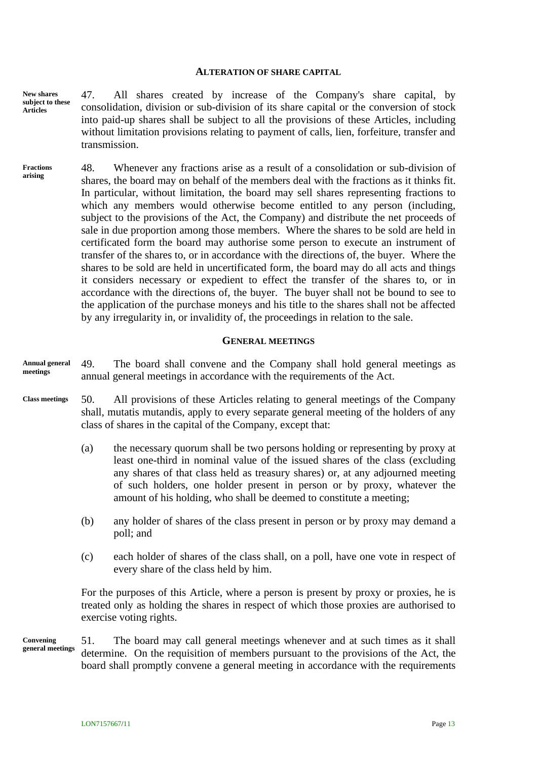#### **ALTERATION OF SHARE CAPITAL**

47. All shares created by increase of the Company's share capital, by consolidation, division or sub-division of its share capital or the conversion of stock into paid-up shares shall be subject to all the provisions of these Articles, including without limitation provisions relating to payment of calls, lien, forfeiture, transfer and transmission. **New shares subject to these Articles**

48. Whenever any fractions arise as a result of a consolidation or sub-division of shares, the board may on behalf of the members deal with the fractions as it thinks fit. In particular, without limitation, the board may sell shares representing fractions to which any members would otherwise become entitled to any person (including, subject to the provisions of the Act, the Company) and distribute the net proceeds of sale in due proportion among those members. Where the shares to be sold are held in certificated form the board may authorise some person to execute an instrument of transfer of the shares to, or in accordance with the directions of, the buyer. Where the shares to be sold are held in uncertificated form, the board may do all acts and things it considers necessary or expedient to effect the transfer of the shares to, or in accordance with the directions of, the buyer. The buyer shall not be bound to see to the application of the purchase moneys and his title to the shares shall not be affected by any irregularity in, or invalidity of, the proceedings in relation to the sale. **Fractions arising**

#### **GENERAL MEETINGS**

- 49. The board shall convene and the Company shall hold general meetings as annual general meetings in accordance with the requirements of the Act. **Annual general meetings**
- 50. All provisions of these Articles relating to general meetings of the Company shall, mutatis mutandis, apply to every separate general meeting of the holders of any class of shares in the capital of the Company, except that: **Class meetings**
	- (a) the necessary quorum shall be two persons holding or representing by proxy at least one-third in nominal value of the issued shares of the class (excluding any shares of that class held as treasury shares) or, at any adjourned meeting of such holders, one holder present in person or by proxy, whatever the amount of his holding, who shall be deemed to constitute a meeting;
	- (b) any holder of shares of the class present in person or by proxy may demand a poll; and
	- (c) each holder of shares of the class shall, on a poll, have one vote in respect of every share of the class held by him.

For the purposes of this Article, where a person is present by proxy or proxies, he is treated only as holding the shares in respect of which those proxies are authorised to exercise voting rights.

51. The board may call general meetings whenever and at such times as it shall determine. On the requisition of members pursuant to the provisions of the Act, the board shall promptly convene a general meeting in accordance with the requirements **Convening general meetings**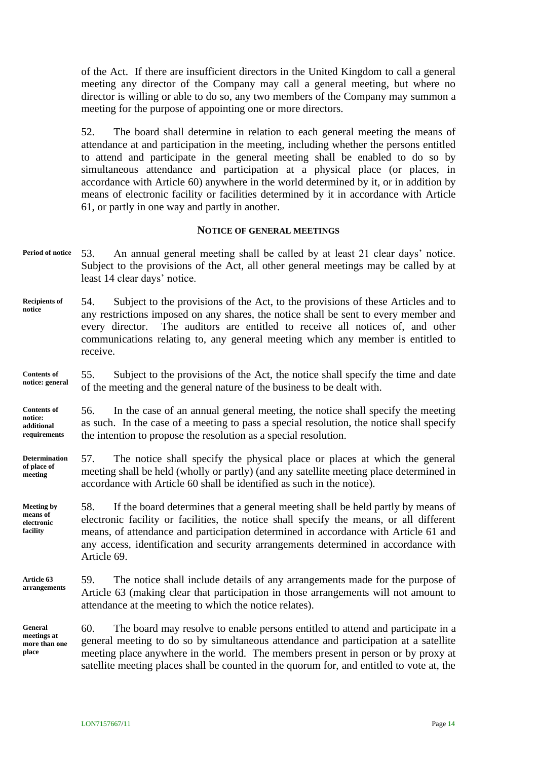of the Act. If there are insufficient directors in the United Kingdom to call a general meeting any director of the Company may call a general meeting, but where no director is willing or able to do so, any two members of the Company may summon a meeting for the purpose of appointing one or more directors.

52. The board shall determine in relation to each general meeting the means of attendance at and participation in the meeting, including whether the persons entitled to attend and participate in the general meeting shall be enabled to do so by simultaneous attendance and participation at a physical place (or places, in accordance with Article [60\)](#page-18-0) anywhere in the world determined by it, or in addition by means of electronic facility or facilities determined by it in accordance with Article [61,](#page-19-0) or partly in one way and partly in another.

#### **NOTICE OF GENERAL MEETINGS**

- 53. An annual general meeting shall be called by at least 21 clear days' notice. Subject to the provisions of the Act, all other general meetings may be called by at least 14 clear days' notice. **Period of notice**
- 54. Subject to the provisions of the Act, to the provisions of these Articles and to any restrictions imposed on any shares, the notice shall be sent to every member and every director. The auditors are entitled to receive all notices of, and other communications relating to, any general meeting which any member is entitled to receive. **Recipients of notice**

55. Subject to the provisions of the Act, the notice shall specify the time and date of the meeting and the general nature of the business to be dealt with. **Contents of notice: general**

56. In the case of an annual general meeting, the notice shall specify the meeting as such. In the case of a meeting to pass a special resolution, the notice shall specify the intention to propose the resolution as a special resolution. **Contents of notice: additional requirements**

57. The notice shall specify the physical place or places at which the general meeting shall be held (wholly or partly) (and any satellite meeting place determined in accordance with Article [60](#page-18-0) shall be identified as such in the notice). **Determination of place of meeting**

58. If the board determines that a general meeting shall be held partly by means of electronic facility or facilities, the notice shall specify the means, or all different means, of attendance and participation determined in accordance with Article [61](#page-19-0) and any access, identification and security arrangements determined in accordance with Article [69.](#page-21-0) **Meeting by means of electronic facility**

59. The notice shall include details of any arrangements made for the purpose of Article [63](#page-20-0) (making clear that participation in those arrangements will not amount to attendance at the meeting to which the notice relates). **Article [63](#page-20-0) arrangements**

**General meetings at more than one place**

<span id="page-18-0"></span>60. The board may resolve to enable persons entitled to attend and participate in a general meeting to do so by simultaneous attendance and participation at a satellite meeting place anywhere in the world. The members present in person or by proxy at satellite meeting places shall be counted in the quorum for, and entitled to vote at, the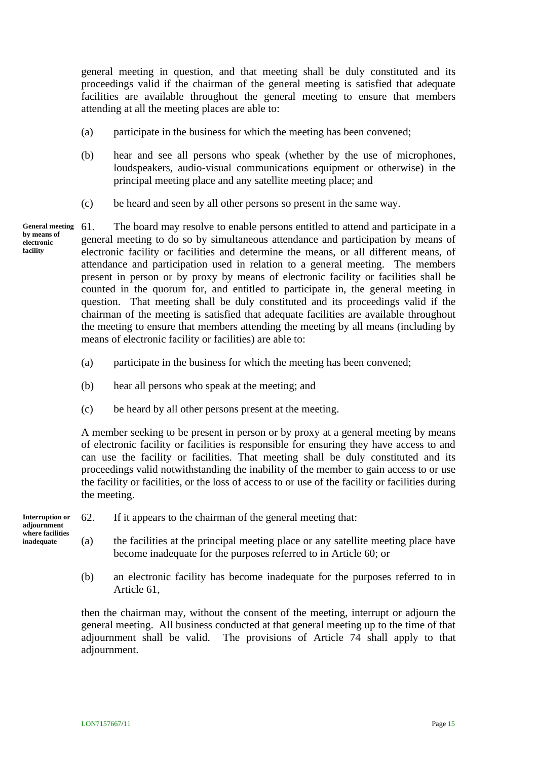general meeting in question, and that meeting shall be duly constituted and its proceedings valid if the chairman of the general meeting is satisfied that adequate facilities are available throughout the general meeting to ensure that members attending at all the meeting places are able to:

- (a) participate in the business for which the meeting has been convened;
- (b) hear and see all persons who speak (whether by the use of microphones, loudspeakers, audio-visual communications equipment or otherwise) in the principal meeting place and any satellite meeting place; and
- (c) be heard and seen by all other persons so present in the same way.

**General meeting by means of electronic facility**

<span id="page-19-0"></span>61. The board may resolve to enable persons entitled to attend and participate in a general meeting to do so by simultaneous attendance and participation by means of electronic facility or facilities and determine the means, or all different means, of attendance and participation used in relation to a general meeting. The members present in person or by proxy by means of electronic facility or facilities shall be counted in the quorum for, and entitled to participate in, the general meeting in question. That meeting shall be duly constituted and its proceedings valid if the chairman of the meeting is satisfied that adequate facilities are available throughout the meeting to ensure that members attending the meeting by all means (including by means of electronic facility or facilities) are able to:

- (a) participate in the business for which the meeting has been convened;
- (b) hear all persons who speak at the meeting; and
- (c) be heard by all other persons present at the meeting.

A member seeking to be present in person or by proxy at a general meeting by means of electronic facility or facilities is responsible for ensuring they have access to and can use the facility or facilities. That meeting shall be duly constituted and its proceedings valid notwithstanding the inability of the member to gain access to or use the facility or facilities, or the loss of access to or use of the facility or facilities during the meeting.

| Interruption or<br>adjournment<br>where facilities<br>inadequate | 62. | If it appears to the chairman of the general meeting that:                        |
|------------------------------------------------------------------|-----|-----------------------------------------------------------------------------------|
|                                                                  | (a) | the facilities at the principal meeting place or any satellite meeting place have |
|                                                                  |     | become inadequate for the purposes referred to in Article 60; or                  |

<span id="page-19-1"></span>(b) an electronic facility has become inadequate for the purposes referred to in Article [61,](#page-19-0)

then the chairman may, without the consent of the meeting, interrupt or adjourn the general meeting. All business conducted at that general meeting up to the time of that adjournment shall be valid. The provisions of Article [74](#page-22-0) shall apply to that adjournment.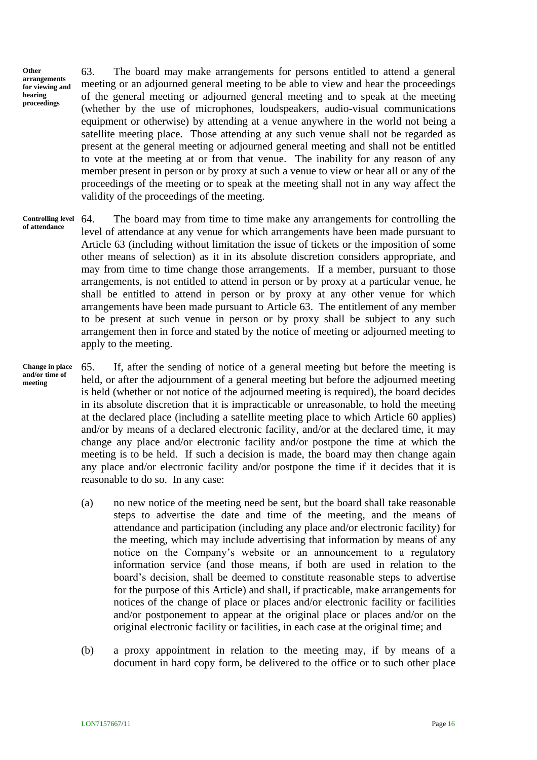**Other arrangements for viewing and hearing proceedings**

<span id="page-20-0"></span>63. The board may make arrangements for persons entitled to attend a general meeting or an adjourned general meeting to be able to view and hear the proceedings of the general meeting or adjourned general meeting and to speak at the meeting (whether by the use of microphones, loudspeakers, audio-visual communications equipment or otherwise) by attending at a venue anywhere in the world not being a satellite meeting place. Those attending at any such venue shall not be regarded as present at the general meeting or adjourned general meeting and shall not be entitled to vote at the meeting at or from that venue. The inability for any reason of any member present in person or by proxy at such a venue to view or hear all or any of the proceedings of the meeting or to speak at the meeting shall not in any way affect the validity of the proceedings of the meeting.

<span id="page-20-1"></span>64. The board may from time to time make any arrangements for controlling the level of attendance at any venue for which arrangements have been made pursuant to Article [63](#page-20-0) (including without limitation the issue of tickets or the imposition of some other means of selection) as it in its absolute discretion considers appropriate, and may from time to time change those arrangements. If a member, pursuant to those arrangements, is not entitled to attend in person or by proxy at a particular venue, he shall be entitled to attend in person or by proxy at any other venue for which arrangements have been made pursuant to Article [63.](#page-20-0) The entitlement of any member to be present at such venue in person or by proxy shall be subject to any such arrangement then in force and stated by the notice of meeting or adjourned meeting to apply to the meeting. **Controlling level of attendance**

**Change in place and/or time of meeting**

<span id="page-20-2"></span>65. If, after the sending of notice of a general meeting but before the meeting is held, or after the adjournment of a general meeting but before the adjourned meeting is held (whether or not notice of the adjourned meeting is required), the board decides in its absolute discretion that it is impracticable or unreasonable, to hold the meeting at the declared place (including a satellite meeting place to which Article [60](#page-18-0) applies) and/or by means of a declared electronic facility, and/or at the declared time, it may change any place and/or electronic facility and/or postpone the time at which the meeting is to be held. If such a decision is made, the board may then change again any place and/or electronic facility and/or postpone the time if it decides that it is reasonable to do so. In any case:

- (a) no new notice of the meeting need be sent, but the board shall take reasonable steps to advertise the date and time of the meeting, and the means of attendance and participation (including any place and/or electronic facility) for the meeting, which may include advertising that information by means of any notice on the Company's website or an announcement to a regulatory information service (and those means, if both are used in relation to the board's decision, shall be deemed to constitute reasonable steps to advertise for the purpose of this Article) and shall, if practicable, make arrangements for notices of the change of place or places and/or electronic facility or facilities and/or postponement to appear at the original place or places and/or on the original electronic facility or facilities, in each case at the original time; and
- <span id="page-20-3"></span>(b) a proxy appointment in relation to the meeting may, if by means of a document in hard copy form, be delivered to the office or to such other place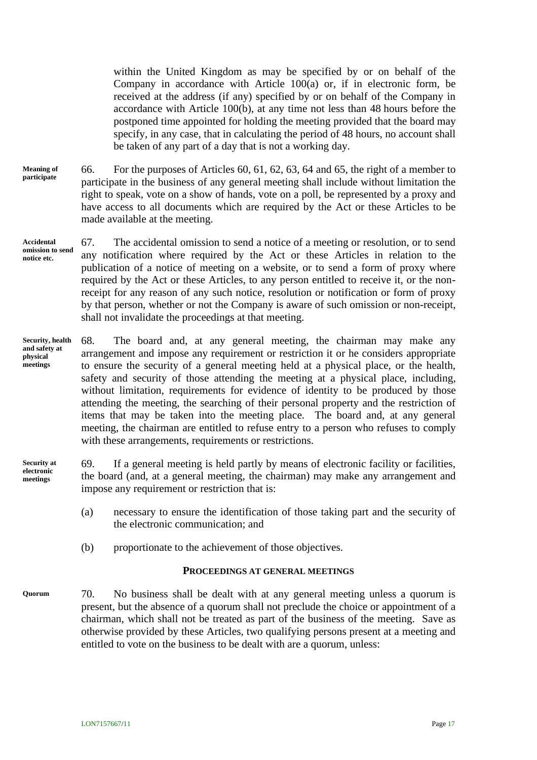within the United Kingdom as may be specified by or on behalf of the Company in accordance with Article  $100(a)$  or, if in electronic form, be received at the address (if any) specified by or on behalf of the Company in accordance with Article [100\(b\),](#page-29-0) at any time not less than 48 hours before the postponed time appointed for holding the meeting provided that the board may specify, in any case, that in calculating the period of 48 hours, no account shall be taken of any part of a day that is not a working day.

- 66. For the purposes of Articles [60,](#page-18-0) [61,](#page-19-0) [62,](#page-19-1) [63,](#page-20-0) [64](#page-20-1) and [65,](#page-20-2) the right of a member to participate in the business of any general meeting shall include without limitation the right to speak, vote on a show of hands, vote on a poll, be represented by a proxy and have access to all documents which are required by the Act or these Articles to be made available at the meeting. **Meaning of participate**
- 67. The accidental omission to send a notice of a meeting or resolution, or to send any notification where required by the Act or these Articles in relation to the publication of a notice of meeting on a website, or to send a form of proxy where required by the Act or these Articles, to any person entitled to receive it, or the nonreceipt for any reason of any such notice, resolution or notification or form of proxy by that person, whether or not the Company is aware of such omission or non-receipt, shall not invalidate the proceedings at that meeting. **Accidental omission to send notice etc.**
- 68. The board and, at any general meeting, the chairman may make any arrangement and impose any requirement or restriction it or he considers appropriate to ensure the security of a general meeting held at a physical place, or the health, safety and security of those attending the meeting at a physical place, including, without limitation, requirements for evidence of identity to be produced by those attending the meeting, the searching of their personal property and the restriction of items that may be taken into the meeting place. The board and, at any general meeting, the chairman are entitled to refuse entry to a person who refuses to comply with these arrangements, requirements or restrictions. **Security, health and safety at physical meetings**
- <span id="page-21-0"></span>69. If a general meeting is held partly by means of electronic facility or facilities, the board (and, at a general meeting, the chairman) may make any arrangement and impose any requirement or restriction that is: **Security at electronic meetings**
	- (a) necessary to ensure the identification of those taking part and the security of the electronic communication; and
	- (b) proportionate to the achievement of those objectives.

#### **PROCEEDINGS AT GENERAL MEETINGS**

70. No business shall be dealt with at any general meeting unless a quorum is present, but the absence of a quorum shall not preclude the choice or appointment of a chairman, which shall not be treated as part of the business of the meeting. Save as otherwise provided by these Articles, two qualifying persons present at a meeting and entitled to vote on the business to be dealt with are a quorum, unless: **Quorum**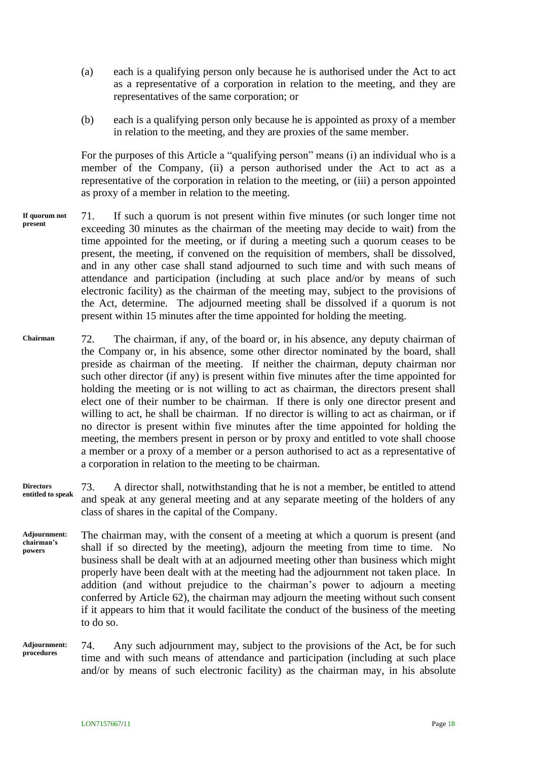- (a) each is a qualifying person only because he is authorised under the Act to act as a representative of a corporation in relation to the meeting, and they are representatives of the same corporation; or
- (b) each is a qualifying person only because he is appointed as proxy of a member in relation to the meeting, and they are proxies of the same member.

For the purposes of this Article a "qualifying person" means (i) an individual who is a member of the Company, (ii) a person authorised under the Act to act as a representative of the corporation in relation to the meeting, or (iii) a person appointed as proxy of a member in relation to the meeting.

- 71. If such a quorum is not present within five minutes (or such longer time not exceeding 30 minutes as the chairman of the meeting may decide to wait) from the time appointed for the meeting, or if during a meeting such a quorum ceases to be present, the meeting, if convened on the requisition of members, shall be dissolved, and in any other case shall stand adjourned to such time and with such means of attendance and participation (including at such place and/or by means of such electronic facility) as the chairman of the meeting may, subject to the provisions of the Act, determine. The adjourned meeting shall be dissolved if a quorum is not present within 15 minutes after the time appointed for holding the meeting. **If quorum not present**
- 72. The chairman, if any, of the board or, in his absence, any deputy chairman of the Company or, in his absence, some other director nominated by the board, shall preside as chairman of the meeting. If neither the chairman, deputy chairman nor such other director (if any) is present within five minutes after the time appointed for holding the meeting or is not willing to act as chairman, the directors present shall elect one of their number to be chairman. If there is only one director present and willing to act, he shall be chairman. If no director is willing to act as chairman, or if no director is present within five minutes after the time appointed for holding the meeting, the members present in person or by proxy and entitled to vote shall choose a member or a proxy of a member or a person authorised to act as a representative of a corporation in relation to the meeting to be chairman. **Chairman**
- 73. A director shall, notwithstanding that he is not a member, be entitled to attend and speak at any general meeting and at any separate meeting of the holders of any class of shares in the capital of the Company. **Directors entitled to speak**
- The chairman may, with the consent of a meeting at which a quorum is present (and shall if so directed by the meeting), adjourn the meeting from time to time. No business shall be dealt with at an adjourned meeting other than business which might properly have been dealt with at the meeting had the adjournment not taken place. In addition (and without prejudice to the chairman's power to adjourn a meeting conferred by Article [62\)](#page-19-1), the chairman may adjourn the meeting without such consent if it appears to him that it would facilitate the conduct of the business of the meeting to do so. **Adjournment: chairman's powers**

<span id="page-22-0"></span>74. Any such adjournment may, subject to the provisions of the Act, be for such time and with such means of attendance and participation (including at such place and/or by means of such electronic facility) as the chairman may, in his absolute **Adjournment: procedures**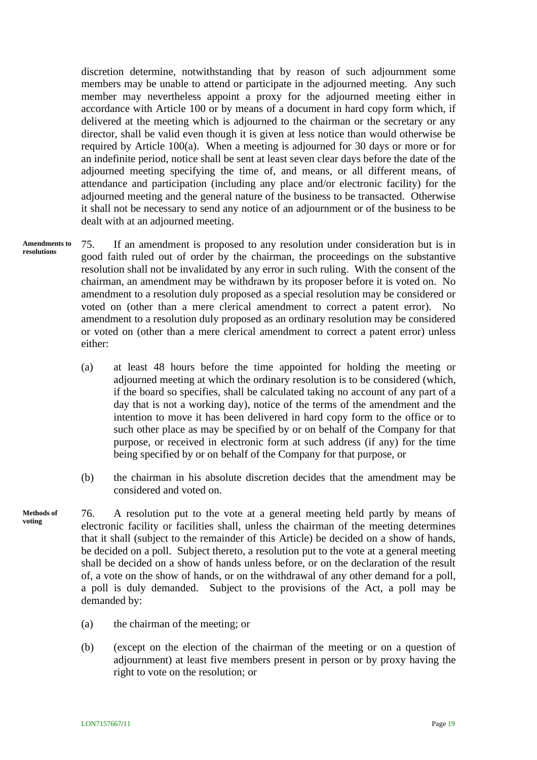discretion determine, notwithstanding that by reason of such adjournment some members may be unable to attend or participate in the adjourned meeting. Any such member may nevertheless appoint a proxy for the adjourned meeting either in accordance with Article [100](#page-28-1) or by means of a document in hard copy form which, if delivered at the meeting which is adjourned to the chairman or the secretary or any director, shall be valid even though it is given at less notice than would otherwise be required by Article [100\(a\).](#page-28-0) When a meeting is adjourned for 30 days or more or for an indefinite period, notice shall be sent at least seven clear days before the date of the adjourned meeting specifying the time of, and means, or all different means, of attendance and participation (including any place and/or electronic facility) for the adjourned meeting and the general nature of the business to be transacted. Otherwise it shall not be necessary to send any notice of an adjournment or of the business to be dealt with at an adjourned meeting.

**Amendments to resolutions**

75. If an amendment is proposed to any resolution under consideration but is in good faith ruled out of order by the chairman, the proceedings on the substantive resolution shall not be invalidated by any error in such ruling. With the consent of the chairman, an amendment may be withdrawn by its proposer before it is voted on. No amendment to a resolution duly proposed as a special resolution may be considered or voted on (other than a mere clerical amendment to correct a patent error). No amendment to a resolution duly proposed as an ordinary resolution may be considered or voted on (other than a mere clerical amendment to correct a patent error) unless either:

- (a) at least 48 hours before the time appointed for holding the meeting or adjourned meeting at which the ordinary resolution is to be considered (which, if the board so specifies, shall be calculated taking no account of any part of a day that is not a working day), notice of the terms of the amendment and the intention to move it has been delivered in hard copy form to the office or to such other place as may be specified by or on behalf of the Company for that purpose, or received in electronic form at such address (if any) for the time being specified by or on behalf of the Company for that purpose, or
- (b) the chairman in his absolute discretion decides that the amendment may be considered and voted on.
- 76. A resolution put to the vote at a general meeting held partly by means of electronic facility or facilities shall, unless the chairman of the meeting determines that it shall (subject to the remainder of this Article) be decided on a show of hands, be decided on a poll. Subject thereto, a resolution put to the vote at a general meeting shall be decided on a show of hands unless before, or on the declaration of the result of, a vote on the show of hands, or on the withdrawal of any other demand for a poll, a poll is duly demanded. Subject to the provisions of the Act, a poll may be demanded by: **Methods of voting**
	- (a) the chairman of the meeting; or
	- (b) (except on the election of the chairman of the meeting or on a question of adjournment) at least five members present in person or by proxy having the right to vote on the resolution; or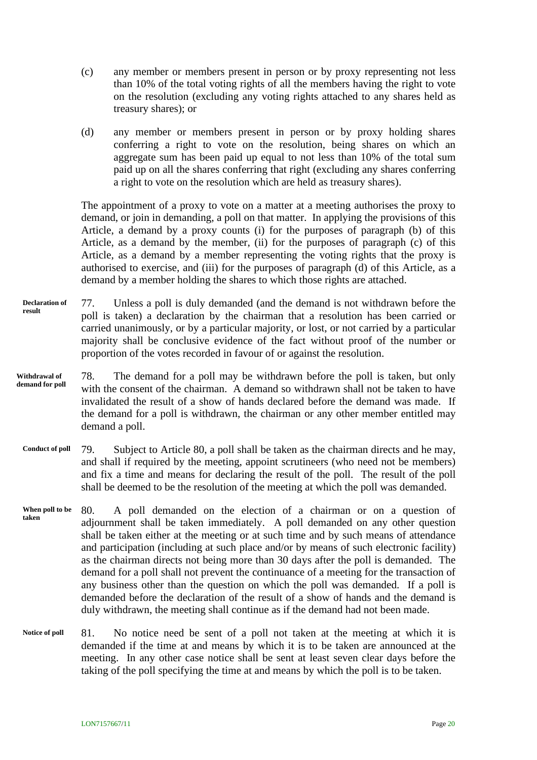- (c) any member or members present in person or by proxy representing not less than 10% of the total voting rights of all the members having the right to vote on the resolution (excluding any voting rights attached to any shares held as treasury shares); or
- (d) any member or members present in person or by proxy holding shares conferring a right to vote on the resolution, being shares on which an aggregate sum has been paid up equal to not less than 10% of the total sum paid up on all the shares conferring that right (excluding any shares conferring a right to vote on the resolution which are held as treasury shares).

The appointment of a proxy to vote on a matter at a meeting authorises the proxy to demand, or join in demanding, a poll on that matter. In applying the provisions of this Article, a demand by a proxy counts (i) for the purposes of paragraph (b) of this Article, as a demand by the member, (ii) for the purposes of paragraph (c) of this Article, as a demand by a member representing the voting rights that the proxy is authorised to exercise, and (iii) for the purposes of paragraph (d) of this Article, as a demand by a member holding the shares to which those rights are attached.

- 77. Unless a poll is duly demanded (and the demand is not withdrawn before the poll is taken) a declaration by the chairman that a resolution has been carried or carried unanimously, or by a particular majority, or lost, or not carried by a particular majority shall be conclusive evidence of the fact without proof of the number or proportion of the votes recorded in favour of or against the resolution. **Declaration of result**
- 78. The demand for a poll may be withdrawn before the poll is taken, but only with the consent of the chairman. A demand so withdrawn shall not be taken to have invalidated the result of a show of hands declared before the demand was made. If the demand for a poll is withdrawn, the chairman or any other member entitled may demand a poll. **Withdrawal of demand for poll**
- 79. Subject to Article [80,](#page-24-0) a poll shall be taken as the chairman directs and he may, and shall if required by the meeting, appoint scrutineers (who need not be members) and fix a time and means for declaring the result of the poll. The result of the poll shall be deemed to be the resolution of the meeting at which the poll was demanded. **Conduct of poll**
- <span id="page-24-0"></span>80. A poll demanded on the election of a chairman or on a question of adjournment shall be taken immediately. A poll demanded on any other question shall be taken either at the meeting or at such time and by such means of attendance and participation (including at such place and/or by means of such electronic facility) as the chairman directs not being more than 30 days after the poll is demanded. The demand for a poll shall not prevent the continuance of a meeting for the transaction of any business other than the question on which the poll was demanded. If a poll is demanded before the declaration of the result of a show of hands and the demand is duly withdrawn, the meeting shall continue as if the demand had not been made. **When poll to be taken**
- 81. No notice need be sent of a poll not taken at the meeting at which it is demanded if the time at and means by which it is to be taken are announced at the meeting. In any other case notice shall be sent at least seven clear days before the taking of the poll specifying the time at and means by which the poll is to be taken. **Notice of poll**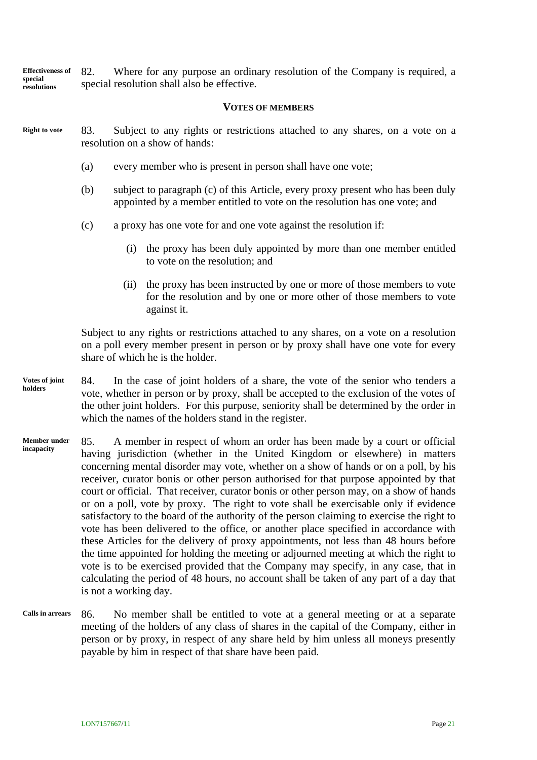82. Where for any purpose an ordinary resolution of the Company is required, a special resolution shall also be effective. **Effectiveness of special resolutions**

#### **VOTES OF MEMBERS**

- 83. Subject to any rights or restrictions attached to any shares, on a vote on a resolution on a show of hands: **Right to vote**
	- (a) every member who is present in person shall have one vote;
	- (b) subject to paragraph (c) of this Article, every proxy present who has been duly appointed by a member entitled to vote on the resolution has one vote; and
	- (c) a proxy has one vote for and one vote against the resolution if:
		- (i) the proxy has been duly appointed by more than one member entitled to vote on the resolution; and
		- (ii) the proxy has been instructed by one or more of those members to vote for the resolution and by one or more other of those members to vote against it.

Subject to any rights or restrictions attached to any shares, on a vote on a resolution on a poll every member present in person or by proxy shall have one vote for every share of which he is the holder.

- 84. In the case of joint holders of a share, the vote of the senior who tenders a vote, whether in person or by proxy, shall be accepted to the exclusion of the votes of the other joint holders. For this purpose, seniority shall be determined by the order in which the names of the holders stand in the register. **Votes of joint holders**
- 85. A member in respect of whom an order has been made by a court or official having jurisdiction (whether in the United Kingdom or elsewhere) in matters concerning mental disorder may vote, whether on a show of hands or on a poll, by his receiver, curator bonis or other person authorised for that purpose appointed by that court or official. That receiver, curator bonis or other person may, on a show of hands or on a poll, vote by proxy. The right to vote shall be exercisable only if evidence satisfactory to the board of the authority of the person claiming to exercise the right to vote has been delivered to the office, or another place specified in accordance with these Articles for the delivery of proxy appointments, not less than 48 hours before the time appointed for holding the meeting or adjourned meeting at which the right to vote is to be exercised provided that the Company may specify, in any case, that in calculating the period of 48 hours, no account shall be taken of any part of a day that is not a working day. **Member under incapacity**
- 86. No member shall be entitled to vote at a general meeting or at a separate meeting of the holders of any class of shares in the capital of the Company, either in person or by proxy, in respect of any share held by him unless all moneys presently payable by him in respect of that share have been paid. **Calls in arrears**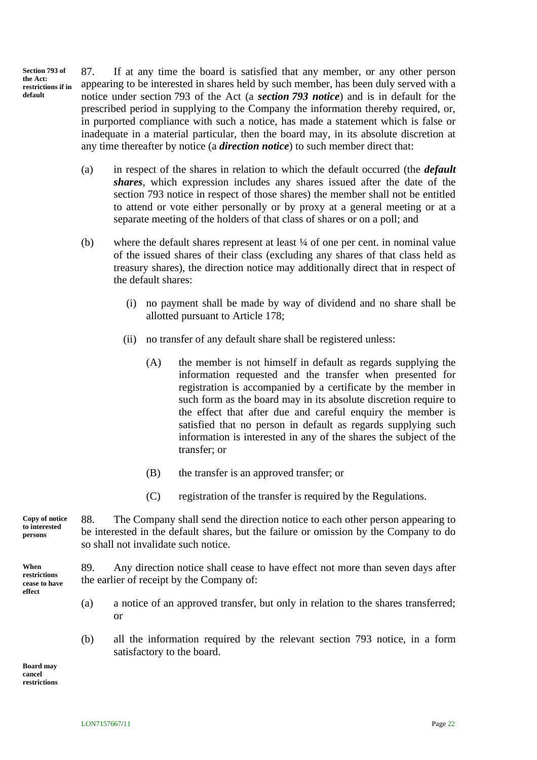**Section 793 of the Act: restrictions if in default**

<span id="page-26-0"></span>87. If at any time the board is satisfied that any member, or any other person appearing to be interested in shares held by such member, has been duly served with a notice under section 793 of the Act (a *section 793 notice*) and is in default for the prescribed period in supplying to the Company the information thereby required, or, in purported compliance with such a notice, has made a statement which is false or inadequate in a material particular, then the board may, in its absolute discretion at any time thereafter by notice (a *direction notice*) to such member direct that:

- (a) in respect of the shares in relation to which the default occurred (the *default shares*, which expression includes any shares issued after the date of the section 793 notice in respect of those shares) the member shall not be entitled to attend or vote either personally or by proxy at a general meeting or at a separate meeting of the holders of that class of shares or on a poll; and
- (b) where the default shares represent at least ¼ of one per cent. in nominal value of the issued shares of their class (excluding any shares of that class held as treasury shares), the direction notice may additionally direct that in respect of the default shares:
	- (i) no payment shall be made by way of dividend and no share shall be allotted pursuant to Article [178;](#page-52-0)
	- (ii) no transfer of any default share shall be registered unless:
		- (A) the member is not himself in default as regards supplying the information requested and the transfer when presented for registration is accompanied by a certificate by the member in such form as the board may in its absolute discretion require to the effect that after due and careful enquiry the member is satisfied that no person in default as regards supplying such information is interested in any of the shares the subject of the transfer; or
		- (B) the transfer is an approved transfer; or
		- (C) registration of the transfer is required by the Regulations.

88. The Company shall send the direction notice to each other person appearing to be interested in the default shares, but the failure or omission by the Company to do so shall not invalidate such notice. **Copy of notice to interested** 

> <span id="page-26-2"></span><span id="page-26-1"></span>89. Any direction notice shall cease to have effect not more than seven days after the earlier of receipt by the Company of:

- (a) a notice of an approved transfer, but only in relation to the shares transferred; or
- (b) all the information required by the relevant section 793 notice, in a form satisfactory to the board.

**Board may cancel restrictions**

**restrictions cease to have effect**

**LON7157667/11** Page 22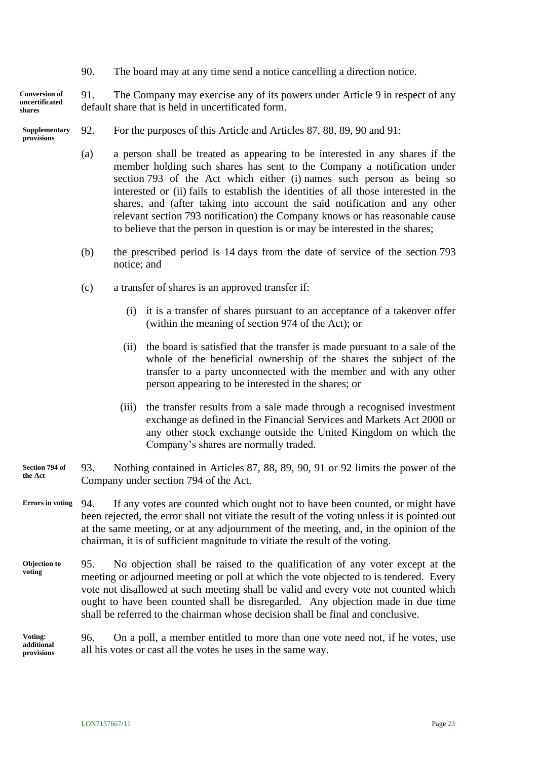<span id="page-27-1"></span><span id="page-27-0"></span>90. The board may at any time send a notice cancelling a direction notice.

91. The Company may exercise any of its powers under Article [9](#page-9-0) in respect of any default share that is held in uncertificated form. **Conversion of uncertificated shares**

- <span id="page-27-2"></span>92. For the purposes of this Article and Articles [87,](#page-26-0) [88,](#page-26-1) [89,](#page-26-2) [90](#page-27-0) and [91:](#page-27-1) **Supplementary provisions**
	- (a) a person shall be treated as appearing to be interested in any shares if the member holding such shares has sent to the Company a notification under section 793 of the Act which either (i) names such person as being so interested or (ii) fails to establish the identities of all those interested in the shares, and (after taking into account the said notification and any other relevant section 793 notification) the Company knows or has reasonable cause to believe that the person in question is or may be interested in the shares;
	- (b) the prescribed period is 14 days from the date of service of the section 793 notice; and
	- (c) a transfer of shares is an approved transfer if:
		- (i) it is a transfer of shares pursuant to an acceptance of a takeover offer (within the meaning of section 974 of the Act); or
		- (ii) the board is satisfied that the transfer is made pursuant to a sale of the whole of the beneficial ownership of the shares the subject of the transfer to a party unconnected with the member and with any other person appearing to be interested in the shares; or
		- (iii) the transfer results from a sale made through a recognised investment exchange as defined in the Financial Services and Markets Act 2000 or any other stock exchange outside the United Kingdom on which the Company's shares are normally traded.
- 93. Nothing contained in Articles [87,](#page-26-0) [88,](#page-26-1) [89,](#page-26-2) [90,](#page-27-0) [91](#page-27-1) or [92](#page-27-2) limits the power of the Company under section 794 of the Act. **Section 794 of the Act**
- 94. If any votes are counted which ought not to have been counted, or might have been rejected, the error shall not vitiate the result of the voting unless it is pointed out at the same meeting, or at any adjournment of the meeting, and, in the opinion of the chairman, it is of sufficient magnitude to vitiate the result of the voting. **Errors in voting**
- 95. No objection shall be raised to the qualification of any voter except at the meeting or adjourned meeting or poll at which the vote objected to is tendered. Every vote not disallowed at such meeting shall be valid and every vote not counted which ought to have been counted shall be disregarded. Any objection made in due time shall be referred to the chairman whose decision shall be final and conclusive. **Objection to voting**

#### 96. On a poll, a member entitled to more than one vote need not, if he votes, use all his votes or cast all the votes he uses in the same way. **Voting: additional provisions**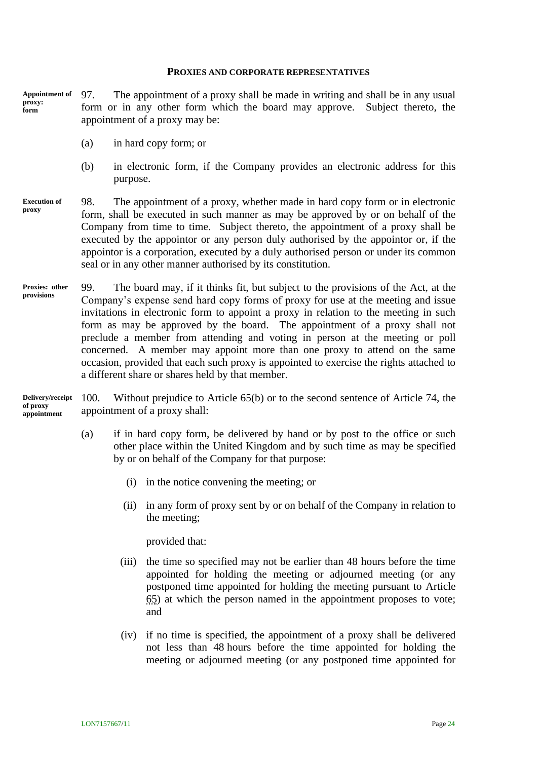#### **PROXIES AND CORPORATE REPRESENTATIVES**

97. The appointment of a proxy shall be made in writing and shall be in any usual form or in any other form which the board may approve. Subject thereto, the appointment of a proxy may be: **Appointment of proxy: form** 

- (a) in hard copy form; or
- (b) in electronic form, if the Company provides an electronic address for this purpose.
- 98. The appointment of a proxy, whether made in hard copy form or in electronic form, shall be executed in such manner as may be approved by or on behalf of the Company from time to time. Subject thereto, the appointment of a proxy shall be executed by the appointor or any person duly authorised by the appointor or, if the appointor is a corporation, executed by a duly authorised person or under its common seal or in any other manner authorised by its constitution. **Execution of proxy**
- 99. The board may, if it thinks fit, but subject to the provisions of the Act, at the Company's expense send hard copy forms of proxy for use at the meeting and issue invitations in electronic form to appoint a proxy in relation to the meeting in such form as may be approved by the board. The appointment of a proxy shall not preclude a member from attending and voting in person at the meeting or poll concerned. A member may appoint more than one proxy to attend on the same occasion, provided that each such proxy is appointed to exercise the rights attached to a different share or shares held by that member. **Proxies: other provisions**

100. Without prejudice to Article [65\(b\)](#page-20-3) or to the second sentence of Article [74,](#page-22-0) the appointment of a proxy shall: **Delivery/receipt of proxy appointment**

- <span id="page-28-1"></span><span id="page-28-0"></span>(a) if in hard copy form, be delivered by hand or by post to the office or such other place within the United Kingdom and by such time as may be specified by or on behalf of the Company for that purpose:
	- (i) in the notice convening the meeting; or
	- (ii) in any form of proxy sent by or on behalf of the Company in relation to the meeting;

provided that:

- (iii) the time so specified may not be earlier than 48 hours before the time appointed for holding the meeting or adjourned meeting (or any postponed time appointed for holding the meeting pursuant to Article [65\)](#page-20-2) at which the person named in the appointment proposes to vote; and
- (iv) if no time is specified, the appointment of a proxy shall be delivered not less than 48 hours before the time appointed for holding the meeting or adjourned meeting (or any postponed time appointed for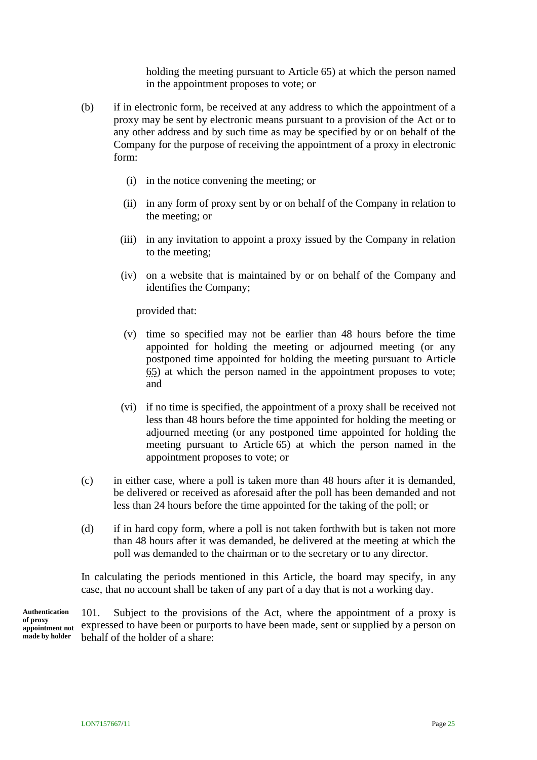holding the meeting pursuant to Article [65\)](#page-20-2) at which the person named in the appointment proposes to vote; or

- <span id="page-29-0"></span>(b) if in electronic form, be received at any address to which the appointment of a proxy may be sent by electronic means pursuant to a provision of the Act or to any other address and by such time as may be specified by or on behalf of the Company for the purpose of receiving the appointment of a proxy in electronic form:
	- (i) in the notice convening the meeting; or
	- (ii) in any form of proxy sent by or on behalf of the Company in relation to the meeting; or
	- (iii) in any invitation to appoint a proxy issued by the Company in relation to the meeting;
	- (iv) on a website that is maintained by or on behalf of the Company and identifies the Company;

provided that:

- (v) time so specified may not be earlier than 48 hours before the time appointed for holding the meeting or adjourned meeting (or any postponed time appointed for holding the meeting pursuant to Article [65\)](#page-20-2) at which the person named in the appointment proposes to vote; and
- (vi) if no time is specified, the appointment of a proxy shall be received not less than 48 hours before the time appointed for holding the meeting or adjourned meeting (or any postponed time appointed for holding the meeting pursuant to Article [65\)](#page-20-2) at which the person named in the appointment proposes to vote; or
- (c) in either case, where a poll is taken more than 48 hours after it is demanded, be delivered or received as aforesaid after the poll has been demanded and not less than 24 hours before the time appointed for the taking of the poll; or
- (d) if in hard copy form, where a poll is not taken forthwith but is taken not more than 48 hours after it was demanded, be delivered at the meeting at which the poll was demanded to the chairman or to the secretary or to any director.

In calculating the periods mentioned in this Article, the board may specify, in any case, that no account shall be taken of any part of a day that is not a working day.

101. Subject to the provisions of the Act, where the appointment of a proxy is expressed to have been or purports to have been made, sent or supplied by a person on behalf of the holder of a share: **Authentication of proxy appointment not made by holder**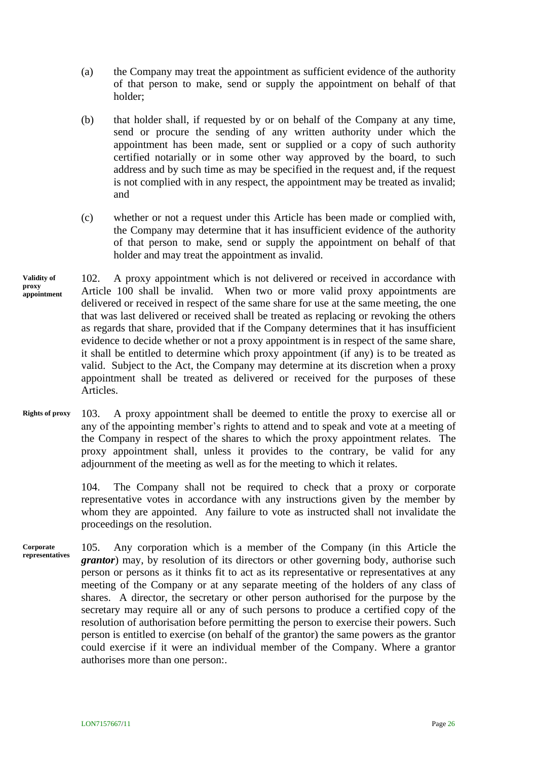- (a) the Company may treat the appointment as sufficient evidence of the authority of that person to make, send or supply the appointment on behalf of that holder;
- (b) that holder shall, if requested by or on behalf of the Company at any time, send or procure the sending of any written authority under which the appointment has been made, sent or supplied or a copy of such authority certified notarially or in some other way approved by the board, to such address and by such time as may be specified in the request and, if the request is not complied with in any respect, the appointment may be treated as invalid; and
- (c) whether or not a request under this Article has been made or complied with, the Company may determine that it has insufficient evidence of the authority of that person to make, send or supply the appointment on behalf of that holder and may treat the appointment as invalid.
- 102. A proxy appointment which is not delivered or received in accordance with Article [100](#page-28-1) shall be invalid. When two or more valid proxy appointments are delivered or received in respect of the same share for use at the same meeting, the one that was last delivered or received shall be treated as replacing or revoking the others as regards that share, provided that if the Company determines that it has insufficient evidence to decide whether or not a proxy appointment is in respect of the same share, it shall be entitled to determine which proxy appointment (if any) is to be treated as valid. Subject to the Act, the Company may determine at its discretion when a proxy appointment shall be treated as delivered or received for the purposes of these Articles. **Validity of proxy appointment**
- 103. A proxy appointment shall be deemed to entitle the proxy to exercise all or any of the appointing member's rights to attend and to speak and vote at a meeting of the Company in respect of the shares to which the proxy appointment relates. The proxy appointment shall, unless it provides to the contrary, be valid for any adjournment of the meeting as well as for the meeting to which it relates. **Rights of proxy**

104. The Company shall not be required to check that a proxy or corporate representative votes in accordance with any instructions given by the member by whom they are appointed. Any failure to vote as instructed shall not invalidate the proceedings on the resolution.

105. Any corporation which is a member of the Company (in this Article the *grantor*) may, by resolution of its directors or other governing body, authorise such person or persons as it thinks fit to act as its representative or representatives at any meeting of the Company or at any separate meeting of the holders of any class of shares. A director, the secretary or other person authorised for the purpose by the secretary may require all or any of such persons to produce a certified copy of the resolution of authorisation before permitting the person to exercise their powers. Such person is entitled to exercise (on behalf of the grantor) the same powers as the grantor could exercise if it were an individual member of the Company. Where a grantor authorises more than one person:. **Corporate representatives**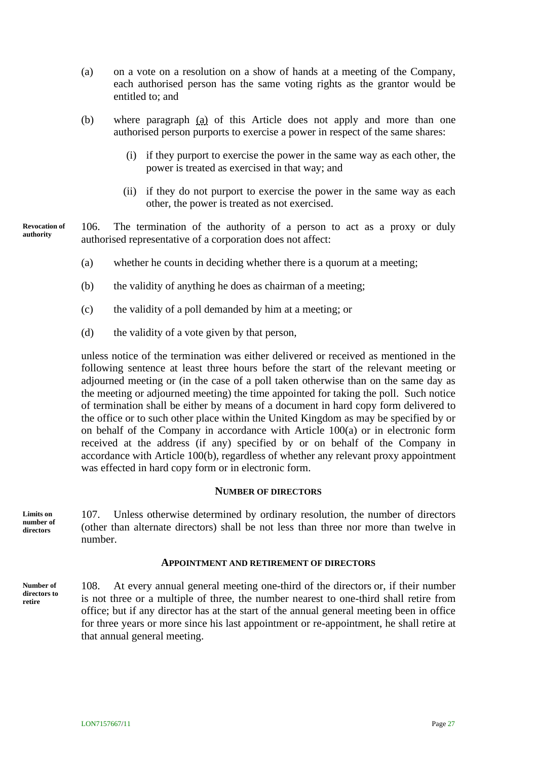- <span id="page-31-0"></span>(a) on a vote on a resolution on a show of hands at a meeting of the Company, each authorised person has the same voting rights as the grantor would be entitled to; and
- (b) where paragraph [\(a\)](#page-31-0) of this Article does not apply and more than one authorised person purports to exercise a power in respect of the same shares:
	- (i) if they purport to exercise the power in the same way as each other, the power is treated as exercised in that way; and
	- (ii) if they do not purport to exercise the power in the same way as each other, the power is treated as not exercised.

106. The termination of the authority of a person to act as a proxy or duly authorised representative of a corporation does not affect: **Revocation of authority**

- (a) whether he counts in deciding whether there is a quorum at a meeting;
- (b) the validity of anything he does as chairman of a meeting;
- (c) the validity of a poll demanded by him at a meeting; or
- (d) the validity of a vote given by that person,

unless notice of the termination was either delivered or received as mentioned in the following sentence at least three hours before the start of the relevant meeting or adjourned meeting or (in the case of a poll taken otherwise than on the same day as the meeting or adjourned meeting) the time appointed for taking the poll. Such notice of termination shall be either by means of a document in hard copy form delivered to the office or to such other place within the United Kingdom as may be specified by or on behalf of the Company in accordance with Article [100\(a\)](#page-28-0) or in electronic form received at the address (if any) specified by or on behalf of the Company in accordance with Article [100\(b\),](#page-29-0) regardless of whether any relevant proxy appointment was effected in hard copy form or in electronic form.

#### **NUMBER OF DIRECTORS**

**Limits on number of directors**

107. Unless otherwise determined by ordinary resolution, the number of directors (other than alternate directors) shall be not less than three nor more than twelve in number.

#### **APPOINTMENT AND RETIREMENT OF DIRECTORS**

**Number of directors to retire**

108. At every annual general meeting one-third of the directors or, if their number is not three or a multiple of three, the number nearest to one-third shall retire from office; but if any director has at the start of the annual general meeting been in office for three years or more since his last appointment or re-appointment, he shall retire at that annual general meeting.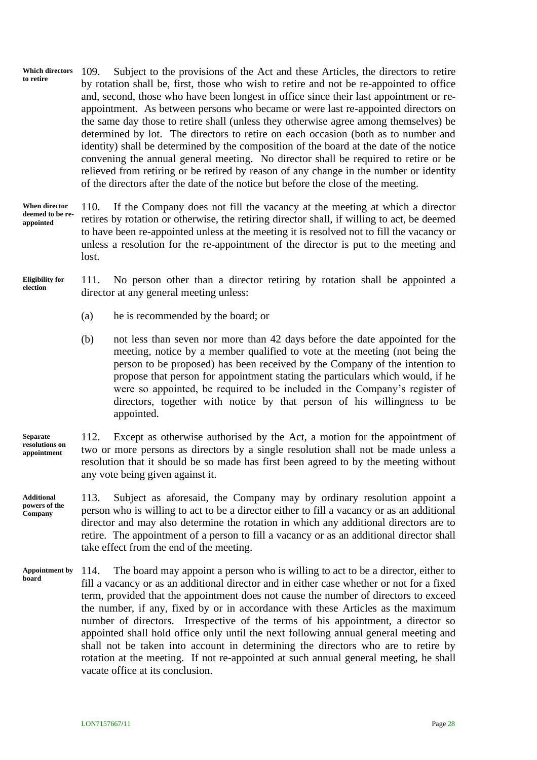- 109. Subject to the provisions of the Act and these Articles, the directors to retire by rotation shall be, first, those who wish to retire and not be re-appointed to office and, second, those who have been longest in office since their last appointment or reappointment. As between persons who became or were last re-appointed directors on the same day those to retire shall (unless they otherwise agree among themselves) be determined by lot. The directors to retire on each occasion (both as to number and identity) shall be determined by the composition of the board at the date of the notice convening the annual general meeting. No director shall be required to retire or be relieved from retiring or be retired by reason of any change in the number or identity of the directors after the date of the notice but before the close of the meeting. **Which directors to retire**
- 110. If the Company does not fill the vacancy at the meeting at which a director retires by rotation or otherwise, the retiring director shall, if willing to act, be deemed to have been re-appointed unless at the meeting it is resolved not to fill the vacancy or unless a resolution for the re-appointment of the director is put to the meeting and lost. **When director deemed to be reappointed**
- 111. No person other than a director retiring by rotation shall be appointed a director at any general meeting unless: **Eligibility for election**
	- (a) he is recommended by the board; or
	- (b) not less than seven nor more than 42 days before the date appointed for the meeting, notice by a member qualified to vote at the meeting (not being the person to be proposed) has been received by the Company of the intention to propose that person for appointment stating the particulars which would, if he were so appointed, be required to be included in the Company's register of directors, together with notice by that person of his willingness to be appointed.
- 112. Except as otherwise authorised by the Act, a motion for the appointment of two or more persons as directors by a single resolution shall not be made unless a resolution that it should be so made has first been agreed to by the meeting without any vote being given against it. **Separate resolutions on appointment**

113. Subject as aforesaid, the Company may by ordinary resolution appoint a person who is willing to act to be a director either to fill a vacancy or as an additional director and may also determine the rotation in which any additional directors are to retire. The appointment of a person to fill a vacancy or as an additional director shall take effect from the end of the meeting. **Additional powers of the Company**

114. The board may appoint a person who is willing to act to be a director, either to fill a vacancy or as an additional director and in either case whether or not for a fixed term, provided that the appointment does not cause the number of directors to exceed the number, if any, fixed by or in accordance with these Articles as the maximum number of directors. Irrespective of the terms of his appointment, a director so appointed shall hold office only until the next following annual general meeting and shall not be taken into account in determining the directors who are to retire by rotation at the meeting. If not re-appointed at such annual general meeting, he shall vacate office at its conclusion. **Appointment by board**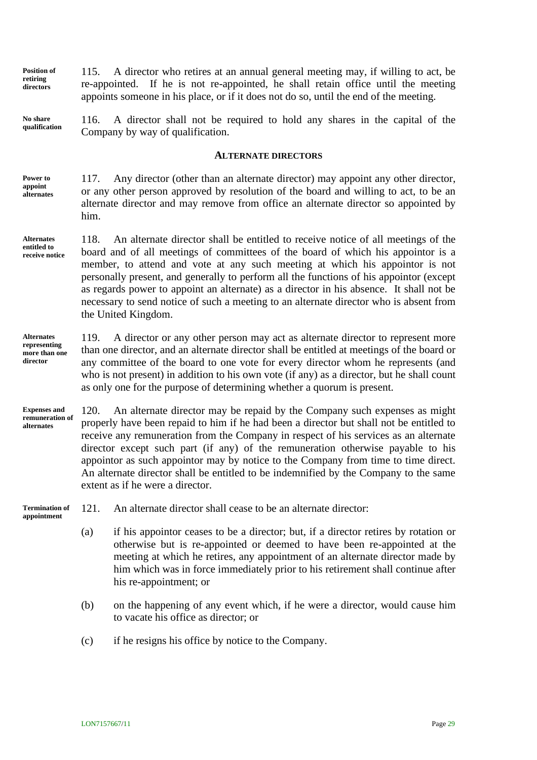**Position of retiring directors**

<span id="page-33-1"></span>115. A director who retires at an annual general meeting may, if willing to act, be re-appointed. If he is not re-appointed, he shall retain office until the meeting appoints someone in his place, or if it does not do so, until the end of the meeting.

**No share qualification**

116. A director shall not be required to hold any shares in the capital of the Company by way of qualification.

#### **ALTERNATE DIRECTORS**

<span id="page-33-0"></span>117. Any director (other than an alternate director) may appoint any other director, or any other person approved by resolution of the board and willing to act, to be an alternate director and may remove from office an alternate director so appointed by him. **Power to appoint alternates**

**Alternates entitled to receive notice**

118. An alternate director shall be entitled to receive notice of all meetings of the board and of all meetings of committees of the board of which his appointor is a member, to attend and vote at any such meeting at which his appointor is not personally present, and generally to perform all the functions of his appointor (except as regards power to appoint an alternate) as a director in his absence. It shall not be necessary to send notice of such a meeting to an alternate director who is absent from the United Kingdom.

**Alternates representing more than one director**

119. A director or any other person may act as alternate director to represent more than one director, and an alternate director shall be entitled at meetings of the board or any committee of the board to one vote for every director whom he represents (and who is not present) in addition to his own vote (if any) as a director, but he shall count as only one for the purpose of determining whether a quorum is present.

120. An alternate director may be repaid by the Company such expenses as might properly have been repaid to him if he had been a director but shall not be entitled to receive any remuneration from the Company in respect of his services as an alternate director except such part (if any) of the remuneration otherwise payable to his appointor as such appointor may by notice to the Company from time to time direct. An alternate director shall be entitled to be indemnified by the Company to the same extent as if he were a director. **Expenses and remuneration of alternates**

**Termination of appointment**

121. An alternate director shall cease to be an alternate director:

- (a) if his appointor ceases to be a director; but, if a director retires by rotation or otherwise but is re-appointed or deemed to have been re-appointed at the meeting at which he retires, any appointment of an alternate director made by him which was in force immediately prior to his retirement shall continue after his re-appointment; or
- (b) on the happening of any event which, if he were a director, would cause him to vacate his office as director; or
- (c) if he resigns his office by notice to the Company.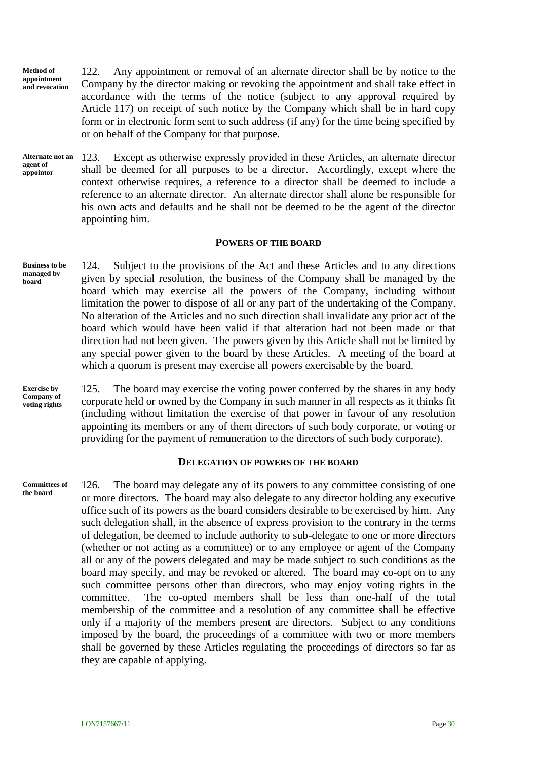122. Any appointment or removal of an alternate director shall be by notice to the Company by the director making or revoking the appointment and shall take effect in accordance with the terms of the notice (subject to any approval required by Article [117\)](#page-33-0) on receipt of such notice by the Company which shall be in hard copy form or in electronic form sent to such address (if any) for the time being specified by or on behalf of the Company for that purpose. **Method of appointment and revocation**

123. Except as otherwise expressly provided in these Articles, an alternate director shall be deemed for all purposes to be a director. Accordingly, except where the context otherwise requires, a reference to a director shall be deemed to include a reference to an alternate director. An alternate director shall alone be responsible for his own acts and defaults and he shall not be deemed to be the agent of the director appointing him. **Alternate not an agent of appointor**

#### **POWERS OF THE BOARD**

124. Subject to the provisions of the Act and these Articles and to any directions given by special resolution, the business of the Company shall be managed by the board which may exercise all the powers of the Company, including without limitation the power to dispose of all or any part of the undertaking of the Company. No alteration of the Articles and no such direction shall invalidate any prior act of the board which would have been valid if that alteration had not been made or that direction had not been given. The powers given by this Article shall not be limited by any special power given to the board by these Articles. A meeting of the board at which a quorum is present may exercise all powers exercisable by the board. **Business to be managed by board**

**Exercise by Company of voting rights**

125. The board may exercise the voting power conferred by the shares in any body corporate held or owned by the Company in such manner in all respects as it thinks fit (including without limitation the exercise of that power in favour of any resolution appointing its members or any of them directors of such body corporate, or voting or providing for the payment of remuneration to the directors of such body corporate).

#### **DELEGATION OF POWERS OF THE BOARD**

126. The board may delegate any of its powers to any committee consisting of one or more directors. The board may also delegate to any director holding any executive office such of its powers as the board considers desirable to be exercised by him. Any such delegation shall, in the absence of express provision to the contrary in the terms of delegation, be deemed to include authority to sub-delegate to one or more directors (whether or not acting as a committee) or to any employee or agent of the Company all or any of the powers delegated and may be made subject to such conditions as the board may specify, and may be revoked or altered. The board may co-opt on to any such committee persons other than directors, who may enjoy voting rights in the committee. The co-opted members shall be less than one-half of the total membership of the committee and a resolution of any committee shall be effective only if a majority of the members present are directors. Subject to any conditions imposed by the board, the proceedings of a committee with two or more members shall be governed by these Articles regulating the proceedings of directors so far as they are capable of applying. **Committees of the board**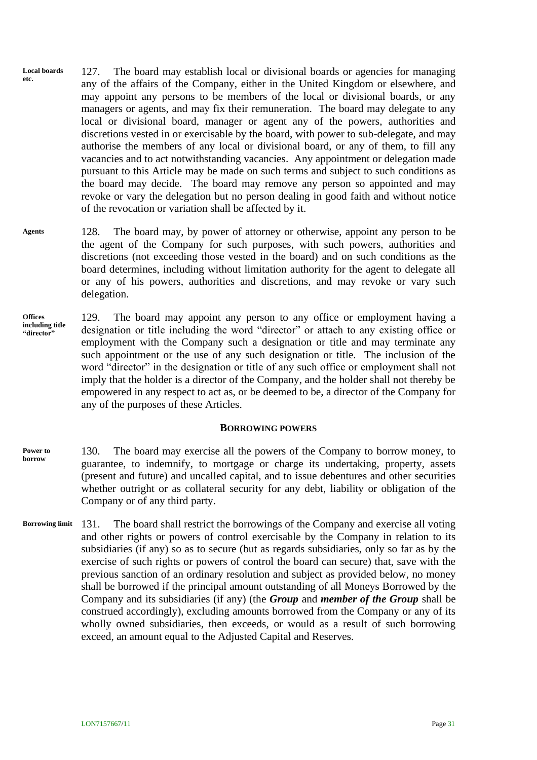- 127. The board may establish local or divisional boards or agencies for managing any of the affairs of the Company, either in the United Kingdom or elsewhere, and may appoint any persons to be members of the local or divisional boards, or any managers or agents, and may fix their remuneration. The board may delegate to any local or divisional board, manager or agent any of the powers, authorities and discretions vested in or exercisable by the board, with power to sub-delegate, and may authorise the members of any local or divisional board, or any of them, to fill any vacancies and to act notwithstanding vacancies. Any appointment or delegation made pursuant to this Article may be made on such terms and subject to such conditions as the board may decide. The board may remove any person so appointed and may revoke or vary the delegation but no person dealing in good faith and without notice of the revocation or variation shall be affected by it. **Local boards etc.**
- 128. The board may, by power of attorney or otherwise, appoint any person to be the agent of the Company for such purposes, with such powers, authorities and discretions (not exceeding those vested in the board) and on such conditions as the board determines, including without limitation authority for the agent to delegate all or any of his powers, authorities and discretions, and may revoke or vary such delegation. **Agents**
- 129. The board may appoint any person to any office or employment having a designation or title including the word "director" or attach to any existing office or employment with the Company such a designation or title and may terminate any such appointment or the use of any such designation or title. The inclusion of the word "director" in the designation or title of any such office or employment shall not imply that the holder is a director of the Company, and the holder shall not thereby be empowered in any respect to act as, or be deemed to be, a director of the Company for any of the purposes of these Articles. **Offices including title "director"**

#### **BORROWING POWERS**

- 130. The board may exercise all the powers of the Company to borrow money, to guarantee, to indemnify, to mortgage or charge its undertaking, property, assets (present and future) and uncalled capital, and to issue debentures and other securities whether outright or as collateral security for any debt, liability or obligation of the Company or of any third party. **Power to borrow**
- <span id="page-35-0"></span>131. The board shall restrict the borrowings of the Company and exercise all voting and other rights or powers of control exercisable by the Company in relation to its subsidiaries (if any) so as to secure (but as regards subsidiaries, only so far as by the exercise of such rights or powers of control the board can secure) that, save with the previous sanction of an ordinary resolution and subject as provided below, no money shall be borrowed if the principal amount outstanding of all Moneys Borrowed by the Company and its subsidiaries (if any) (the *Group* and *member of the Group* shall be construed accordingly), excluding amounts borrowed from the Company or any of its wholly owned subsidiaries, then exceeds, or would as a result of such borrowing exceed, an amount equal to the Adjusted Capital and Reserves. **Borrowing limit**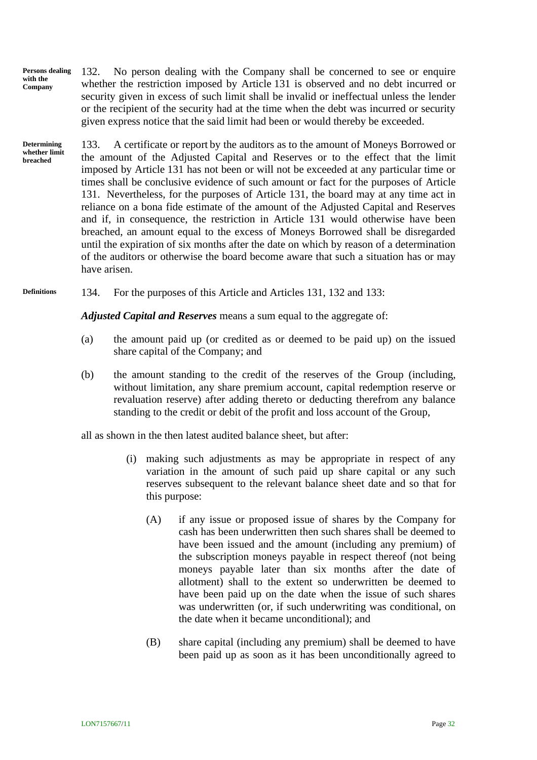<span id="page-36-0"></span>132. No person dealing with the Company shall be concerned to see or enquire whether the restriction imposed by Article [131](#page-35-0) is observed and no debt incurred or security given in excess of such limit shall be invalid or ineffectual unless the lender or the recipient of the security had at the time when the debt was incurred or security given express notice that the said limit had been or would thereby be exceeded. **Persons dealing with the Company**

<span id="page-36-1"></span>133. A certificate or report by the auditors as to the amount of Moneys Borrowed or the amount of the Adjusted Capital and Reserves or to the effect that the limit imposed by Article [131](#page-35-0) has not been or will not be exceeded at any particular time or times shall be conclusive evidence of such amount or fact for the purposes of Article [131.](#page-35-0) Nevertheless, for the purposes of Article [131,](#page-35-0) the board may at any time act in reliance on a bona fide estimate of the amount of the Adjusted Capital and Reserves and if, in consequence, the restriction in Article [131](#page-35-0) would otherwise have been breached, an amount equal to the excess of Moneys Borrowed shall be disregarded until the expiration of six months after the date on which by reason of a determination of the auditors or otherwise the board become aware that such a situation has or may have arisen. **Determining whether limit breached**

134. For the purposes of this Article and Articles [131,](#page-35-0) [132](#page-36-0) and [133:](#page-36-1) **Definitions**

*Adjusted Capital and Reserves* means a sum equal to the aggregate of:

- (a) the amount paid up (or credited as or deemed to be paid up) on the issued share capital of the Company; and
- (b) the amount standing to the credit of the reserves of the Group (including, without limitation, any share premium account, capital redemption reserve or revaluation reserve) after adding thereto or deducting therefrom any balance standing to the credit or debit of the profit and loss account of the Group,

all as shown in the then latest audited balance sheet, but after:

- (i) making such adjustments as may be appropriate in respect of any variation in the amount of such paid up share capital or any such reserves subsequent to the relevant balance sheet date and so that for this purpose:
	- (A) if any issue or proposed issue of shares by the Company for cash has been underwritten then such shares shall be deemed to have been issued and the amount (including any premium) of the subscription moneys payable in respect thereof (not being moneys payable later than six months after the date of allotment) shall to the extent so underwritten be deemed to have been paid up on the date when the issue of such shares was underwritten (or, if such underwriting was conditional, on the date when it became unconditional); and
	- (B) share capital (including any premium) shall be deemed to have been paid up as soon as it has been unconditionally agreed to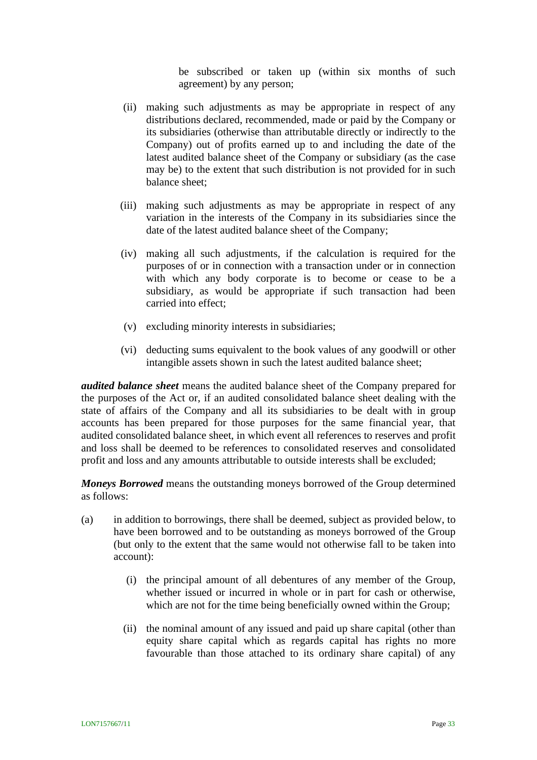be subscribed or taken up (within six months of such agreement) by any person;

- (ii) making such adjustments as may be appropriate in respect of any distributions declared, recommended, made or paid by the Company or its subsidiaries (otherwise than attributable directly or indirectly to the Company) out of profits earned up to and including the date of the latest audited balance sheet of the Company or subsidiary (as the case may be) to the extent that such distribution is not provided for in such balance sheet;
- (iii) making such adjustments as may be appropriate in respect of any variation in the interests of the Company in its subsidiaries since the date of the latest audited balance sheet of the Company;
- (iv) making all such adjustments, if the calculation is required for the purposes of or in connection with a transaction under or in connection with which any body corporate is to become or cease to be a subsidiary, as would be appropriate if such transaction had been carried into effect;
- (v) excluding minority interests in subsidiaries;
- (vi) deducting sums equivalent to the book values of any goodwill or other intangible assets shown in such the latest audited balance sheet;

*audited balance sheet* means the audited balance sheet of the Company prepared for the purposes of the Act or, if an audited consolidated balance sheet dealing with the state of affairs of the Company and all its subsidiaries to be dealt with in group accounts has been prepared for those purposes for the same financial year, that audited consolidated balance sheet, in which event all references to reserves and profit and loss shall be deemed to be references to consolidated reserves and consolidated profit and loss and any amounts attributable to outside interests shall be excluded;

*Moneys Borrowed* means the outstanding moneys borrowed of the Group determined as follows:

- (a) in addition to borrowings, there shall be deemed, subject as provided below, to have been borrowed and to be outstanding as moneys borrowed of the Group (but only to the extent that the same would not otherwise fall to be taken into account):
	- (i) the principal amount of all debentures of any member of the Group, whether issued or incurred in whole or in part for cash or otherwise, which are not for the time being beneficially owned within the Group;
	- (ii) the nominal amount of any issued and paid up share capital (other than equity share capital which as regards capital has rights no more favourable than those attached to its ordinary share capital) of any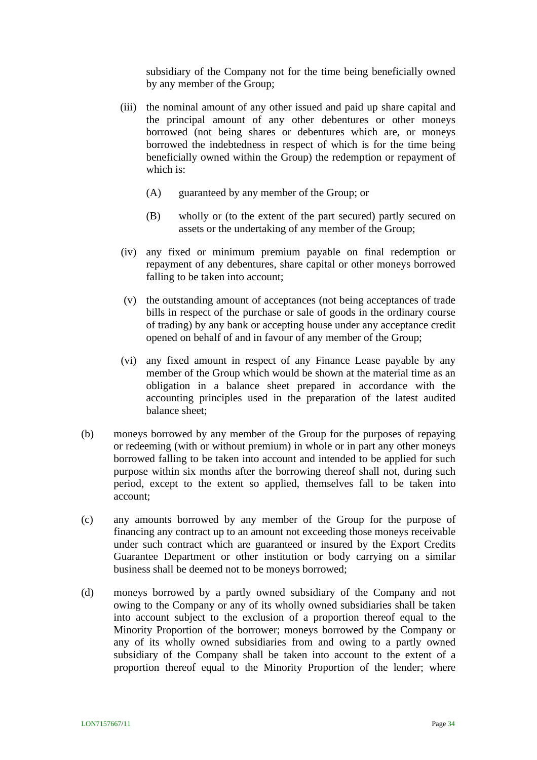subsidiary of the Company not for the time being beneficially owned by any member of the Group;

- (iii) the nominal amount of any other issued and paid up share capital and the principal amount of any other debentures or other moneys borrowed (not being shares or debentures which are, or moneys borrowed the indebtedness in respect of which is for the time being beneficially owned within the Group) the redemption or repayment of which is:
	- (A) guaranteed by any member of the Group; or
	- (B) wholly or (to the extent of the part secured) partly secured on assets or the undertaking of any member of the Group;
- (iv) any fixed or minimum premium payable on final redemption or repayment of any debentures, share capital or other moneys borrowed falling to be taken into account;
- (v) the outstanding amount of acceptances (not being acceptances of trade bills in respect of the purchase or sale of goods in the ordinary course of trading) by any bank or accepting house under any acceptance credit opened on behalf of and in favour of any member of the Group;
- (vi) any fixed amount in respect of any Finance Lease payable by any member of the Group which would be shown at the material time as an obligation in a balance sheet prepared in accordance with the accounting principles used in the preparation of the latest audited balance sheet;
- (b) moneys borrowed by any member of the Group for the purposes of repaying or redeeming (with or without premium) in whole or in part any other moneys borrowed falling to be taken into account and intended to be applied for such purpose within six months after the borrowing thereof shall not, during such period, except to the extent so applied, themselves fall to be taken into account;
- (c) any amounts borrowed by any member of the Group for the purpose of financing any contract up to an amount not exceeding those moneys receivable under such contract which are guaranteed or insured by the Export Credits Guarantee Department or other institution or body carrying on a similar business shall be deemed not to be moneys borrowed;
- (d) moneys borrowed by a partly owned subsidiary of the Company and not owing to the Company or any of its wholly owned subsidiaries shall be taken into account subject to the exclusion of a proportion thereof equal to the Minority Proportion of the borrower; moneys borrowed by the Company or any of its wholly owned subsidiaries from and owing to a partly owned subsidiary of the Company shall be taken into account to the extent of a proportion thereof equal to the Minority Proportion of the lender; where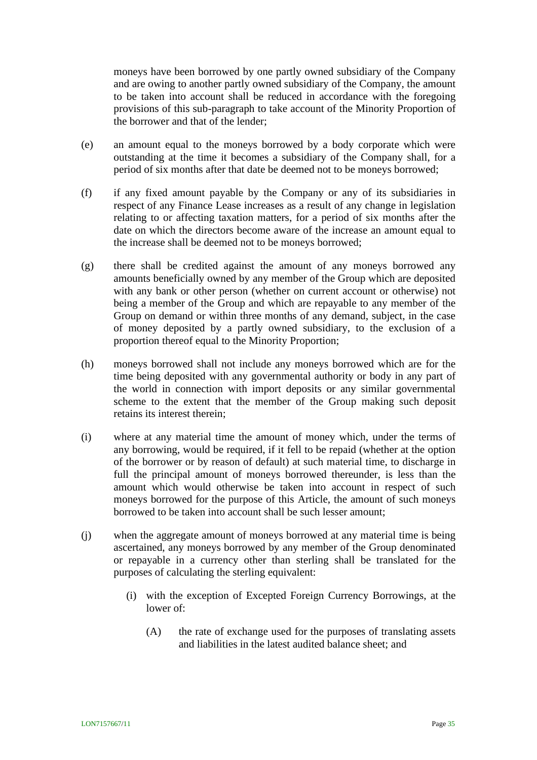moneys have been borrowed by one partly owned subsidiary of the Company and are owing to another partly owned subsidiary of the Company, the amount to be taken into account shall be reduced in accordance with the foregoing provisions of this sub-paragraph to take account of the Minority Proportion of the borrower and that of the lender;

- (e) an amount equal to the moneys borrowed by a body corporate which were outstanding at the time it becomes a subsidiary of the Company shall, for a period of six months after that date be deemed not to be moneys borrowed;
- (f) if any fixed amount payable by the Company or any of its subsidiaries in respect of any Finance Lease increases as a result of any change in legislation relating to or affecting taxation matters, for a period of six months after the date on which the directors become aware of the increase an amount equal to the increase shall be deemed not to be moneys borrowed;
- (g) there shall be credited against the amount of any moneys borrowed any amounts beneficially owned by any member of the Group which are deposited with any bank or other person (whether on current account or otherwise) not being a member of the Group and which are repayable to any member of the Group on demand or within three months of any demand, subject, in the case of money deposited by a partly owned subsidiary, to the exclusion of a proportion thereof equal to the Minority Proportion;
- (h) moneys borrowed shall not include any moneys borrowed which are for the time being deposited with any governmental authority or body in any part of the world in connection with import deposits or any similar governmental scheme to the extent that the member of the Group making such deposit retains its interest therein;
- (i) where at any material time the amount of money which, under the terms of any borrowing, would be required, if it fell to be repaid (whether at the option of the borrower or by reason of default) at such material time, to discharge in full the principal amount of moneys borrowed thereunder, is less than the amount which would otherwise be taken into account in respect of such moneys borrowed for the purpose of this Article, the amount of such moneys borrowed to be taken into account shall be such lesser amount;
- <span id="page-39-0"></span>(j) when the aggregate amount of moneys borrowed at any material time is being ascertained, any moneys borrowed by any member of the Group denominated or repayable in a currency other than sterling shall be translated for the purposes of calculating the sterling equivalent:
	- (i) with the exception of Excepted Foreign Currency Borrowings, at the lower of:
		- (A) the rate of exchange used for the purposes of translating assets and liabilities in the latest audited balance sheet; and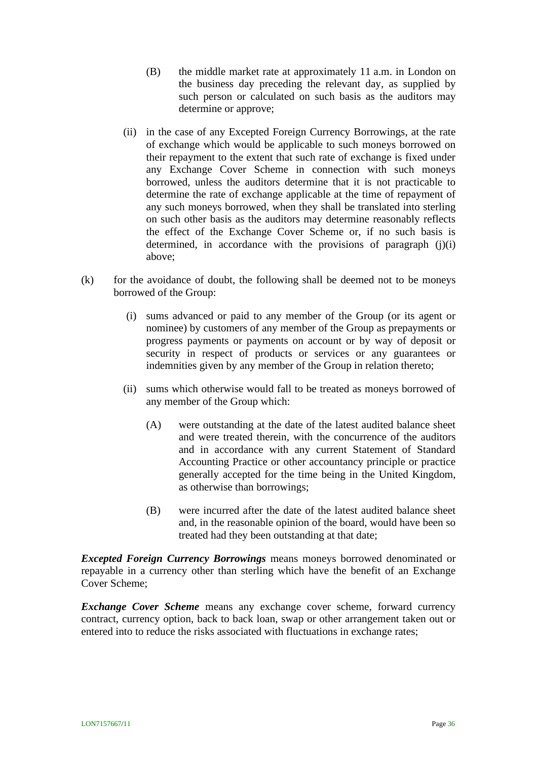- (B) the middle market rate at approximately 11 a.m. in London on the business day preceding the relevant day, as supplied by such person or calculated on such basis as the auditors may determine or approve;
- (ii) in the case of any Excepted Foreign Currency Borrowings, at the rate of exchange which would be applicable to such moneys borrowed on their repayment to the extent that such rate of exchange is fixed under any Exchange Cover Scheme in connection with such moneys borrowed, unless the auditors determine that it is not practicable to determine the rate of exchange applicable at the time of repayment of any such moneys borrowed, when they shall be translated into sterling on such other basis as the auditors may determine reasonably reflects the effect of the Exchange Cover Scheme or, if no such basis is determined, in accordance with the provisions of paragraph  $(j)(i)$ above;
- $(k)$  for the avoidance of doubt, the following shall be deemed not to be moneys borrowed of the Group:
	- (i) sums advanced or paid to any member of the Group (or its agent or nominee) by customers of any member of the Group as prepayments or progress payments or payments on account or by way of deposit or security in respect of products or services or any guarantees or indemnities given by any member of the Group in relation thereto;
	- (ii) sums which otherwise would fall to be treated as moneys borrowed of any member of the Group which:
		- (A) were outstanding at the date of the latest audited balance sheet and were treated therein, with the concurrence of the auditors and in accordance with any current Statement of Standard Accounting Practice or other accountancy principle or practice generally accepted for the time being in the United Kingdom, as otherwise than borrowings;
		- (B) were incurred after the date of the latest audited balance sheet and, in the reasonable opinion of the board, would have been so treated had they been outstanding at that date;

*Excepted Foreign Currency Borrowings* means moneys borrowed denominated or repayable in a currency other than sterling which have the benefit of an Exchange Cover Scheme;

*Exchange Cover Scheme* means any exchange cover scheme, forward currency contract, currency option, back to back loan, swap or other arrangement taken out or entered into to reduce the risks associated with fluctuations in exchange rates;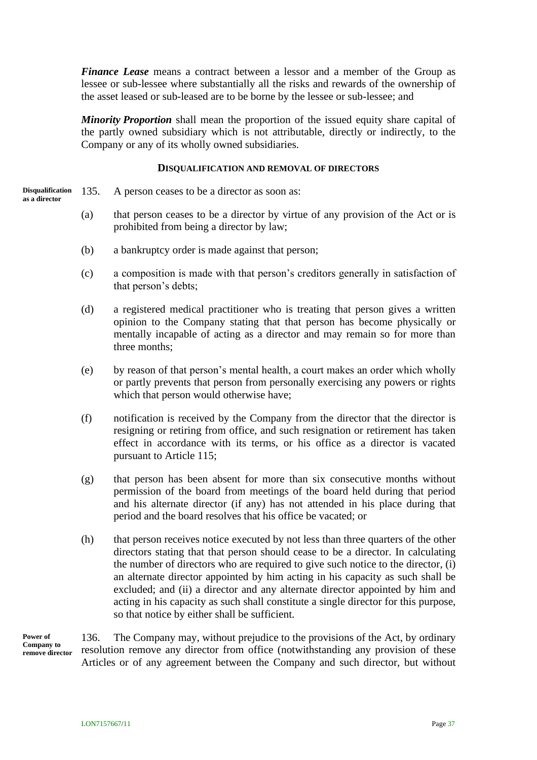*Finance Lease* means a contract between a lessor and a member of the Group as lessee or sub-lessee where substantially all the risks and rewards of the ownership of the asset leased or sub-leased are to be borne by the lessee or sub-lessee; and

*Minority Proportion* shall mean the proportion of the issued equity share capital of the partly owned subsidiary which is not attributable, directly or indirectly, to the Company or any of its wholly owned subsidiaries.

#### **DISQUALIFICATION AND REMOVAL OF DIRECTORS**

- 135. A person ceases to be a director as soon as: **Disqualification as a director**
	- (a) that person ceases to be a director by virtue of any provision of the Act or is prohibited from being a director by law;
	- (b) a bankruptcy order is made against that person;
	- (c) a composition is made with that person's creditors generally in satisfaction of that person's debts;
	- (d) a registered medical practitioner who is treating that person gives a written opinion to the Company stating that that person has become physically or mentally incapable of acting as a director and may remain so for more than three months;
	- (e) by reason of that person's mental health, a court makes an order which wholly or partly prevents that person from personally exercising any powers or rights which that person would otherwise have;
	- (f) notification is received by the Company from the director that the director is resigning or retiring from office, and such resignation or retirement has taken effect in accordance with its terms, or his office as a director is vacated pursuant to Article [115;](#page-33-1)
	- (g) that person has been absent for more than six consecutive months without permission of the board from meetings of the board held during that period and his alternate director (if any) has not attended in his place during that period and the board resolves that his office be vacated; or
	- (h) that person receives notice executed by not less than three quarters of the other directors stating that that person should cease to be a director. In calculating the number of directors who are required to give such notice to the director, (i) an alternate director appointed by him acting in his capacity as such shall be excluded; and (ii) a director and any alternate director appointed by him and acting in his capacity as such shall constitute a single director for this purpose, so that notice by either shall be sufficient.

**Power of Company to remove director**

136. The Company may, without prejudice to the provisions of the Act, by ordinary resolution remove any director from office (notwithstanding any provision of these Articles or of any agreement between the Company and such director, but without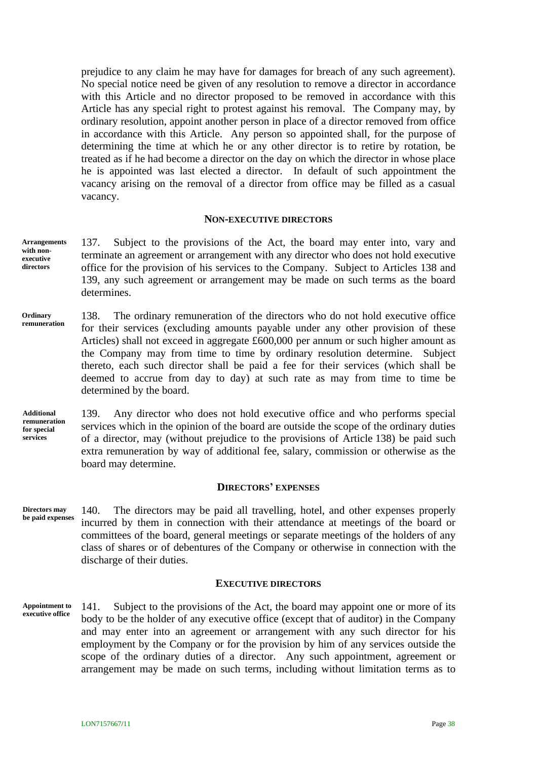prejudice to any claim he may have for damages for breach of any such agreement). No special notice need be given of any resolution to remove a director in accordance with this Article and no director proposed to be removed in accordance with this Article has any special right to protest against his removal. The Company may, by ordinary resolution, appoint another person in place of a director removed from office in accordance with this Article. Any person so appointed shall, for the purpose of determining the time at which he or any other director is to retire by rotation, be treated as if he had become a director on the day on which the director in whose place he is appointed was last elected a director. In default of such appointment the vacancy arising on the removal of a director from office may be filled as a casual vacancy.

#### **NON-EXECUTIVE DIRECTORS**

- 137. Subject to the provisions of the Act, the board may enter into, vary and terminate an agreement or arrangement with any director who does not hold executive office for the provision of his services to the Company. Subject to Articles [138](#page-42-0) and [139,](#page-42-1) any such agreement or arrangement may be made on such terms as the board determines. **Arrangements with nonexecutive directors**
- <span id="page-42-0"></span>138. The ordinary remuneration of the directors who do not hold executive office for their services (excluding amounts payable under any other provision of these Articles) shall not exceed in aggregate £600,000 per annum or such higher amount as the Company may from time to time by ordinary resolution determine. Subject thereto, each such director shall be paid a fee for their services (which shall be deemed to accrue from day to day) at such rate as may from time to time be determined by the board. **Ordinary remuneration**

<span id="page-42-1"></span>139. Any director who does not hold executive office and who performs special services which in the opinion of the board are outside the scope of the ordinary duties of a director, may (without prejudice to the provisions of Article [138\)](#page-42-0) be paid such extra remuneration by way of additional fee, salary, commission or otherwise as the board may determine. **Additional remuneration for special services**

#### **DIRECTORS' EXPENSES**

140. The directors may be paid all travelling, hotel, and other expenses properly incurred by them in connection with their attendance at meetings of the board or committees of the board, general meetings or separate meetings of the holders of any class of shares or of debentures of the Company or otherwise in connection with the discharge of their duties. **Directors may be paid expenses**

#### **EXECUTIVE DIRECTORS**

141. Subject to the provisions of the Act, the board may appoint one or more of its body to be the holder of any executive office (except that of auditor) in the Company and may enter into an agreement or arrangement with any such director for his employment by the Company or for the provision by him of any services outside the scope of the ordinary duties of a director. Any such appointment, agreement or arrangement may be made on such terms, including without limitation terms as to **Appointment to executive office**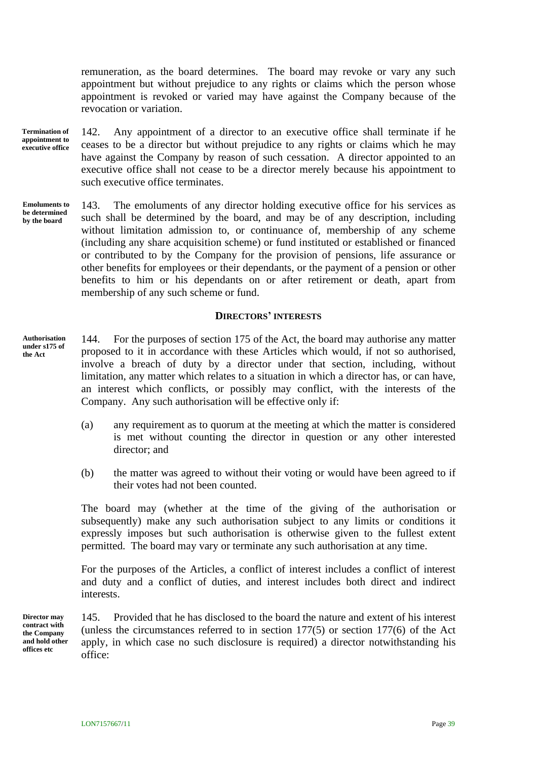remuneration, as the board determines. The board may revoke or vary any such appointment but without prejudice to any rights or claims which the person whose appointment is revoked or varied may have against the Company because of the revocation or variation.

**Termination of appointment to executive office**

142. Any appointment of a director to an executive office shall terminate if he ceases to be a director but without prejudice to any rights or claims which he may have against the Company by reason of such cessation. A director appointed to an executive office shall not cease to be a director merely because his appointment to such executive office terminates.

143. The emoluments of any director holding executive office for his services as such shall be determined by the board, and may be of any description, including without limitation admission to, or continuance of, membership of any scheme (including any share acquisition scheme) or fund instituted or established or financed or contributed to by the Company for the provision of pensions, life assurance or other benefits for employees or their dependants, or the payment of a pension or other benefits to him or his dependants on or after retirement or death, apart from membership of any such scheme or fund. **Emoluments to be determined by the board**

## **DIRECTORS' INTERESTS**

<span id="page-43-0"></span>144. For the purposes of section 175 of the Act, the board may authorise any matter proposed to it in accordance with these Articles which would, if not so authorised, involve a breach of duty by a director under that section, including, without limitation, any matter which relates to a situation in which a director has, or can have, an interest which conflicts, or possibly may conflict, with the interests of the Company. Any such authorisation will be effective only if: **Authorisation** 

- (a) any requirement as to quorum at the meeting at which the matter is considered is met without counting the director in question or any other interested director; and
- (b) the matter was agreed to without their voting or would have been agreed to if their votes had not been counted.

The board may (whether at the time of the giving of the authorisation or subsequently) make any such authorisation subject to any limits or conditions it expressly imposes but such authorisation is otherwise given to the fullest extent permitted. The board may vary or terminate any such authorisation at any time.

For the purposes of the Articles, a conflict of interest includes a conflict of interest and duty and a conflict of duties, and interest includes both direct and indirect interests.

**Director may contract with the Company and hold other offices etc**

<span id="page-43-1"></span>145. Provided that he has disclosed to the board the nature and extent of his interest (unless the circumstances referred to in section 177(5) or section 177(6) of the Act apply, in which case no such disclosure is required) a director notwithstanding his office:

**under s175 of the Act**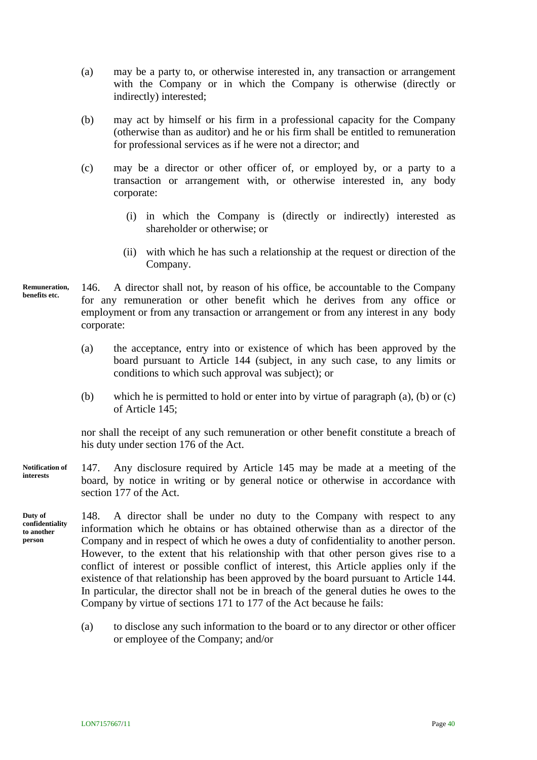- (a) may be a party to, or otherwise interested in, any transaction or arrangement with the Company or in which the Company is otherwise (directly or indirectly) interested;
- (b) may act by himself or his firm in a professional capacity for the Company (otherwise than as auditor) and he or his firm shall be entitled to remuneration for professional services as if he were not a director; and
- (c) may be a director or other officer of, or employed by, or a party to a transaction or arrangement with, or otherwise interested in, any body corporate:
	- (i) in which the Company is (directly or indirectly) interested as shareholder or otherwise; or
	- (ii) with which he has such a relationship at the request or direction of the Company.
- 146. A director shall not, by reason of his office, be accountable to the Company for any remuneration or other benefit which he derives from any office or employment or from any transaction or arrangement or from any interest in any body corporate: **Remuneration, benefits etc.**
	- (a) the acceptance, entry into or existence of which has been approved by the board pursuant to Article [144](#page-43-0) (subject, in any such case, to any limits or conditions to which such approval was subject); or
	- (b) which he is permitted to hold or enter into by virtue of paragraph (a), (b) or (c) of Article [145;](#page-43-1)

nor shall the receipt of any such remuneration or other benefit constitute a breach of his duty under section 176 of the Act.

- 147. Any disclosure required by Article [145](#page-43-1) may be made at a meeting of the board, by notice in writing or by general notice or otherwise in accordance with section 177 of the Act. **Notification of interests**
- <span id="page-44-0"></span>148. A director shall be under no duty to the Company with respect to any information which he obtains or has obtained otherwise than as a director of the Company and in respect of which he owes a duty of confidentiality to another person. However, to the extent that his relationship with that other person gives rise to a conflict of interest or possible conflict of interest, this Article applies only if the existence of that relationship has been approved by the board pursuant to Article [144.](#page-43-0) In particular, the director shall not be in breach of the general duties he owes to the Company by virtue of sections 171 to 177 of the Act because he fails: **Duty of confidentiality to another** 
	- (a) to disclose any such information to the board or to any director or other officer or employee of the Company; and/or

**person**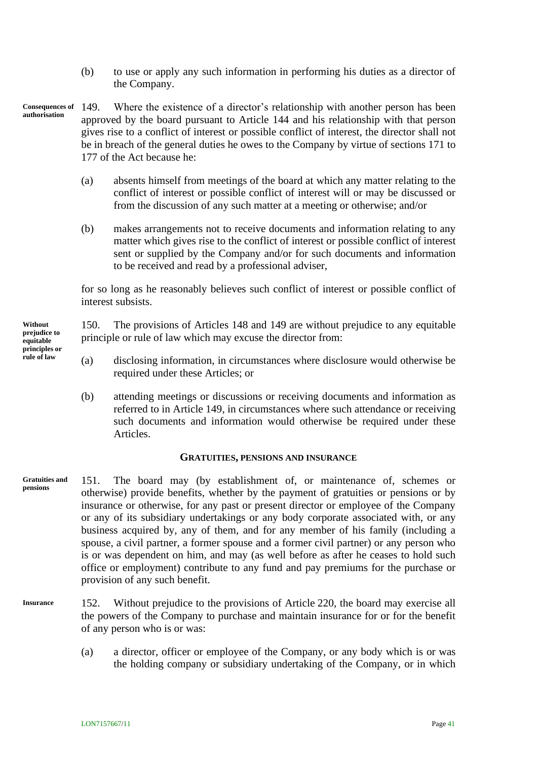- <span id="page-45-0"></span>(b) to use or apply any such information in performing his duties as a director of the Company.
- 149. Where the existence of a director's relationship with another person has been approved by the board pursuant to Article [144](#page-43-0) and his relationship with that person gives rise to a conflict of interest or possible conflict of interest, the director shall not be in breach of the general duties he owes to the Company by virtue of sections 171 to 177 of the Act because he: **Consequences of authorisation**
	- (a) absents himself from meetings of the board at which any matter relating to the conflict of interest or possible conflict of interest will or may be discussed or from the discussion of any such matter at a meeting or otherwise; and/or
	- (b) makes arrangements not to receive documents and information relating to any matter which gives rise to the conflict of interest or possible conflict of interest sent or supplied by the Company and/or for such documents and information to be received and read by a professional adviser,

for so long as he reasonably believes such conflict of interest or possible conflict of interest subsists.

150. The provisions of Articles [148](#page-44-0) and [149](#page-45-0) are without prejudice to any equitable principle or rule of law which may excuse the director from:

- (a) disclosing information, in circumstances where disclosure would otherwise be required under these Articles; or
- (b) attending meetings or discussions or receiving documents and information as referred to in Article [149,](#page-45-0) in circumstances where such attendance or receiving such documents and information would otherwise be required under these Articles.

#### **GRATUITIES, PENSIONS AND INSURANCE**

- 151. The board may (by establishment of, or maintenance of, schemes or otherwise) provide benefits, whether by the payment of gratuities or pensions or by insurance or otherwise, for any past or present director or employee of the Company or any of its subsidiary undertakings or any body corporate associated with, or any business acquired by, any of them, and for any member of his family (including a spouse, a civil partner, a former spouse and a former civil partner) or any person who is or was dependent on him, and may (as well before as after he ceases to hold such office or employment) contribute to any fund and pay premiums for the purchase or provision of any such benefit. **Gratuities and pensions**
- <span id="page-45-1"></span>152. Without prejudice to the provisions of Article [220,](#page-64-0) the board may exercise all the powers of the Company to purchase and maintain insurance for or for the benefit of any person who is or was: **Insurance**
	- (a) a director, officer or employee of the Company, or any body which is or was the holding company or subsidiary undertaking of the Company, or in which

**Without prejudice to equitable principles or rule of law**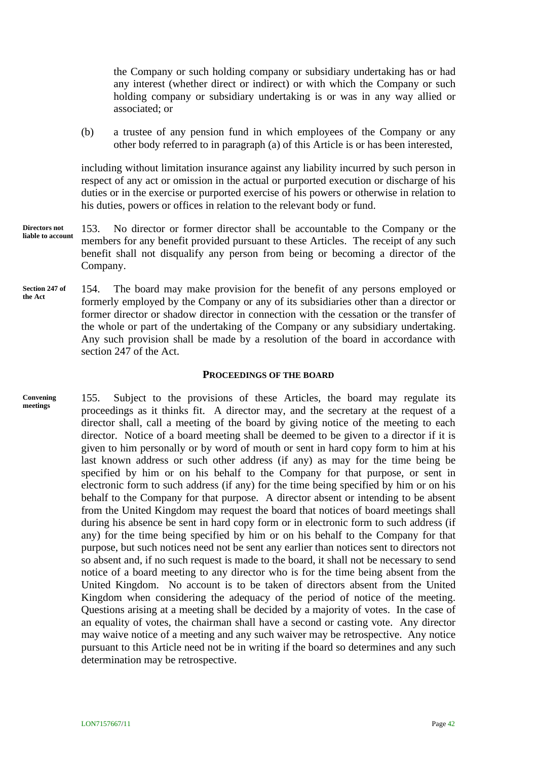the Company or such holding company or subsidiary undertaking has or had any interest (whether direct or indirect) or with which the Company or such holding company or subsidiary undertaking is or was in any way allied or associated; or

(b) a trustee of any pension fund in which employees of the Company or any other body referred to in paragraph [\(a\)](#page-45-1) of this Article is or has been interested,

including without limitation insurance against any liability incurred by such person in respect of any act or omission in the actual or purported execution or discharge of his duties or in the exercise or purported exercise of his powers or otherwise in relation to his duties, powers or offices in relation to the relevant body or fund.

- 153. No director or former director shall be accountable to the Company or the members for any benefit provided pursuant to these Articles. The receipt of any such benefit shall not disqualify any person from being or becoming a director of the Company. **Directors not liable to account**
- 154. The board may make provision for the benefit of any persons employed or formerly employed by the Company or any of its subsidiaries other than a director or former director or shadow director in connection with the cessation or the transfer of the whole or part of the undertaking of the Company or any subsidiary undertaking. Any such provision shall be made by a resolution of the board in accordance with section 247 of the Act. **Section 247 of the Act**

#### **PROCEEDINGS OF THE BOARD**

<span id="page-46-0"></span>155. Subject to the provisions of these Articles, the board may regulate its proceedings as it thinks fit. A director may, and the secretary at the request of a director shall, call a meeting of the board by giving notice of the meeting to each director. Notice of a board meeting shall be deemed to be given to a director if it is given to him personally or by word of mouth or sent in hard copy form to him at his last known address or such other address (if any) as may for the time being be specified by him or on his behalf to the Company for that purpose, or sent in electronic form to such address (if any) for the time being specified by him or on his behalf to the Company for that purpose. A director absent or intending to be absent from the United Kingdom may request the board that notices of board meetings shall during his absence be sent in hard copy form or in electronic form to such address (if any) for the time being specified by him or on his behalf to the Company for that purpose, but such notices need not be sent any earlier than notices sent to directors not so absent and, if no such request is made to the board, it shall not be necessary to send notice of a board meeting to any director who is for the time being absent from the United Kingdom. No account is to be taken of directors absent from the United Kingdom when considering the adequacy of the period of notice of the meeting. Questions arising at a meeting shall be decided by a majority of votes. In the case of an equality of votes, the chairman shall have a second or casting vote. Any director may waive notice of a meeting and any such waiver may be retrospective. Any notice pursuant to this Article need not be in writing if the board so determines and any such determination may be retrospective. **Convening meetings**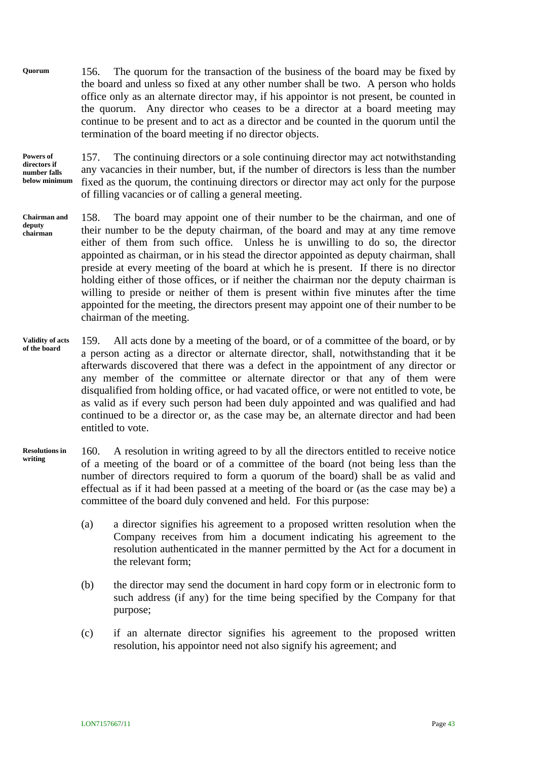156. The quorum for the transaction of the business of the board may be fixed by the board and unless so fixed at any other number shall be two. A person who holds office only as an alternate director may, if his appointor is not present, be counted in the quorum. Any director who ceases to be a director at a board meeting may continue to be present and to act as a director and be counted in the quorum until the termination of the board meeting if no director objects. **Quorum**

**Powers of directors if number falls below minimum**

157. The continuing directors or a sole continuing director may act notwithstanding any vacancies in their number, but, if the number of directors is less than the number fixed as the quorum, the continuing directors or director may act only for the purpose of filling vacancies or of calling a general meeting.

- 158. The board may appoint one of their number to be the chairman, and one of their number to be the deputy chairman, of the board and may at any time remove either of them from such office. Unless he is unwilling to do so, the director appointed as chairman, or in his stead the director appointed as deputy chairman, shall preside at every meeting of the board at which he is present. If there is no director holding either of those offices, or if neither the chairman nor the deputy chairman is willing to preside or neither of them is present within five minutes after the time appointed for the meeting, the directors present may appoint one of their number to be chairman of the meeting. **Chairman and deputy chairman**
- 159. All acts done by a meeting of the board, or of a committee of the board, or by a person acting as a director or alternate director, shall, notwithstanding that it be afterwards discovered that there was a defect in the appointment of any director or any member of the committee or alternate director or that any of them were disqualified from holding office, or had vacated office, or were not entitled to vote, be as valid as if every such person had been duly appointed and was qualified and had continued to be a director or, as the case may be, an alternate director and had been entitled to vote. **Validity of acts of the board**
- 160. A resolution in writing agreed to by all the directors entitled to receive notice of a meeting of the board or of a committee of the board (not being less than the number of directors required to form a quorum of the board) shall be as valid and effectual as if it had been passed at a meeting of the board or (as the case may be) a committee of the board duly convened and held. For this purpose: **Resolutions in writing**
	- (a) a director signifies his agreement to a proposed written resolution when the Company receives from him a document indicating his agreement to the resolution authenticated in the manner permitted by the Act for a document in the relevant form;
	- (b) the director may send the document in hard copy form or in electronic form to such address (if any) for the time being specified by the Company for that purpose;
	- (c) if an alternate director signifies his agreement to the proposed written resolution, his appointor need not also signify his agreement; and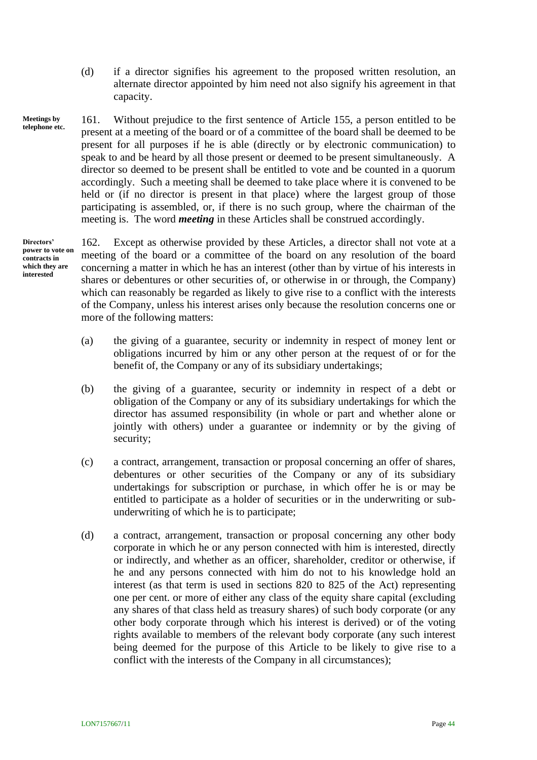(d) if a director signifies his agreement to the proposed written resolution, an alternate director appointed by him need not also signify his agreement in that capacity.

161. Without prejudice to the first sentence of Article [155,](#page-46-0) a person entitled to be present at a meeting of the board or of a committee of the board shall be deemed to be present for all purposes if he is able (directly or by electronic communication) to speak to and be heard by all those present or deemed to be present simultaneously. A director so deemed to be present shall be entitled to vote and be counted in a quorum accordingly. Such a meeting shall be deemed to take place where it is convened to be held or (if no director is present in that place) where the largest group of those participating is assembled, or, if there is no such group, where the chairman of the meeting is. The word *meeting* in these Articles shall be construed accordingly. **Meetings by telephone etc.**

**Directors' power to vote on contracts in which they are interested**

162. Except as otherwise provided by these Articles, a director shall not vote at a meeting of the board or a committee of the board on any resolution of the board concerning a matter in which he has an interest (other than by virtue of his interests in shares or debentures or other securities of, or otherwise in or through, the Company) which can reasonably be regarded as likely to give rise to a conflict with the interests of the Company, unless his interest arises only because the resolution concerns one or more of the following matters:

- (a) the giving of a guarantee, security or indemnity in respect of money lent or obligations incurred by him or any other person at the request of or for the benefit of, the Company or any of its subsidiary undertakings;
- (b) the giving of a guarantee, security or indemnity in respect of a debt or obligation of the Company or any of its subsidiary undertakings for which the director has assumed responsibility (in whole or part and whether alone or jointly with others) under a guarantee or indemnity or by the giving of security;
- (c) a contract, arrangement, transaction or proposal concerning an offer of shares, debentures or other securities of the Company or any of its subsidiary undertakings for subscription or purchase, in which offer he is or may be entitled to participate as a holder of securities or in the underwriting or subunderwriting of which he is to participate;
- (d) a contract, arrangement, transaction or proposal concerning any other body corporate in which he or any person connected with him is interested, directly or indirectly, and whether as an officer, shareholder, creditor or otherwise, if he and any persons connected with him do not to his knowledge hold an interest (as that term is used in sections 820 to 825 of the Act) representing one per cent. or more of either any class of the equity share capital (excluding any shares of that class held as treasury shares) of such body corporate (or any other body corporate through which his interest is derived) or of the voting rights available to members of the relevant body corporate (any such interest being deemed for the purpose of this Article to be likely to give rise to a conflict with the interests of the Company in all circumstances);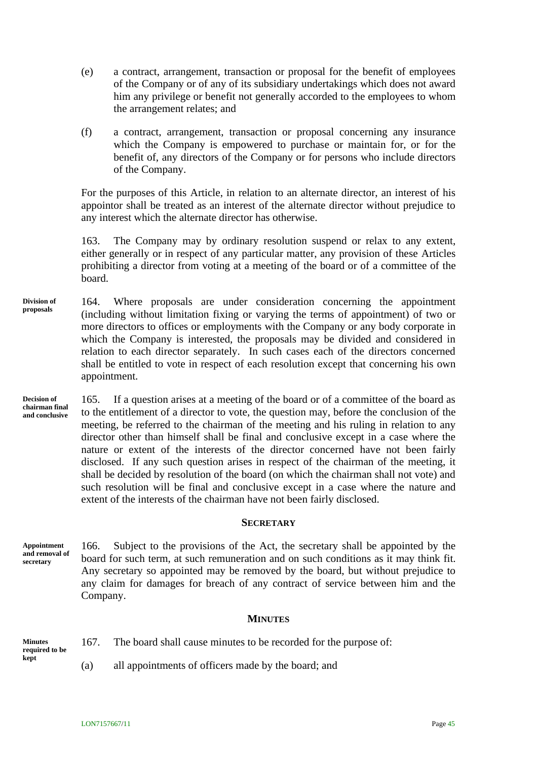- (e) a contract, arrangement, transaction or proposal for the benefit of employees of the Company or of any of its subsidiary undertakings which does not award him any privilege or benefit not generally accorded to the employees to whom the arrangement relates; and
- (f) a contract, arrangement, transaction or proposal concerning any insurance which the Company is empowered to purchase or maintain for, or for the benefit of, any directors of the Company or for persons who include directors of the Company.

For the purposes of this Article, in relation to an alternate director, an interest of his appointor shall be treated as an interest of the alternate director without prejudice to any interest which the alternate director has otherwise.

163. The Company may by ordinary resolution suspend or relax to any extent, either generally or in respect of any particular matter, any provision of these Articles prohibiting a director from voting at a meeting of the board or of a committee of the board.

- 164. Where proposals are under consideration concerning the appointment (including without limitation fixing or varying the terms of appointment) of two or more directors to offices or employments with the Company or any body corporate in which the Company is interested, the proposals may be divided and considered in relation to each director separately. In such cases each of the directors concerned shall be entitled to vote in respect of each resolution except that concerning his own appointment. **Division of proposals**
- 165. If a question arises at a meeting of the board or of a committee of the board as to the entitlement of a director to vote, the question may, before the conclusion of the meeting, be referred to the chairman of the meeting and his ruling in relation to any director other than himself shall be final and conclusive except in a case where the nature or extent of the interests of the director concerned have not been fairly disclosed. If any such question arises in respect of the chairman of the meeting, it shall be decided by resolution of the board (on which the chairman shall not vote) and such resolution will be final and conclusive except in a case where the nature and extent of the interests of the chairman have not been fairly disclosed. **Decision of chairman final and conclusive**

#### **SECRETARY**

166. Subject to the provisions of the Act, the secretary shall be appointed by the board for such term, at such remuneration and on such conditions as it may think fit. Any secretary so appointed may be removed by the board, but without prejudice to any claim for damages for breach of any contract of service between him and the Company. **Appointment and removal of secretary**

#### **MINUTES**

**Minutes required to be kept**

- 167. The board shall cause minutes to be recorded for the purpose of:
- (a) all appointments of officers made by the board; and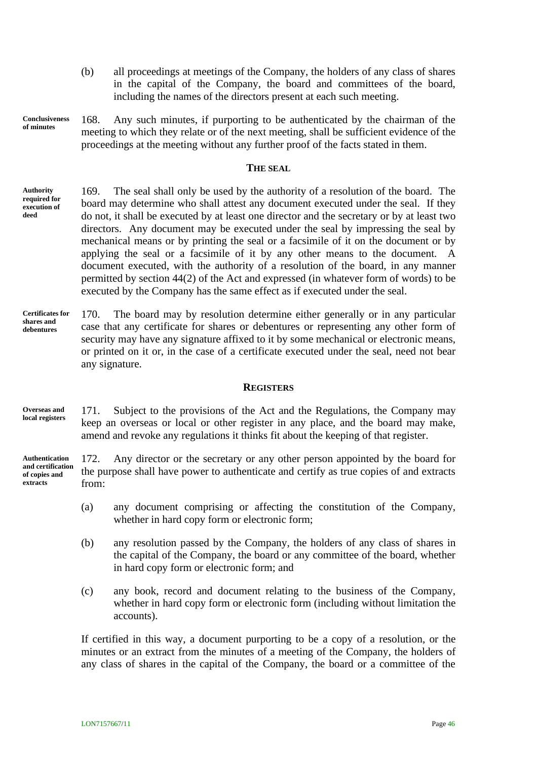- (b) all proceedings at meetings of the Company, the holders of any class of shares in the capital of the Company, the board and committees of the board, including the names of the directors present at each such meeting.
- 168. Any such minutes, if purporting to be authenticated by the chairman of the meeting to which they relate or of the next meeting, shall be sufficient evidence of the proceedings at the meeting without any further proof of the facts stated in them. **Conclusiveness of minutes**

#### **THE SEAL**

- 169. The seal shall only be used by the authority of a resolution of the board. The board may determine who shall attest any document executed under the seal. If they do not, it shall be executed by at least one director and the secretary or by at least two directors. Any document may be executed under the seal by impressing the seal by mechanical means or by printing the seal or a facsimile of it on the document or by applying the seal or a facsimile of it by any other means to the document. A document executed, with the authority of a resolution of the board, in any manner permitted by section 44(2) of the Act and expressed (in whatever form of words) to be executed by the Company has the same effect as if executed under the seal. **Authority required for execution of deed**
- <span id="page-50-0"></span>170. The board may by resolution determine either generally or in any particular case that any certificate for shares or debentures or representing any other form of security may have any signature affixed to it by some mechanical or electronic means, or printed on it or, in the case of a certificate executed under the seal, need not bear any signature. **Certificates for shares and debentures**

#### **REGISTERS**

171. Subject to the provisions of the Act and the Regulations, the Company may keep an overseas or local or other register in any place, and the board may make, amend and revoke any regulations it thinks fit about the keeping of that register. **Overseas and local registers**

172. Any director or the secretary or any other person appointed by the board for the purpose shall have power to authenticate and certify as true copies of and extracts from: **Authentication and certification of copies and extracts**

- (a) any document comprising or affecting the constitution of the Company, whether in hard copy form or electronic form;
- (b) any resolution passed by the Company, the holders of any class of shares in the capital of the Company, the board or any committee of the board, whether in hard copy form or electronic form; and
- (c) any book, record and document relating to the business of the Company, whether in hard copy form or electronic form (including without limitation the accounts).

If certified in this way, a document purporting to be a copy of a resolution, or the minutes or an extract from the minutes of a meeting of the Company, the holders of any class of shares in the capital of the Company, the board or a committee of the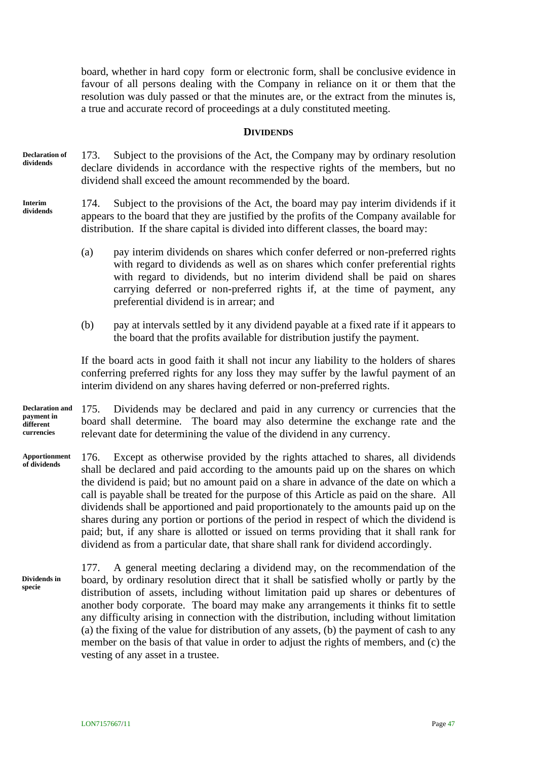board, whether in hard copy form or electronic form, shall be conclusive evidence in favour of all persons dealing with the Company in reliance on it or them that the resolution was duly passed or that the minutes are, or the extract from the minutes is, a true and accurate record of proceedings at a duly constituted meeting.

#### **DIVIDENDS**

173. Subject to the provisions of the Act, the Company may by ordinary resolution declare dividends in accordance with the respective rights of the members, but no dividend shall exceed the amount recommended by the board. **Declaration of dividends**

174. Subject to the provisions of the Act, the board may pay interim dividends if it appears to the board that they are justified by the profits of the Company available for distribution. If the share capital is divided into different classes, the board may: **Interim dividends**

- (a) pay interim dividends on shares which confer deferred or non-preferred rights with regard to dividends as well as on shares which confer preferential rights with regard to dividends, but no interim dividend shall be paid on shares carrying deferred or non-preferred rights if, at the time of payment, any preferential dividend is in arrear; and
- (b) pay at intervals settled by it any dividend payable at a fixed rate if it appears to the board that the profits available for distribution justify the payment.

If the board acts in good faith it shall not incur any liability to the holders of shares conferring preferred rights for any loss they may suffer by the lawful payment of an interim dividend on any shares having deferred or non-preferred rights.

175. Dividends may be declared and paid in any currency or currencies that the board shall determine. The board may also determine the exchange rate and the relevant date for determining the value of the dividend in any currency. **Declaration and payment in different currencies**

176. Except as otherwise provided by the rights attached to shares, all dividends shall be declared and paid according to the amounts paid up on the shares on which the dividend is paid; but no amount paid on a share in advance of the date on which a call is payable shall be treated for the purpose of this Article as paid on the share. All dividends shall be apportioned and paid proportionately to the amounts paid up on the shares during any portion or portions of the period in respect of which the dividend is paid; but, if any share is allotted or issued on terms providing that it shall rank for dividend as from a particular date, that share shall rank for dividend accordingly. **Apportionment of dividends**

177. A general meeting declaring a dividend may, on the recommendation of the board, by ordinary resolution direct that it shall be satisfied wholly or partly by the distribution of assets, including without limitation paid up shares or debentures of another body corporate. The board may make any arrangements it thinks fit to settle any difficulty arising in connection with the distribution, including without limitation (a) the fixing of the value for distribution of any assets, (b) the payment of cash to any member on the basis of that value in order to adjust the rights of members, and (c) the vesting of any asset in a trustee. **Dividends in specie**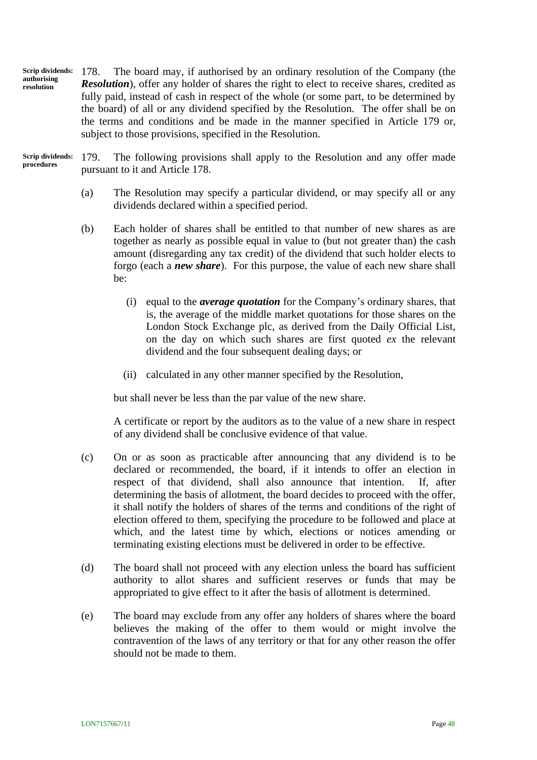<span id="page-52-0"></span>178. The board may, if authorised by an ordinary resolution of the Company (the *Resolution*), offer any holder of shares the right to elect to receive shares, credited as fully paid, instead of cash in respect of the whole (or some part, to be determined by the board) of all or any dividend specified by the Resolution. The offer shall be on the terms and conditions and be made in the manner specified in Article [179](#page-52-1) or, subject to those provisions, specified in the Resolution. **Scrip dividends: authorising resolution**

179. The following provisions shall apply to the Resolution and any offer made pursuant to it and Article [178.](#page-52-0) **Scrip dividends: procedures**

- <span id="page-52-1"></span>(a) The Resolution may specify a particular dividend, or may specify all or any dividends declared within a specified period.
- <span id="page-52-2"></span>(b) Each holder of shares shall be entitled to that number of new shares as are together as nearly as possible equal in value to (but not greater than) the cash amount (disregarding any tax credit) of the dividend that such holder elects to forgo (each a *new share*). For this purpose, the value of each new share shall be:
	- (i) equal to the *average quotation* for the Company's ordinary shares, that is, the average of the middle market quotations for those shares on the London Stock Exchange plc, as derived from the Daily Official List, on the day on which such shares are first quoted *ex* the relevant dividend and the four subsequent dealing days; or
	- (ii) calculated in any other manner specified by the Resolution,

but shall never be less than the par value of the new share.

A certificate or report by the auditors as to the value of a new share in respect of any dividend shall be conclusive evidence of that value.

- (c) On or as soon as practicable after announcing that any dividend is to be declared or recommended, the board, if it intends to offer an election in respect of that dividend, shall also announce that intention. If, after determining the basis of allotment, the board decides to proceed with the offer, it shall notify the holders of shares of the terms and conditions of the right of election offered to them, specifying the procedure to be followed and place at which, and the latest time by which, elections or notices amending or terminating existing elections must be delivered in order to be effective.
- (d) The board shall not proceed with any election unless the board has sufficient authority to allot shares and sufficient reserves or funds that may be appropriated to give effect to it after the basis of allotment is determined.
- (e) The board may exclude from any offer any holders of shares where the board believes the making of the offer to them would or might involve the contravention of the laws of any territory or that for any other reason the offer should not be made to them.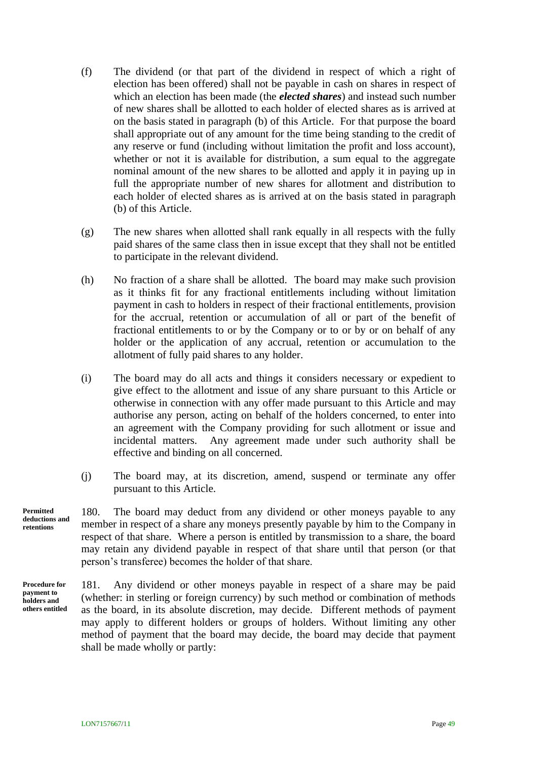- (f) The dividend (or that part of the dividend in respect of which a right of election has been offered) shall not be payable in cash on shares in respect of which an election has been made (the *elected shares*) and instead such number of new shares shall be allotted to each holder of elected shares as is arrived at on the basis stated in paragraph [\(b\)](#page-52-2) of this Article. For that purpose the board shall appropriate out of any amount for the time being standing to the credit of any reserve or fund (including without limitation the profit and loss account), whether or not it is available for distribution, a sum equal to the aggregate nominal amount of the new shares to be allotted and apply it in paying up in full the appropriate number of new shares for allotment and distribution to each holder of elected shares as is arrived at on the basis stated in paragraph [\(b\)](#page-52-2) of this Article.
- (g) The new shares when allotted shall rank equally in all respects with the fully paid shares of the same class then in issue except that they shall not be entitled to participate in the relevant dividend.
- (h) No fraction of a share shall be allotted. The board may make such provision as it thinks fit for any fractional entitlements including without limitation payment in cash to holders in respect of their fractional entitlements, provision for the accrual, retention or accumulation of all or part of the benefit of fractional entitlements to or by the Company or to or by or on behalf of any holder or the application of any accrual, retention or accumulation to the allotment of fully paid shares to any holder.
- (i) The board may do all acts and things it considers necessary or expedient to give effect to the allotment and issue of any share pursuant to this Article or otherwise in connection with any offer made pursuant to this Article and may authorise any person, acting on behalf of the holders concerned, to enter into an agreement with the Company providing for such allotment or issue and incidental matters. Any agreement made under such authority shall be effective and binding on all concerned.
- <span id="page-53-0"></span>(j) The board may, at its discretion, amend, suspend or terminate any offer pursuant to this Article.

180. The board may deduct from any dividend or other moneys payable to any member in respect of a share any moneys presently payable by him to the Company in respect of that share. Where a person is entitled by transmission to a share, the board may retain any dividend payable in respect of that share until that person (or that person's transferee) becomes the holder of that share. **Permitted deductions and retentions**

**Procedure for payment to holders and others entitled**

<span id="page-53-2"></span><span id="page-53-1"></span>181. Any dividend or other moneys payable in respect of a share may be paid (whether: in sterling or foreign currency) by such method or combination of methods as the board, in its absolute discretion, may decide. Different methods of payment may apply to different holders or groups of holders. Without limiting any other method of payment that the board may decide, the board may decide that payment shall be made wholly or partly: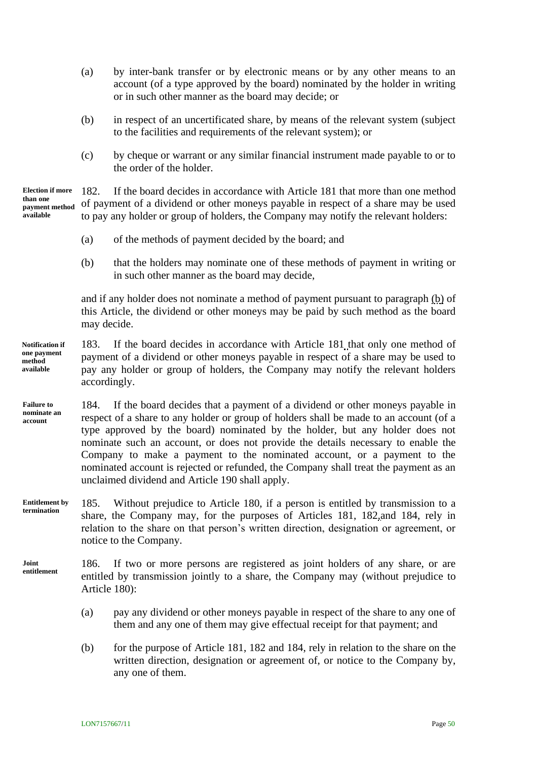- (a) by inter-bank transfer or by electronic means or by any other means to an account (of a type approved by the board) nominated by the holder in writing or in such other manner as the board may decide; or
- (b) in respect of an uncertificated share, by means of the relevant system (subject to the facilities and requirements of the relevant system); or
- <span id="page-54-1"></span>(c) by cheque or warrant or any similar financial instrument made payable to or to the order of the holder.

182. If the board decides in accordance with Article [181](#page-53-1) that more than one method of payment of a dividend or other moneys payable in respect of a share may be used to pay any holder or group of holders, the Company may notify the relevant holders: **Election if more than one payment method available**

- (a) of the methods of payment decided by the board; and
- <span id="page-54-0"></span>(b) that the holders may nominate one of these methods of payment in writing or in such other manner as the board may decide,

and if any holder does not nominate a method of payment pursuant to paragraph [\(b\)](#page-54-0) of this Article, the dividend or other moneys may be paid by such method as the board may decide.

- 183. If the board decides in accordance with Article [181](#page-53-2) that only one method of payment of a dividend or other moneys payable in respect of a share may be used to pay any holder or group of holders, the Company may notify the relevant holders accordingly. **Notification if one payment method available**
- <span id="page-54-2"></span>184. If the board decides that a payment of a dividend or other moneys payable in respect of a share to any holder or group of holders shall be made to an account (of a type approved by the board) nominated by the holder, but any holder does not nominate such an account, or does not provide the details necessary to enable the Company to make a payment to the nominated account, or a payment to the nominated account is rejected or refunded, the Company shall treat the payment as an unclaimed dividend and Article [190](#page-55-0) shall apply. **Failure to nominate an account**
- 185. Without prejudice to Article [180,](#page-53-0) if a person is entitled by transmission to a share, the Company may, for the purposes of Articles [181,](#page-53-2) [182](#page-54-1)*,*and [184,](#page-54-2) rely in relation to the share on that person's written direction, designation or agreement, or notice to the Company. **Entitlement by termination**
- 186. If two or more persons are registered as joint holders of any share, or are entitled by transmission jointly to a share, the Company may (without prejudice to Article [180\)](#page-53-0): **Joint entitlement**
	- (a) pay any dividend or other moneys payable in respect of the share to any one of them and any one of them may give effectual receipt for that payment; and
	- (b) for the purpose of Article [181,](#page-53-1) [182](#page-54-1) and [184,](#page-54-2) rely in relation to the share on the written direction, designation or agreement of, or notice to the Company by, any one of them.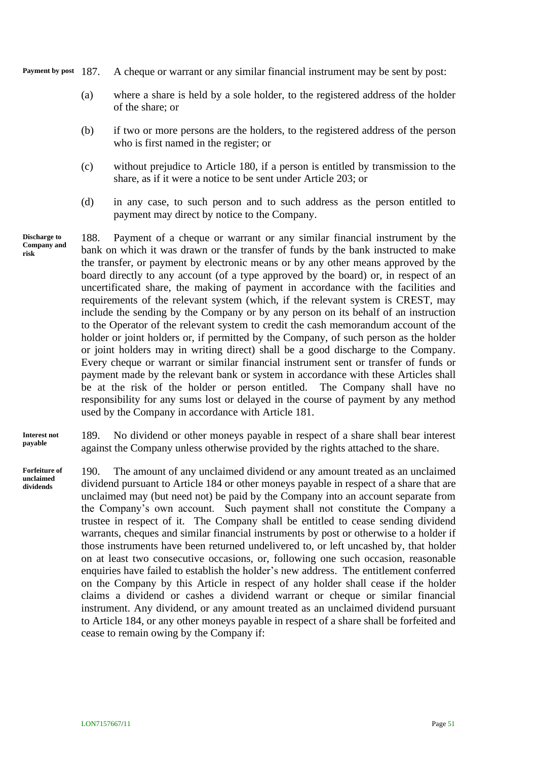**Payment by post**

- A cheque or warrant or any similar financial instrument may be sent by post:
	- (a) where a share is held by a sole holder, to the registered address of the holder of the share; or
	- (b) if two or more persons are the holders, to the registered address of the person who is first named in the register; or
	- (c) without prejudice to Article [180,](#page-53-0) if a person is entitled by transmission to the share, as if it were a notice to be sent under Article [203;](#page-59-0) or
	- (d) in any case, to such person and to such address as the person entitled to payment may direct by notice to the Company.
- 188. Payment of a cheque or warrant or any similar financial instrument by the bank on which it was drawn or the transfer of funds by the bank instructed to make the transfer, or payment by electronic means or by any other means approved by the board directly to any account (of a type approved by the board) or, in respect of an uncertificated share, the making of payment in accordance with the facilities and requirements of the relevant system (which, if the relevant system is CREST, may include the sending by the Company or by any person on its behalf of an instruction to the Operator of the relevant system to credit the cash memorandum account of the holder or joint holders or, if permitted by the Company, of such person as the holder or joint holders may in writing direct) shall be a good discharge to the Company. Every cheque or warrant or similar financial instrument sent or transfer of funds or payment made by the relevant bank or system in accordance with these Articles shall be at the risk of the holder or person entitled. The Company shall have no responsibility for any sums lost or delayed in the course of payment by any method used by the Company in accordance with Article [181.](#page-53-2) **Discharge to Company and risk**

189. No dividend or other moneys payable in respect of a share shall bear interest against the Company unless otherwise provided by the rights attached to the share. **Interest not payable**

<span id="page-55-0"></span>190. The amount of any unclaimed dividend or any amount treated as an unclaimed dividend pursuant to Article [184](#page-54-2) or other moneys payable in respect of a share that are unclaimed may (but need not) be paid by the Company into an account separate from the Company's own account. Such payment shall not constitute the Company a trustee in respect of it. The Company shall be entitled to cease sending dividend warrants, cheques and similar financial instruments by post or otherwise to a holder if those instruments have been returned undelivered to, or left uncashed by, that holder on at least two consecutive occasions, or, following one such occasion, reasonable enquiries have failed to establish the holder's new address. The entitlement conferred on the Company by this Article in respect of any holder shall cease if the holder claims a dividend or cashes a dividend warrant or cheque or similar financial instrument. Any dividend, or any amount treated as an unclaimed dividend pursuant to Article [184,](#page-54-2) or any other moneys payable in respect of a share shall be forfeited and cease to remain owing by the Company if: **Forfeiture of unclaimed dividends**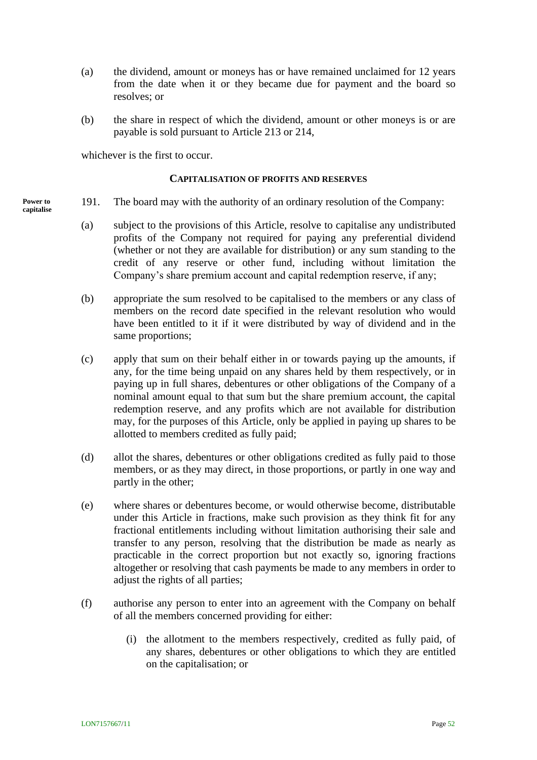- (a) the dividend, amount or moneys has or have remained unclaimed for 12 years from the date when it or they became due for payment and the board so resolves; or
- (b) the share in respect of which the dividend, amount or other moneys is or are payable is sold pursuant to Article [213](#page-63-0) or [214,](#page-63-1)

whichever is the first to occur.

#### **CAPITALISATION OF PROFITS AND RESERVES**

- 191. The board may with the authority of an ordinary resolution of the Company: **Power to capitalise**
	- (a) subject to the provisions of this Article, resolve to capitalise any undistributed profits of the Company not required for paying any preferential dividend (whether or not they are available for distribution) or any sum standing to the credit of any reserve or other fund, including without limitation the Company's share premium account and capital redemption reserve, if any;
	- (b) appropriate the sum resolved to be capitalised to the members or any class of members on the record date specified in the relevant resolution who would have been entitled to it if it were distributed by way of dividend and in the same proportions;
	- (c) apply that sum on their behalf either in or towards paying up the amounts, if any, for the time being unpaid on any shares held by them respectively, or in paying up in full shares, debentures or other obligations of the Company of a nominal amount equal to that sum but the share premium account, the capital redemption reserve, and any profits which are not available for distribution may, for the purposes of this Article, only be applied in paying up shares to be allotted to members credited as fully paid;
	- (d) allot the shares, debentures or other obligations credited as fully paid to those members, or as they may direct, in those proportions, or partly in one way and partly in the other;
	- (e) where shares or debentures become, or would otherwise become, distributable under this Article in fractions, make such provision as they think fit for any fractional entitlements including without limitation authorising their sale and transfer to any person, resolving that the distribution be made as nearly as practicable in the correct proportion but not exactly so, ignoring fractions altogether or resolving that cash payments be made to any members in order to adjust the rights of all parties;
	- (f) authorise any person to enter into an agreement with the Company on behalf of all the members concerned providing for either:
		- (i) the allotment to the members respectively, credited as fully paid, of any shares, debentures or other obligations to which they are entitled on the capitalisation; or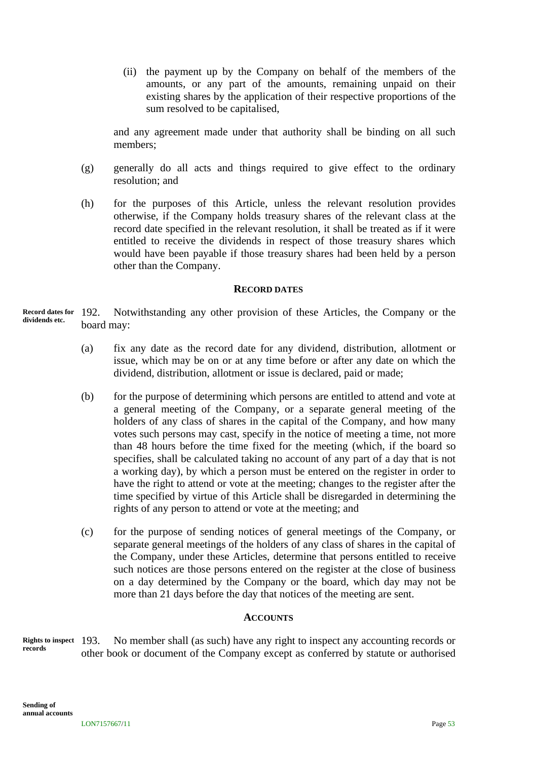(ii) the payment up by the Company on behalf of the members of the amounts, or any part of the amounts, remaining unpaid on their existing shares by the application of their respective proportions of the sum resolved to be capitalised,

and any agreement made under that authority shall be binding on all such members;

- (g) generally do all acts and things required to give effect to the ordinary resolution; and
- (h) for the purposes of this Article, unless the relevant resolution provides otherwise, if the Company holds treasury shares of the relevant class at the record date specified in the relevant resolution, it shall be treated as if it were entitled to receive the dividends in respect of those treasury shares which would have been payable if those treasury shares had been held by a person other than the Company.

#### **RECORD DATES**

192. Notwithstanding any other provision of these Articles, the Company or the board may: **Record dates for dividends etc.**

- (a) fix any date as the record date for any dividend, distribution, allotment or issue, which may be on or at any time before or after any date on which the dividend, distribution, allotment or issue is declared, paid or made;
- (b) for the purpose of determining which persons are entitled to attend and vote at a general meeting of the Company, or a separate general meeting of the holders of any class of shares in the capital of the Company, and how many votes such persons may cast, specify in the notice of meeting a time, not more than 48 hours before the time fixed for the meeting (which, if the board so specifies, shall be calculated taking no account of any part of a day that is not a working day), by which a person must be entered on the register in order to have the right to attend or vote at the meeting; changes to the register after the time specified by virtue of this Article shall be disregarded in determining the rights of any person to attend or vote at the meeting; and
- (c) for the purpose of sending notices of general meetings of the Company, or separate general meetings of the holders of any class of shares in the capital of the Company, under these Articles, determine that persons entitled to receive such notices are those persons entered on the register at the close of business on a day determined by the Company or the board, which day may not be more than 21 days before the day that notices of the meeting are sent.

#### **ACCOUNTS**

No member shall (as such) have any right to inspect any accounting records or other book or document of the Company except as conferred by statute or authorised **Rights to inspect records**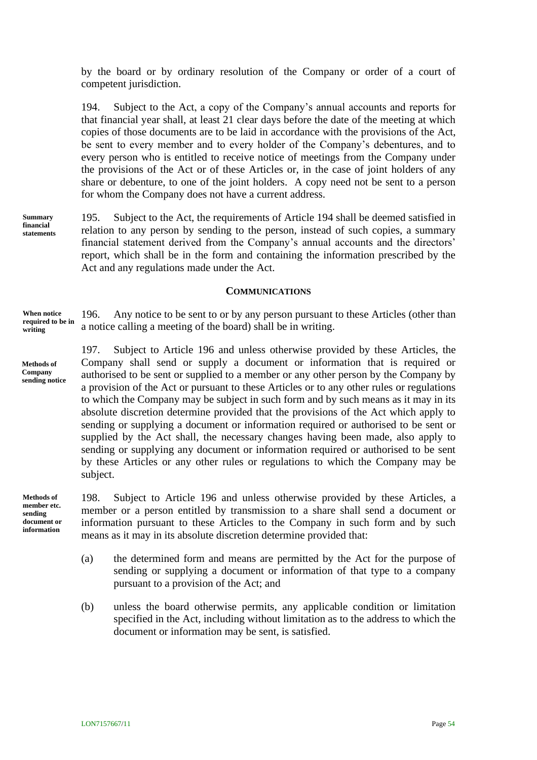by the board or by ordinary resolution of the Company or order of a court of competent jurisdiction.

<span id="page-58-0"></span>194. Subject to the Act, a copy of the Company's annual accounts and reports for that financial year shall, at least 21 clear days before the date of the meeting at which copies of those documents are to be laid in accordance with the provisions of the Act, be sent to every member and to every holder of the Company's debentures, and to every person who is entitled to receive notice of meetings from the Company under the provisions of the Act or of these Articles or, in the case of joint holders of any share or debenture, to one of the joint holders. A copy need not be sent to a person for whom the Company does not have a current address.

195. Subject to the Act, the requirements of Article [194](#page-58-0) shall be deemed satisfied in relation to any person by sending to the person, instead of such copies, a summary financial statement derived from the Company's annual accounts and the directors' report, which shall be in the form and containing the information prescribed by the Act and any regulations made under the Act. **Summary** 

#### **COMMUNICATIONS**

196. Any notice to be sent to or by any person pursuant to these Articles (other than a notice calling a meeting of the board) shall be in writing. **When notice required to be in writing**

> <span id="page-58-1"></span>197. Subject to Article [196](#page-58-1) and unless otherwise provided by these Articles, the Company shall send or supply a document or information that is required or authorised to be sent or supplied to a member or any other person by the Company by a provision of the Act or pursuant to these Articles or to any other rules or regulations to which the Company may be subject in such form and by such means as it may in its absolute discretion determine provided that the provisions of the Act which apply to sending or supplying a document or information required or authorised to be sent or supplied by the Act shall, the necessary changes having been made, also apply to sending or supplying any document or information required or authorised to be sent by these Articles or any other rules or regulations to which the Company may be subject.

**Methods of member etc. sending document or information**

198. Subject to Article [196](#page-58-1) and unless otherwise provided by these Articles, a member or a person entitled by transmission to a share shall send a document or information pursuant to these Articles to the Company in such form and by such means as it may in its absolute discretion determine provided that:

- (a) the determined form and means are permitted by the Act for the purpose of sending or supplying a document or information of that type to a company pursuant to a provision of the Act; and
- (b) unless the board otherwise permits, any applicable condition or limitation specified in the Act, including without limitation as to the address to which the document or information may be sent, is satisfied.

**financial statements**

**Methods of Company sending notice**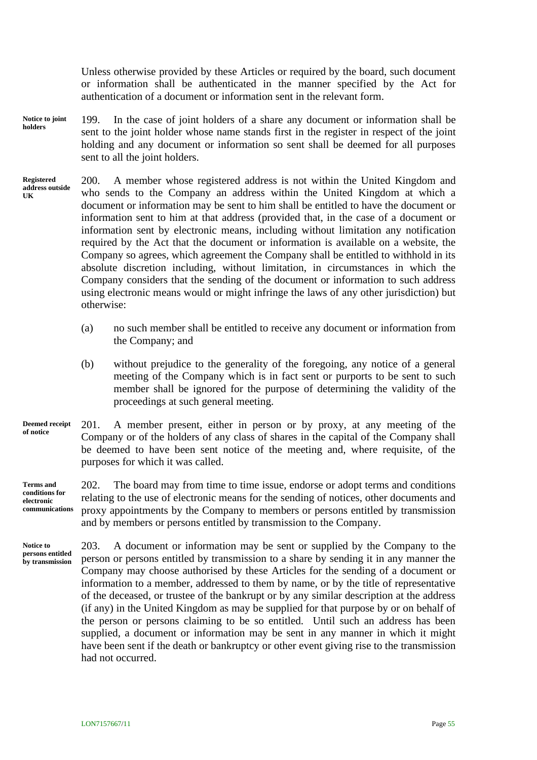Unless otherwise provided by these Articles or required by the board, such document or information shall be authenticated in the manner specified by the Act for authentication of a document or information sent in the relevant form.

- 199. In the case of joint holders of a share any document or information shall be sent to the joint holder whose name stands first in the register in respect of the joint holding and any document or information so sent shall be deemed for all purposes sent to all the joint holders. **Notice to joint holders**
- <span id="page-59-1"></span>200. A member whose registered address is not within the United Kingdom and who sends to the Company an address within the United Kingdom at which a document or information may be sent to him shall be entitled to have the document or information sent to him at that address (provided that, in the case of a document or information sent by electronic means, including without limitation any notification required by the Act that the document or information is available on a website, the Company so agrees, which agreement the Company shall be entitled to withhold in its absolute discretion including, without limitation, in circumstances in which the Company considers that the sending of the document or information to such address using electronic means would or might infringe the laws of any other jurisdiction) but otherwise: **Registered address outside UK**
	- (a) no such member shall be entitled to receive any document or information from the Company; and
	- (b) without prejudice to the generality of the foregoing, any notice of a general meeting of the Company which is in fact sent or purports to be sent to such member shall be ignored for the purpose of determining the validity of the proceedings at such general meeting.
- 201. A member present, either in person or by proxy, at any meeting of the Company or of the holders of any class of shares in the capital of the Company shall be deemed to have been sent notice of the meeting and, where requisite, of the purposes for which it was called. **Deemed receipt of notice**

202. The board may from time to time issue, endorse or adopt terms and conditions relating to the use of electronic means for the sending of notices, other documents and proxy appointments by the Company to members or persons entitled by transmission and by members or persons entitled by transmission to the Company. **Terms and conditions for electronic communications**

<span id="page-59-0"></span>203. A document or information may be sent or supplied by the Company to the person or persons entitled by transmission to a share by sending it in any manner the Company may choose authorised by these Articles for the sending of a document or information to a member, addressed to them by name, or by the title of representative of the deceased, or trustee of the bankrupt or by any similar description at the address (if any) in the United Kingdom as may be supplied for that purpose by or on behalf of the person or persons claiming to be so entitled. Until such an address has been supplied, a document or information may be sent in any manner in which it might have been sent if the death or bankruptcy or other event giving rise to the transmission had not occurred. **Notice to persons entitled by transmission**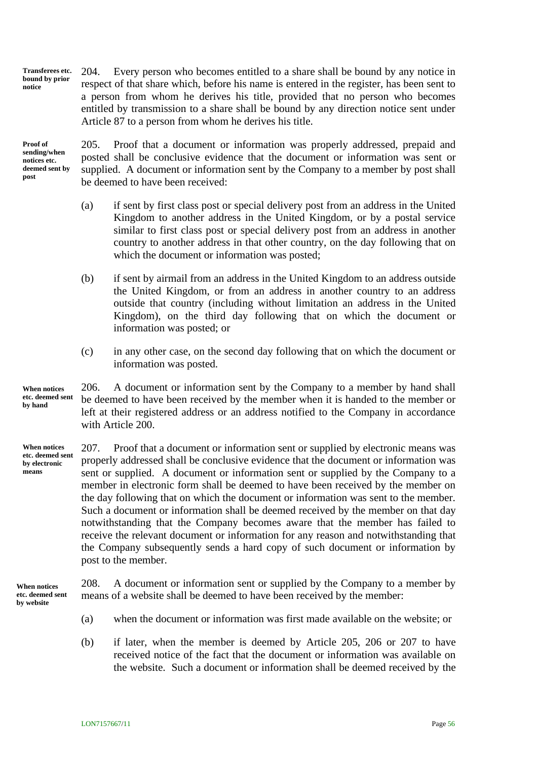204. Every person who becomes entitled to a share shall be bound by any notice in respect of that share which, before his name is entered in the register, has been sent to a person from whom he derives his title, provided that no person who becomes entitled by transmission to a share shall be bound by any direction notice sent under Article [87](#page-26-0) to a person from whom he derives his title. **Transferees etc. bound by prior notice**

**Proof of sending/when notices etc. deemed sent by post**

<span id="page-60-0"></span>205. Proof that a document or information was properly addressed, prepaid and posted shall be conclusive evidence that the document or information was sent or supplied. A document or information sent by the Company to a member by post shall be deemed to have been received:

- (a) if sent by first class post or special delivery post from an address in the United Kingdom to another address in the United Kingdom, or by a postal service similar to first class post or special delivery post from an address in another country to another address in that other country, on the day following that on which the document or information was posted;
- (b) if sent by airmail from an address in the United Kingdom to an address outside the United Kingdom, or from an address in another country to an address outside that country (including without limitation an address in the United Kingdom), on the third day following that on which the document or information was posted; or
- <span id="page-60-1"></span>(c) in any other case, on the second day following that on which the document or information was posted.

206. A document or information sent by the Company to a member by hand shall be deemed to have been received by the member when it is handed to the member or left at their registered address or an address notified to the Company in accordance with Article [200.](#page-59-1) **When notices etc. deemed sent by hand**

<span id="page-60-2"></span>207. Proof that a document or information sent or supplied by electronic means was properly addressed shall be conclusive evidence that the document or information was sent or supplied. A document or information sent or supplied by the Company to a member in electronic form shall be deemed to have been received by the member on the day following that on which the document or information was sent to the member. Such a document or information shall be deemed received by the member on that day notwithstanding that the Company becomes aware that the member has failed to receive the relevant document or information for any reason and notwithstanding that the Company subsequently sends a hard copy of such document or information by post to the member. **When notices etc. deemed sent by electronic means**

**When notices etc. deemed sent by website**

208. A document or information sent or supplied by the Company to a member by means of a website shall be deemed to have been received by the member:

- (a) when the document or information was first made available on the website; or
- (b) if later, when the member is deemed by Article [205,](#page-60-0) [206](#page-60-1) or [207](#page-60-2) to have received notice of the fact that the document or information was available on the website. Such a document or information shall be deemed received by the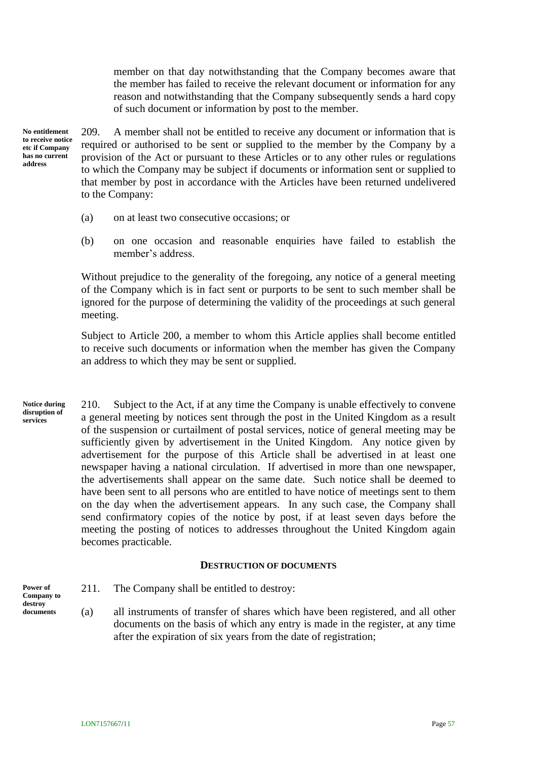member on that day notwithstanding that the Company becomes aware that the member has failed to receive the relevant document or information for any reason and notwithstanding that the Company subsequently sends a hard copy of such document or information by post to the member.

**No entitlement to receive notice etc if Company has no current address**

209. A member shall not be entitled to receive any document or information that is required or authorised to be sent or supplied to the member by the Company by a provision of the Act or pursuant to these Articles or to any other rules or regulations to which the Company may be subject if documents or information sent or supplied to that member by post in accordance with the Articles have been returned undelivered to the Company:

- (a) on at least two consecutive occasions; or
- (b) on one occasion and reasonable enquiries have failed to establish the member's address.

Without prejudice to the generality of the foregoing, any notice of a general meeting of the Company which is in fact sent or purports to be sent to such member shall be ignored for the purpose of determining the validity of the proceedings at such general meeting.

Subject to Article [200,](#page-59-1) a member to whom this Article applies shall become entitled to receive such documents or information when the member has given the Company an address to which they may be sent or supplied.

210. Subject to the Act, if at any time the Company is unable effectively to convene a general meeting by notices sent through the post in the United Kingdom as a result of the suspension or curtailment of postal services, notice of general meeting may be sufficiently given by advertisement in the United Kingdom. Any notice given by advertisement for the purpose of this Article shall be advertised in at least one newspaper having a national circulation. If advertised in more than one newspaper, the advertisements shall appear on the same date. Such notice shall be deemed to have been sent to all persons who are entitled to have notice of meetings sent to them on the day when the advertisement appears. In any such case, the Company shall send confirmatory copies of the notice by post, if at least seven days before the meeting the posting of notices to addresses throughout the United Kingdom again becomes practicable. **Notice during disruption of services**

#### **DESTRUCTION OF DOCUMENTS**

**Power of Company to destroy documents**

- <span id="page-61-0"></span>211. The Company shall be entitled to destroy:
- (a) all instruments of transfer of shares which have been registered, and all other documents on the basis of which any entry is made in the register, at any time after the expiration of six years from the date of registration;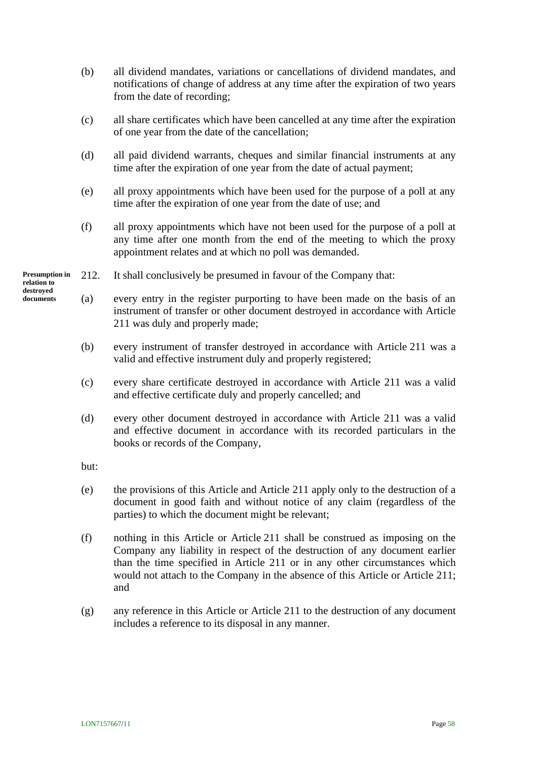- (b) all dividend mandates, variations or cancellations of dividend mandates, and notifications of change of address at any time after the expiration of two years from the date of recording;
- (c) all share certificates which have been cancelled at any time after the expiration of one year from the date of the cancellation;
- (d) all paid dividend warrants, cheques and similar financial instruments at any time after the expiration of one year from the date of actual payment;
- (e) all proxy appointments which have been used for the purpose of a poll at any time after the expiration of one year from the date of use; and
- (f) all proxy appointments which have not been used for the purpose of a poll at any time after one month from the end of the meeting to which the proxy appointment relates and at which no poll was demanded.
- 212. It shall conclusively be presumed in favour of the Company that: **Presumption in**
- **relation to destroyed documents**
- (a) every entry in the register purporting to have been made on the basis of an instrument of transfer or other document destroyed in accordance with Article [211](#page-61-0) was duly and properly made;
- (b) every instrument of transfer destroyed in accordance with Article [211](#page-61-0) was a valid and effective instrument duly and properly registered;
- (c) every share certificate destroyed in accordance with Article [211](#page-61-0) was a valid and effective certificate duly and properly cancelled; and
- (d) every other document destroyed in accordance with Article [211](#page-61-0) was a valid and effective document in accordance with its recorded particulars in the books or records of the Company,

but:

- (e) the provisions of this Article and Article [211](#page-61-0) apply only to the destruction of a document in good faith and without notice of any claim (regardless of the parties) to which the document might be relevant;
- (f) nothing in this Article or Article [211](#page-61-0) shall be construed as imposing on the Company any liability in respect of the destruction of any document earlier than the time specified in Article [211](#page-61-0) or in any other circumstances which would not attach to the Company in the absence of this Article or Article [211;](#page-61-0) and
- (g) any reference in this Article or Article [211](#page-61-0) to the destruction of any document includes a reference to its disposal in any manner.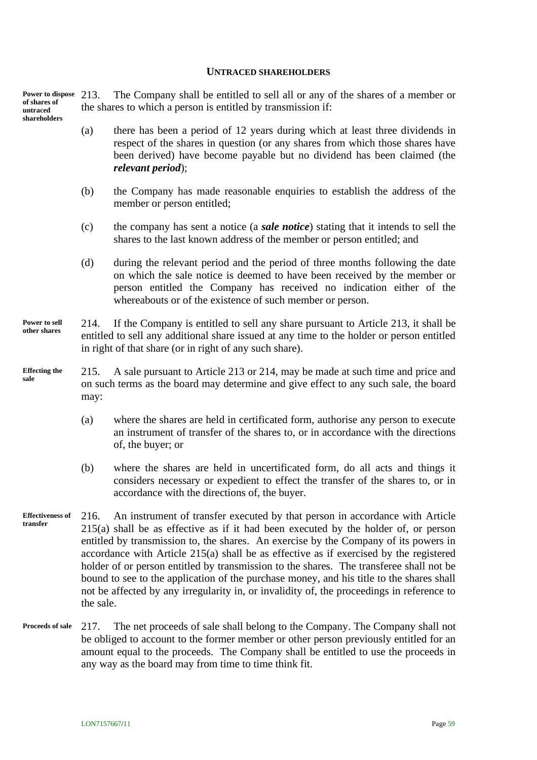#### **UNTRACED SHAREHOLDERS**

The Company shall be entitled to sell all or any of the shares of a member or the shares to which a person is entitled by transmission if: **Power to dispose of shares of untraced shareholders**

- <span id="page-63-0"></span>(a) there has been a period of 12 years during which at least three dividends in respect of the shares in question (or any shares from which those shares have been derived) have become payable but no dividend has been claimed (the *relevant period*);
- (b) the Company has made reasonable enquiries to establish the address of the member or person entitled;
- (c) the company has sent a notice (a *sale notice*) stating that it intends to sell the shares to the last known address of the member or person entitled; and
- (d) during the relevant period and the period of three months following the date on which the sale notice is deemed to have been received by the member or person entitled the Company has received no indication either of the whereabouts or of the existence of such member or person.

#### <span id="page-63-1"></span>214. If the Company is entitled to sell any share pursuant to Article [213,](#page-63-0) it shall be entitled to sell any additional share issued at any time to the holder or person entitled in right of that share (or in right of any such share). **Power to sell other shares**

- <span id="page-63-2"></span>215. A sale pursuant to Article [213](#page-63-0) or [214,](#page-63-1) may be made at such time and price and on such terms as the board may determine and give effect to any such sale, the board may: **Effecting the sale**
	- (a) where the shares are held in certificated form, authorise any person to execute an instrument of transfer of the shares to, or in accordance with the directions of, the buyer; or
	- (b) where the shares are held in uncertificated form, do all acts and things it considers necessary or expedient to effect the transfer of the shares to, or in accordance with the directions of, the buyer.
- 216. An instrument of transfer executed by that person in accordance with Article [215\(a\)](#page-63-2) shall be as effective as if it had been executed by the holder of, or person entitled by transmission to, the shares. An exercise by the Company of its powers in accordance with Article [215\(a\)](#page-63-2) shall be as effective as if exercised by the registered holder of or person entitled by transmission to the shares. The transferee shall not be bound to see to the application of the purchase money, and his title to the shares shall not be affected by any irregularity in, or invalidity of, the proceedings in reference to the sale. **Effectiveness of transfer**
- 217. The net proceeds of sale shall belong to the Company. The Company shall not be obliged to account to the former member or other person previously entitled for an amount equal to the proceeds. The Company shall be entitled to use the proceeds in any way as the board may from time to time think fit. **Proceeds of sale**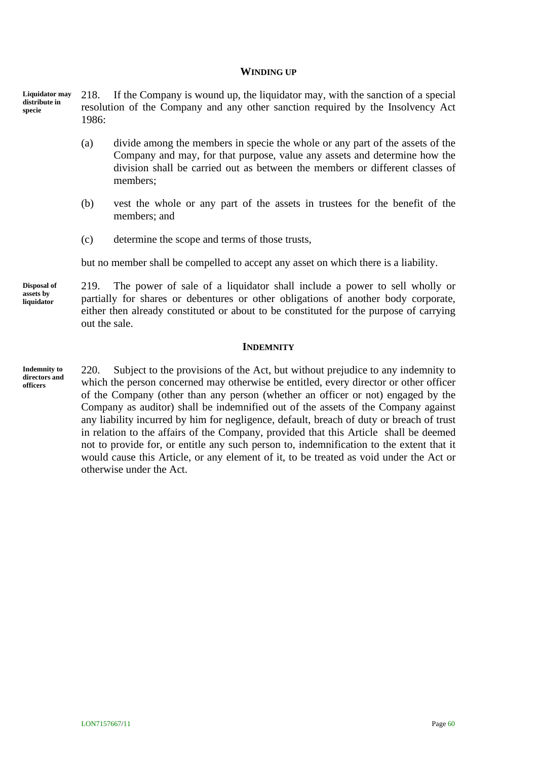#### **WINDING UP**

218. If the Company is wound up, the liquidator may, with the sanction of a special resolution of the Company and any other sanction required by the Insolvency Act 1986: **Liquidator may distribute in specie**

- (a) divide among the members in specie the whole or any part of the assets of the Company and may, for that purpose, value any assets and determine how the division shall be carried out as between the members or different classes of members;
- (b) vest the whole or any part of the assets in trustees for the benefit of the members; and
- (c) determine the scope and terms of those trusts,

but no member shall be compelled to accept any asset on which there is a liability.

**Disposal of assets by liquidator**

219. The power of sale of a liquidator shall include a power to sell wholly or partially for shares or debentures or other obligations of another body corporate, either then already constituted or about to be constituted for the purpose of carrying out the sale.

#### **INDEMNITY**

**Indemnity to directors and officers**

<span id="page-64-0"></span>220. Subject to the provisions of the Act, but without prejudice to any indemnity to which the person concerned may otherwise be entitled, every director or other officer of the Company (other than any person (whether an officer or not) engaged by the Company as auditor) shall be indemnified out of the assets of the Company against any liability incurred by him for negligence, default, breach of duty or breach of trust in relation to the affairs of the Company, provided that this Article shall be deemed not to provide for, or entitle any such person to, indemnification to the extent that it would cause this Article, or any element of it, to be treated as void under the Act or otherwise under the Act.